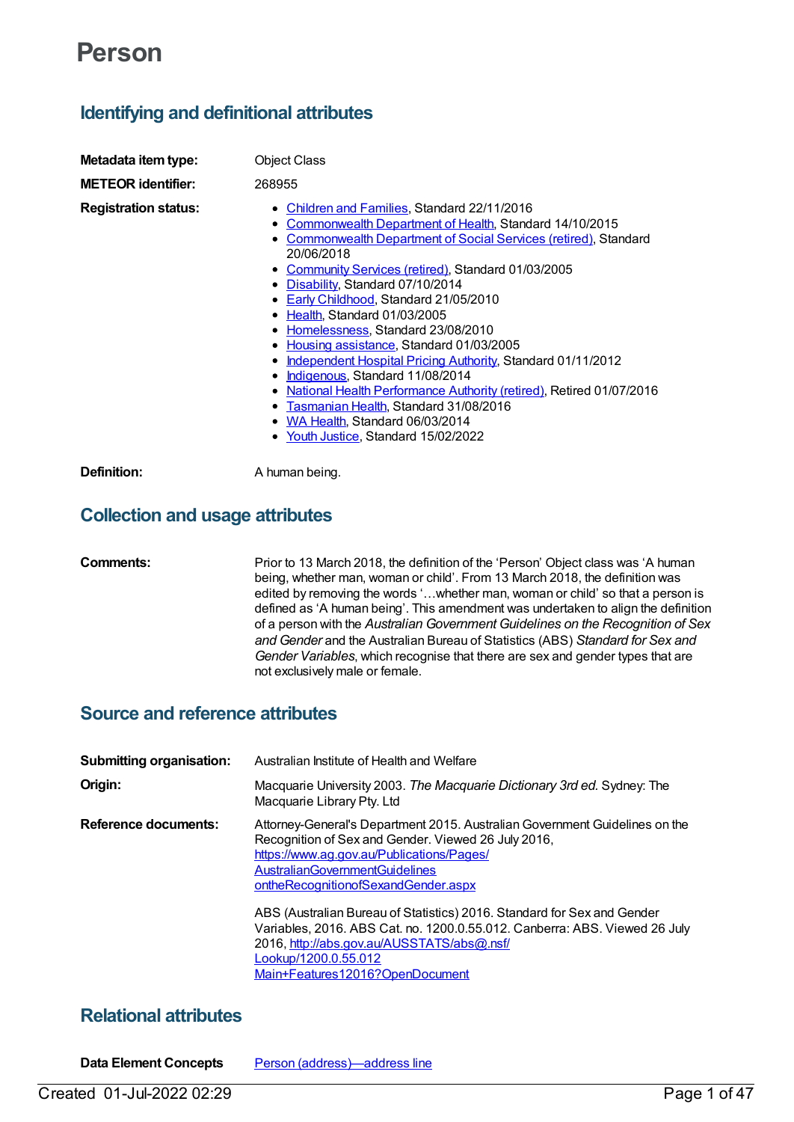# **Person**

# **Identifying and definitional attributes**

| Metadata item type:         | <b>Object Class</b>                                                                                                                                                                                                                                                                                                                                                                                                                                                                                                                                                                                                                                                                                                                                                                |
|-----------------------------|------------------------------------------------------------------------------------------------------------------------------------------------------------------------------------------------------------------------------------------------------------------------------------------------------------------------------------------------------------------------------------------------------------------------------------------------------------------------------------------------------------------------------------------------------------------------------------------------------------------------------------------------------------------------------------------------------------------------------------------------------------------------------------|
|                             |                                                                                                                                                                                                                                                                                                                                                                                                                                                                                                                                                                                                                                                                                                                                                                                    |
| <b>METEOR identifier:</b>   | 268955                                                                                                                                                                                                                                                                                                                                                                                                                                                                                                                                                                                                                                                                                                                                                                             |
| <b>Registration status:</b> | <b>Children and Families, Standard 22/11/2016</b><br>Commonwealth Department of Health, Standard 14/10/2015<br><b>Commonwealth Department of Social Services (retired), Standard</b><br>20/06/2018<br>• Community Services (retired), Standard 01/03/2005<br>• Disability, Standard 07/10/2014<br>• Early Childhood, Standard 21/05/2010<br>Health, Standard 01/03/2005<br>Homelessness, Standard 23/08/2010<br>٠<br>Housing assistance, Standard 01/03/2005<br>$\bullet$<br>Independent Hospital Pricing Authority, Standard 01/11/2012<br>٠<br>Indigenous, Standard 11/08/2014<br>٠<br>National Health Performance Authority (retired), Retired 01/07/2016<br>Tasmanian Health, Standard 31/08/2016<br>٠<br>WA Health, Standard 06/03/2014<br>Youth Justice, Standard 15/02/2022 |
| Definition:                 | A human being.                                                                                                                                                                                                                                                                                                                                                                                                                                                                                                                                                                                                                                                                                                                                                                     |

# **Collection and usage attributes**

# **Comments:** Prior to 13 March 2018, the definition of the 'Person' Object class was 'A human being, whether man, woman or child'. From 13 March 2018, the definition was edited by removing the words '…whether man, woman or child' so that a person is defined as 'A human being'. This amendment was undertaken to align the definition of a person with the *Australian Government Guidelines on the Recognition of Sex and Gender* and the Australian Bureau of Statistics (ABS) *Standard for Sex and Gender Variables*, which recognise that there are sex and gender types that are not exclusively male or female.

# **Source and reference attributes**

| <b>Submitting organisation:</b> | Australian Institute of Health and Welfare                                                                                                                                                                                                                      |
|---------------------------------|-----------------------------------------------------------------------------------------------------------------------------------------------------------------------------------------------------------------------------------------------------------------|
| Origin:                         | Macquarie University 2003. The Macquarie Dictionary 3rd ed. Sydney: The<br>Macquarie Library Pty. Ltd                                                                                                                                                           |
| <b>Reference documents:</b>     | Attorney-General's Department 2015. Australian Government Guidelines on the<br>Recognition of Sex and Gender. Viewed 26 July 2016,<br>https://www.ag.gov.au/Publications/Pages/<br><b>AustralianGovernmentGuidelines</b><br>ontheRecognitionofSexandGender.aspx |
|                                 | ABS (Australian Bureau of Statistics) 2016. Standard for Sex and Gender<br>Variables, 2016. ABS Cat. no. 1200.0.55.012. Canberra: ABS. Viewed 26 July<br>2016, http://abs.gov.au/AUSSTATS/abs@.nsf/<br>Lookup/1200.0.55.012<br>Main+Features12016?OpenDocument  |

# **Relational attributes**

**Data Element Concepts** Person [\(address\)—address](https://meteor.aihw.gov.au/content/292421) line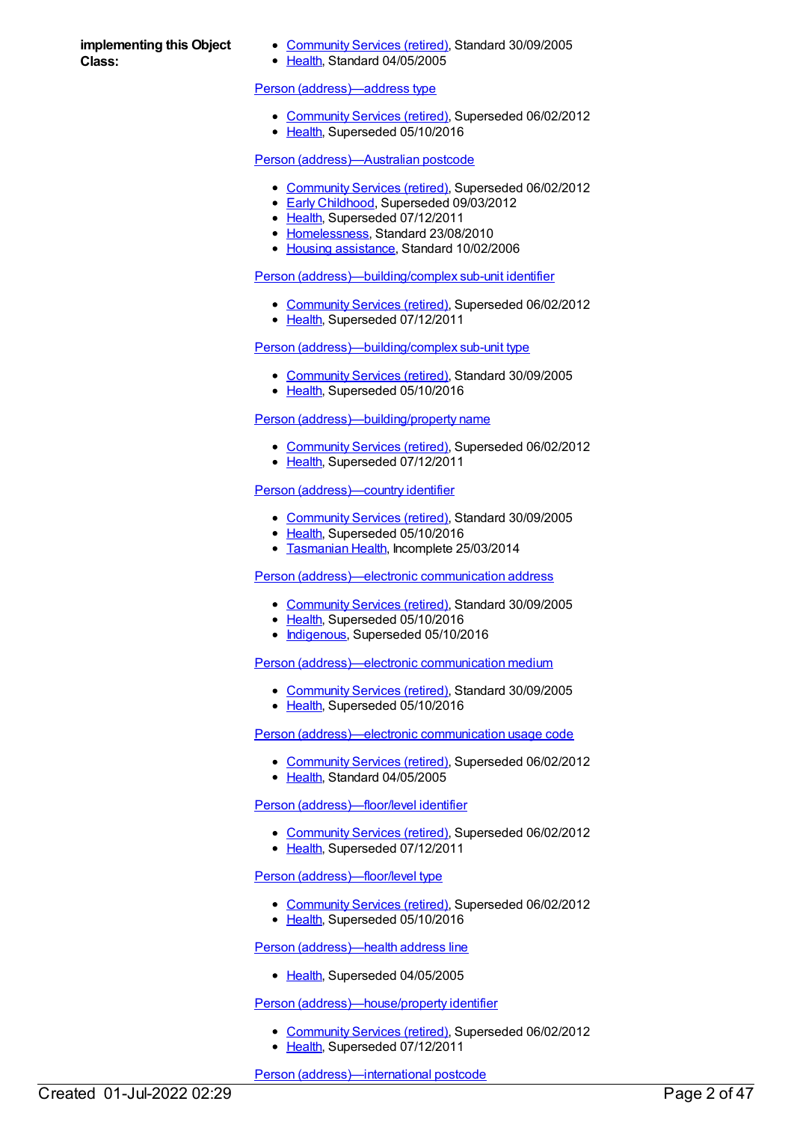**implementing this Object Class:**

- [Community](https://meteor.aihw.gov.au/RegistrationAuthority/1) Services (retired), Standard 30/09/2005
- [Health](https://meteor.aihw.gov.au/RegistrationAuthority/12), Standard 04/05/2005

#### Person [\(address\)—address](https://meteor.aihw.gov.au/content/269492) type

- [Community](https://meteor.aihw.gov.au/RegistrationAuthority/1) Services (retired), Superseded 06/02/2012
- [Health](https://meteor.aihw.gov.au/RegistrationAuthority/12), Superseded 05/10/2016

#### Person [\(address\)—Australian](https://meteor.aihw.gov.au/content/269894) postcode

- [Community](https://meteor.aihw.gov.au/RegistrationAuthority/1) Services (retired), Superseded 06/02/2012
- **Early [Childhood](https://meteor.aihw.gov.au/RegistrationAuthority/13), Superseded 09/03/2012**
- [Health](https://meteor.aihw.gov.au/RegistrationAuthority/12), Superseded 07/12/2011
- [Homelessness](https://meteor.aihw.gov.au/RegistrationAuthority/14), Standard 23/08/2010
- Housing [assistance](https://meteor.aihw.gov.au/RegistrationAuthority/11), Standard 10/02/2006

#### Person [\(address\)—building/complex](https://meteor.aihw.gov.au/content/269489) sub-unit identifier

- [Community](https://meteor.aihw.gov.au/RegistrationAuthority/1) Services (retired), Superseded 06/02/2012
- [Health](https://meteor.aihw.gov.au/RegistrationAuthority/12), Superseded 07/12/2011

# Person [\(address\)—building/complex](https://meteor.aihw.gov.au/content/269494) sub-unit type

- [Community](https://meteor.aihw.gov.au/RegistrationAuthority/1) Services (retired), Standard 30/09/2005
- [Health](https://meteor.aihw.gov.au/RegistrationAuthority/12), Superseded 05/10/2016

#### Person [\(address\)—building/property](https://meteor.aihw.gov.au/content/269499) name

- [Community](https://meteor.aihw.gov.au/RegistrationAuthority/1) Services (retired), Superseded 06/02/2012
- [Health](https://meteor.aihw.gov.au/RegistrationAuthority/12), Superseded 07/12/2011

# Person [\(address\)—country](https://meteor.aihw.gov.au/content/288077) identifier

- [Community](https://meteor.aihw.gov.au/RegistrationAuthority/1) Services (retired), Standard 30/09/2005
- [Health](https://meteor.aihw.gov.au/RegistrationAuthority/12), Superseded 05/10/2016
- [Tasmanian](https://meteor.aihw.gov.au/RegistrationAuthority/15) Health, Incomplete 25/03/2014

# Person [\(address\)—electronic](https://meteor.aihw.gov.au/content/287454) communication address

- [Community](https://meteor.aihw.gov.au/RegistrationAuthority/1) Services (retired), Standard 30/09/2005
- [Health](https://meteor.aihw.gov.au/RegistrationAuthority/12), Superseded 05/10/2016
- [Indigenous](https://meteor.aihw.gov.au/RegistrationAuthority/6), Superseded 05/10/2016

Person [\(address\)—electronic](https://meteor.aihw.gov.au/content/287503) communication medium

- [Community](https://meteor.aihw.gov.au/RegistrationAuthority/1) Services (retired), Standard 30/09/2005
- [Health](https://meteor.aihw.gov.au/RegistrationAuthority/12), Superseded 05/10/2016

Person [\(address\)—electronic](https://meteor.aihw.gov.au/content/287560) communication usage code

- [Community](https://meteor.aihw.gov.au/RegistrationAuthority/1) Services (retired), Superseded 06/02/2012
- [Health](https://meteor.aihw.gov.au/RegistrationAuthority/12), Standard 04/05/2005

#### Person [\(address\)—floor/level](https://meteor.aihw.gov.au/content/269500) identifier

- [Community](https://meteor.aihw.gov.au/RegistrationAuthority/1) Services (retired), Superseded 06/02/2012
- [Health](https://meteor.aihw.gov.au/RegistrationAuthority/12), Superseded 07/12/2011

#### Person [\(address\)—floor/level](https://meteor.aihw.gov.au/content/269495) type

- [Community](https://meteor.aihw.gov.au/RegistrationAuthority/1) Services (retired), Superseded 06/02/2012
- [Health](https://meteor.aihw.gov.au/RegistrationAuthority/12), Superseded 05/10/2016

#### Person [\(address\)—health](https://meteor.aihw.gov.au/content/269487) address line

• [Health](https://meteor.aihw.gov.au/RegistrationAuthority/12), Superseded 04/05/2005

#### Person [\(address\)—house/property](https://meteor.aihw.gov.au/content/269501) identifier

- [Community](https://meteor.aihw.gov.au/RegistrationAuthority/1) Services (retired), Superseded 06/02/2012
- [Health](https://meteor.aihw.gov.au/RegistrationAuthority/12), Superseded 07/12/2011

Person [\(address\)—international](https://meteor.aihw.gov.au/content/288973) postcode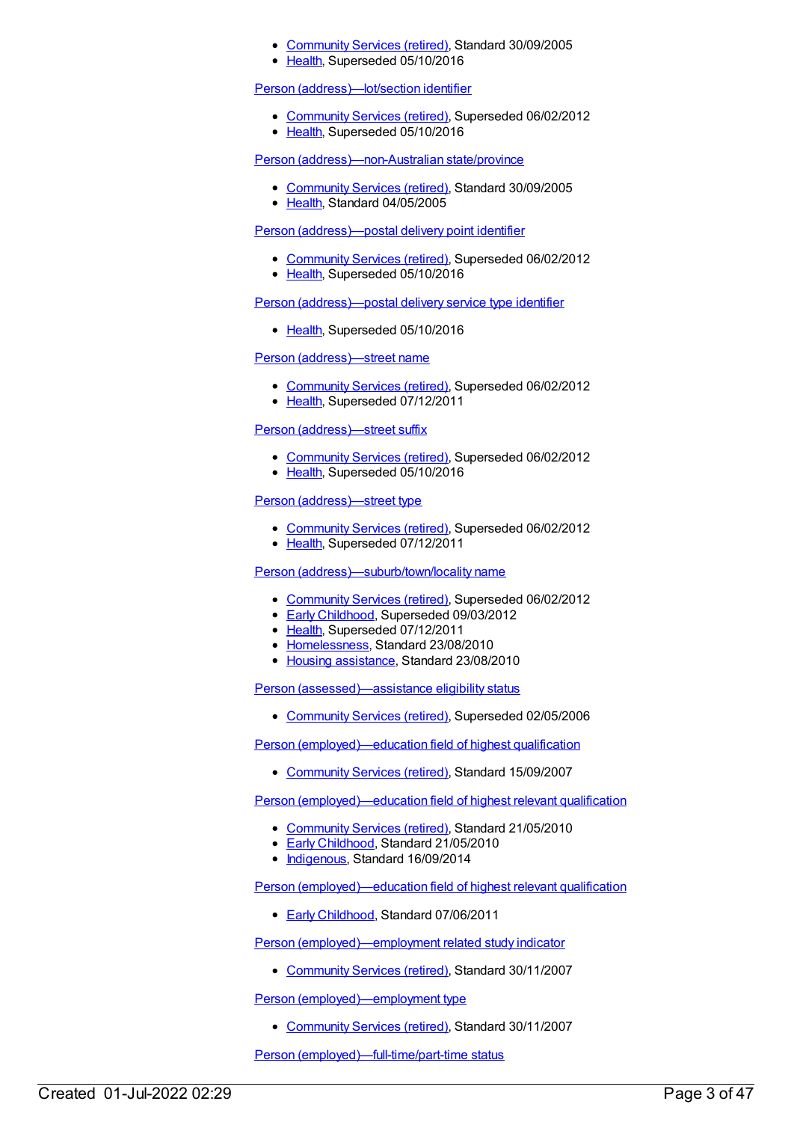- [Community](https://meteor.aihw.gov.au/RegistrationAuthority/1) Services (retired), Standard 30/09/2005
- [Health](https://meteor.aihw.gov.au/RegistrationAuthority/12), Superseded 05/10/2016

#### Person [\(address\)—lot/section](https://meteor.aihw.gov.au/content/269502) identifier

- [Community](https://meteor.aihw.gov.au/RegistrationAuthority/1) Services (retired), Superseded 06/02/2012
- [Health](https://meteor.aihw.gov.au/RegistrationAuthority/12), Superseded 05/10/2016

Person [\(address\)—non-Australian](https://meteor.aihw.gov.au/content/288644) state/province

- [Community](https://meteor.aihw.gov.au/RegistrationAuthority/1) Services (retired), Standard 30/09/2005
- [Health](https://meteor.aihw.gov.au/RegistrationAuthority/12), Standard 04/05/2005

Person [\(address\)—postal](https://meteor.aihw.gov.au/content/269869) delivery point identifier

- [Community](https://meteor.aihw.gov.au/RegistrationAuthority/1) Services (retired), Superseded 06/02/2012
- [Health](https://meteor.aihw.gov.au/RegistrationAuthority/12), Superseded 05/10/2016

Person [\(address\)—postal](https://meteor.aihw.gov.au/content/269503) delivery service type identifier

• [Health](https://meteor.aihw.gov.au/RegistrationAuthority/12), Superseded 05/10/2016

# Person [\(address\)—street](https://meteor.aihw.gov.au/content/269490) name

- [Community](https://meteor.aihw.gov.au/RegistrationAuthority/1) Services (retired), Superseded 06/02/2012
- [Health](https://meteor.aihw.gov.au/RegistrationAuthority/12), Superseded 07/12/2011

# Person [\(address\)—street](https://meteor.aihw.gov.au/content/269493) suffix

- [Community](https://meteor.aihw.gov.au/RegistrationAuthority/1) Services (retired), Superseded 06/02/2012
- [Health](https://meteor.aihw.gov.au/RegistrationAuthority/12), Superseded 05/10/2016

# Person [\(address\)—street](https://meteor.aihw.gov.au/content/269491) type

- [Community](https://meteor.aihw.gov.au/RegistrationAuthority/1) Services (retired), Superseded 06/02/2012
- [Health](https://meteor.aihw.gov.au/RegistrationAuthority/12), Superseded 07/12/2011

# Person [\(address\)—suburb/town/locality](https://meteor.aihw.gov.au/content/269880) name

- [Community](https://meteor.aihw.gov.au/RegistrationAuthority/1) Services (retired), Superseded 06/02/2012
- **Early [Childhood](https://meteor.aihw.gov.au/RegistrationAuthority/13), Superseded 09/03/2012**
- [Health](https://meteor.aihw.gov.au/RegistrationAuthority/12), Superseded 07/12/2011
- [Homelessness](https://meteor.aihw.gov.au/RegistrationAuthority/14), Standard 23/08/2010
- Housing [assistance](https://meteor.aihw.gov.au/RegistrationAuthority/11), Standard 23/08/2010

Person [\(assessed\)—assistance](https://meteor.aihw.gov.au/content/269802) eligibility status

[Community](https://meteor.aihw.gov.au/RegistrationAuthority/1) Services (retired), Superseded 02/05/2006

Person [\(employed\)—education](https://meteor.aihw.gov.au/content/355534) field of highest qualification

• [Community](https://meteor.aihw.gov.au/RegistrationAuthority/1) Services (retired), Standard 15/09/2007

Person [\(employed\)—education](https://meteor.aihw.gov.au/content/391015) field of highest relevant qualification

- [Community](https://meteor.aihw.gov.au/RegistrationAuthority/1) Services (retired), Standard 21/05/2010
- Early [Childhood](https://meteor.aihw.gov.au/RegistrationAuthority/13), Standard 21/05/2010
- [Indigenous](https://meteor.aihw.gov.au/RegistrationAuthority/6), Standard 16/09/2014

Person [\(employed\)—education](https://meteor.aihw.gov.au/content/441589) field of highest relevant qualification

• Early [Childhood](https://meteor.aihw.gov.au/RegistrationAuthority/13), Standard 07/06/2011

Person [\(employed\)—employment](https://meteor.aihw.gov.au/content/356314) related study indicator

• [Community](https://meteor.aihw.gov.au/RegistrationAuthority/1) Services (retired), Standard 30/11/2007

Person [\(employed\)—employment](https://meteor.aihw.gov.au/content/314860) type

• [Community](https://meteor.aihw.gov.au/RegistrationAuthority/1) Services (retired), Standard 30/11/2007

Person [\(employed\)—full-time/part-time](https://meteor.aihw.gov.au/content/318678) status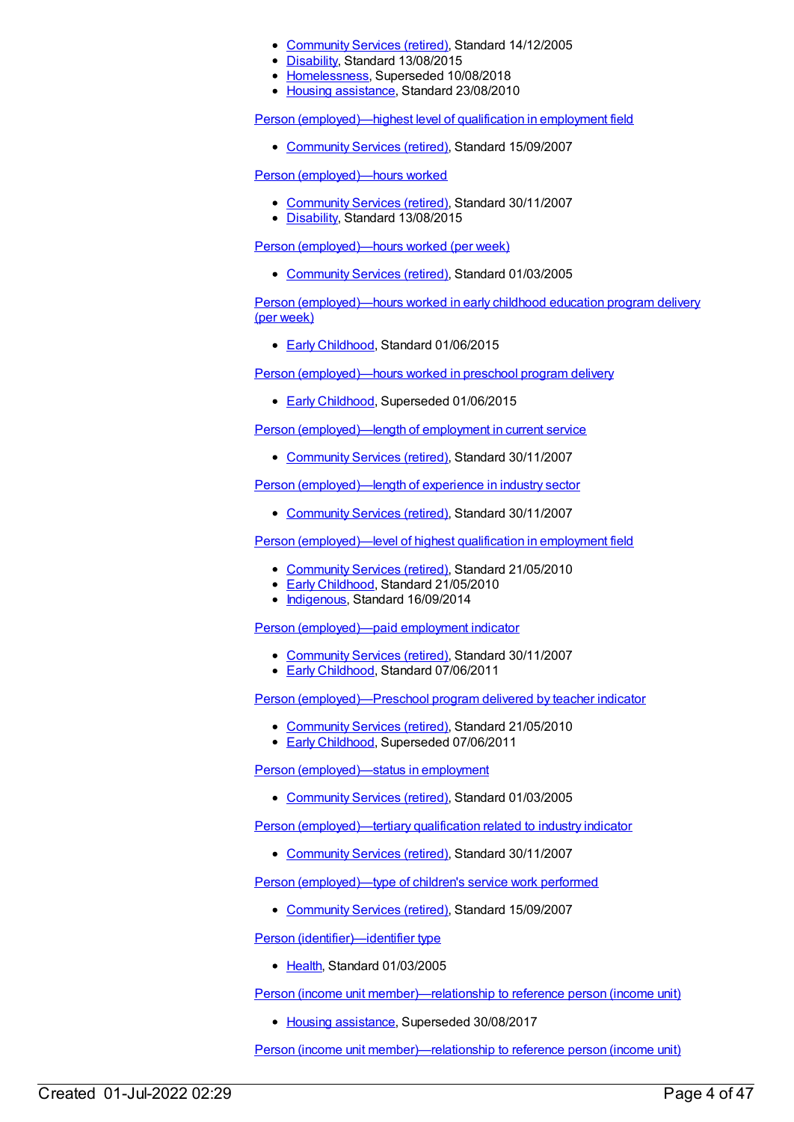- [Community](https://meteor.aihw.gov.au/RegistrationAuthority/1) Services (retired), Standard 14/12/2005
- [Disability](https://meteor.aihw.gov.au/RegistrationAuthority/16), Standard 13/08/2015
- [Homelessness](https://meteor.aihw.gov.au/RegistrationAuthority/14), Superseded 10/08/2018
- Housing [assistance](https://meteor.aihw.gov.au/RegistrationAuthority/11), Standard 23/08/2010

Person [\(employed\)—highest](https://meteor.aihw.gov.au/content/325934) level of qualification in employment field

• [Community](https://meteor.aihw.gov.au/RegistrationAuthority/1) Services (retired), Standard 15/09/2007

Person [\(employed\)—hours](https://meteor.aihw.gov.au/content/356969) worked

- [Community](https://meteor.aihw.gov.au/RegistrationAuthority/1) Services (retired), Standard 30/11/2007
- [Disability](https://meteor.aihw.gov.au/RegistrationAuthority/16), Standard 13/08/2015

Person [\(employed\)—hours](https://meteor.aihw.gov.au/content/269468) worked (per week)

[Community](https://meteor.aihw.gov.au/RegistrationAuthority/1) Services (retired), Standard 01/03/2005

Person [\(employed\)—hours](https://meteor.aihw.gov.au/content/602281) worked in early childhood education program delivery (per week)

● Early [Childhood](https://meteor.aihw.gov.au/RegistrationAuthority/13), Standard 01/06/2015

Person [\(employed\)—hours](https://meteor.aihw.gov.au/content/437550) worked in preschool program delivery

**Early [Childhood](https://meteor.aihw.gov.au/RegistrationAuthority/13), Superseded 01/06/2015** 

Person [\(employed\)—length](https://meteor.aihw.gov.au/content/315077) of employment in current service

[Community](https://meteor.aihw.gov.au/RegistrationAuthority/1) Services (retired), Standard 30/11/2007

Person [\(employed\)—length](https://meteor.aihw.gov.au/content/314897) of experience in industry sector

[Community](https://meteor.aihw.gov.au/RegistrationAuthority/1) Services (retired), Standard 30/11/2007

Person [\(employed\)—level](https://meteor.aihw.gov.au/content/390958) of highest qualification in employment field

- [Community](https://meteor.aihw.gov.au/RegistrationAuthority/1) Services (retired), Standard 21/05/2010
- Early [Childhood](https://meteor.aihw.gov.au/RegistrationAuthority/13), Standard 21/05/2010
- [Indigenous](https://meteor.aihw.gov.au/RegistrationAuthority/6), Standard 16/09/2014

Person [\(employed\)—paid](https://meteor.aihw.gov.au/content/314809) employment indicator

- [Community](https://meteor.aihw.gov.au/RegistrationAuthority/1) Services (retired), Standard 30/11/2007
- Early [Childhood](https://meteor.aihw.gov.au/RegistrationAuthority/13), Standard 07/06/2011

Person [\(employed\)—Preschool](https://meteor.aihw.gov.au/content/401320) program delivered by teacher indicator

- [Community](https://meteor.aihw.gov.au/RegistrationAuthority/1) Services (retired), Standard 21/05/2010
- **Early [Childhood](https://meteor.aihw.gov.au/RegistrationAuthority/13), Superseded 07/06/2011**

Person [\(employed\)—status](https://meteor.aihw.gov.au/content/269469) in employment

[Community](https://meteor.aihw.gov.au/RegistrationAuthority/1) Services (retired), Standard 01/03/2005

Person [\(employed\)—tertiary](https://meteor.aihw.gov.au/content/314889) qualification related to industry indicator

• [Community](https://meteor.aihw.gov.au/RegistrationAuthority/1) Services (retired), Standard 30/11/2007

Person [\(employed\)—type](https://meteor.aihw.gov.au/content/314802) of children's service work performed

• [Community](https://meteor.aihw.gov.au/RegistrationAuthority/1) Services (retired), Standard 15/09/2007

Person [\(identifier\)—identifier](https://meteor.aihw.gov.au/content/269524) type

• [Health](https://meteor.aihw.gov.au/RegistrationAuthority/12), Standard 01/03/2005

Person (income unit [member\)—relationship](https://meteor.aihw.gov.au/content/301832) to reference person (income unit)

• Housing [assistance](https://meteor.aihw.gov.au/RegistrationAuthority/11), Superseded 30/08/2017

Person (income unit [member\)—relationship](https://meteor.aihw.gov.au/content/269700) to reference person (income unit)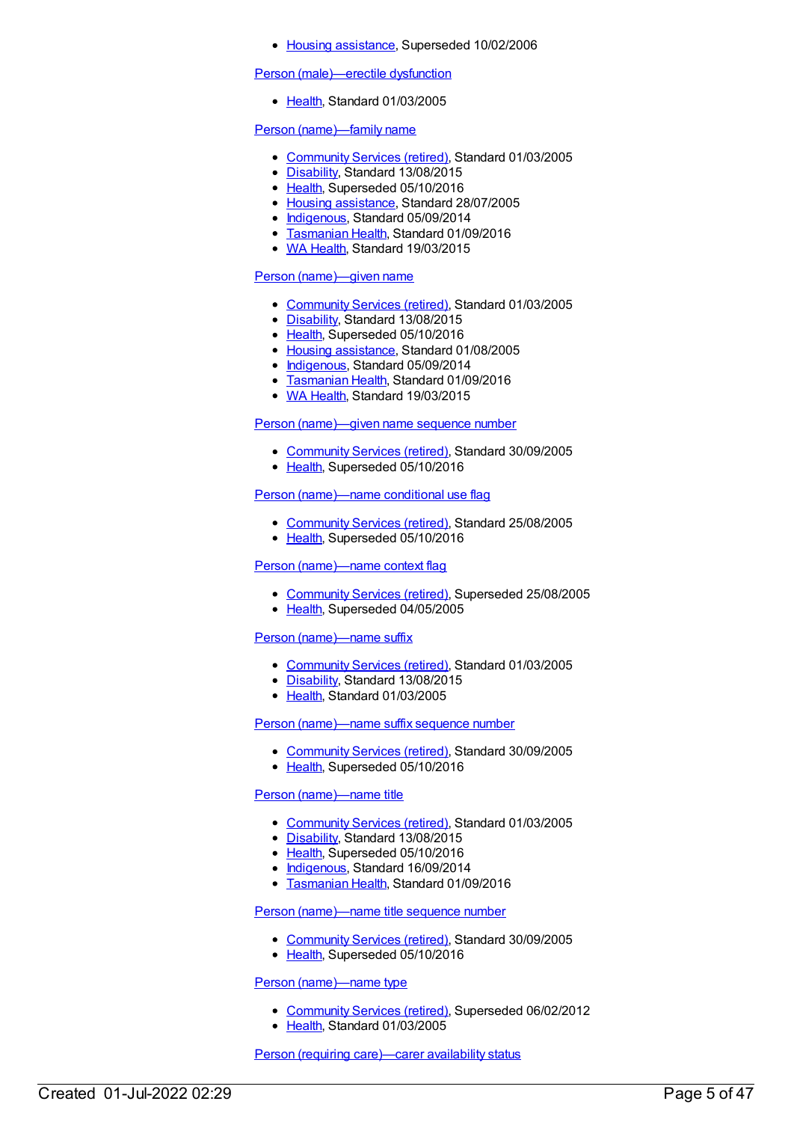#### • Housing [assistance](https://meteor.aihw.gov.au/RegistrationAuthority/11), Superseded 10/02/2006

#### Person [\(male\)—erectile](https://meteor.aihw.gov.au/content/269595) dysfunction

• [Health](https://meteor.aihw.gov.au/RegistrationAuthority/12), Standard 01/03/2005

# Person [\(name\)—family](https://meteor.aihw.gov.au/content/269711) name

- [Community](https://meteor.aihw.gov.au/RegistrationAuthority/1) Services (retired), Standard 01/03/2005
- [Disability](https://meteor.aihw.gov.au/RegistrationAuthority/16), Standard 13/08/2015
- [Health](https://meteor.aihw.gov.au/RegistrationAuthority/12), Superseded 05/10/2016
- Housing [assistance](https://meteor.aihw.gov.au/RegistrationAuthority/11), Standard 28/07/2005
- [Indigenous](https://meteor.aihw.gov.au/RegistrationAuthority/6), Standard 05/09/2014
- **[Tasmanian](https://meteor.aihw.gov.au/RegistrationAuthority/15) Health, Standard 01/09/2016**
- WA [Health](https://meteor.aihw.gov.au/RegistrationAuthority/2), Standard 19/03/2015

# Person [\(name\)—given](https://meteor.aihw.gov.au/content/269709) name

- [Community](https://meteor.aihw.gov.au/RegistrationAuthority/1) Services (retired), Standard 01/03/2005
- [Disability](https://meteor.aihw.gov.au/RegistrationAuthority/16), Standard 13/08/2015
- [Health](https://meteor.aihw.gov.au/RegistrationAuthority/12), Superseded 05/10/2016
- Housing [assistance](https://meteor.aihw.gov.au/RegistrationAuthority/11), Standard 01/08/2005
- [Indigenous](https://meteor.aihw.gov.au/RegistrationAuthority/6), Standard 05/09/2014
- **[Tasmanian](https://meteor.aihw.gov.au/RegistrationAuthority/15) Health, Standard 01/09/2016**
- WA [Health](https://meteor.aihw.gov.au/RegistrationAuthority/2), Standard 19/03/2015

#### Person [\(name\)—given](https://meteor.aihw.gov.au/content/287589) name sequence number

- [Community](https://meteor.aihw.gov.au/RegistrationAuthority/1) Services (retired), Standard 30/09/2005
- [Health](https://meteor.aihw.gov.au/RegistrationAuthority/12), Superseded 05/10/2016

# Person [\(name\)—name](https://meteor.aihw.gov.au/content/287053) conditional use flag

- [Community](https://meteor.aihw.gov.au/RegistrationAuthority/1) Services (retired), Standard 25/08/2005
- [Health](https://meteor.aihw.gov.au/RegistrationAuthority/12), Superseded 05/10/2016

# Person [\(name\)—name](https://meteor.aihw.gov.au/content/269713) context flag

- [Community](https://meteor.aihw.gov.au/RegistrationAuthority/1) Services (retired), Superseded 25/08/2005
- [Health](https://meteor.aihw.gov.au/RegistrationAuthority/12), Superseded 04/05/2005

#### Person [\(name\)—name](https://meteor.aihw.gov.au/content/269707) suffix

- [Community](https://meteor.aihw.gov.au/RegistrationAuthority/1) Services (retired), Standard 01/03/2005
- [Disability](https://meteor.aihw.gov.au/RegistrationAuthority/16), Standard 13/08/2015
- [Health](https://meteor.aihw.gov.au/RegistrationAuthority/12), Standard 01/03/2005

### Person [\(name\)—name](https://meteor.aihw.gov.au/content/288201) suffix sequence number

- [Community](https://meteor.aihw.gov.au/RegistrationAuthority/1) Services (retired), Standard 30/09/2005
- [Health](https://meteor.aihw.gov.au/RegistrationAuthority/12), Superseded 05/10/2016

#### Person [\(name\)—name](https://meteor.aihw.gov.au/content/269708) title

- [Community](https://meteor.aihw.gov.au/RegistrationAuthority/1) Services (retired), Standard 01/03/2005
- [Disability](https://meteor.aihw.gov.au/RegistrationAuthority/16), Standard 13/08/2015
- [Health](https://meteor.aihw.gov.au/RegistrationAuthority/12), Superseded 05/10/2016
- [Indigenous](https://meteor.aihw.gov.au/RegistrationAuthority/6), Standard 16/09/2014
- **[Tasmanian](https://meteor.aihw.gov.au/RegistrationAuthority/15) Health, Standard 01/09/2016**

### Person [\(name\)—name](https://meteor.aihw.gov.au/content/288255) title sequence number

- [Community](https://meteor.aihw.gov.au/RegistrationAuthority/1) Services (retired), Standard 30/09/2005
- [Health](https://meteor.aihw.gov.au/RegistrationAuthority/12), Superseded 05/10/2016

#### Person [\(name\)—name](https://meteor.aihw.gov.au/content/269712) type

- [Community](https://meteor.aihw.gov.au/RegistrationAuthority/1) Services (retired), Superseded 06/02/2012
- [Health](https://meteor.aihw.gov.au/RegistrationAuthority/12), Standard 01/03/2005

Person (requiring [care\)—carer](https://meteor.aihw.gov.au/content/269629) availability status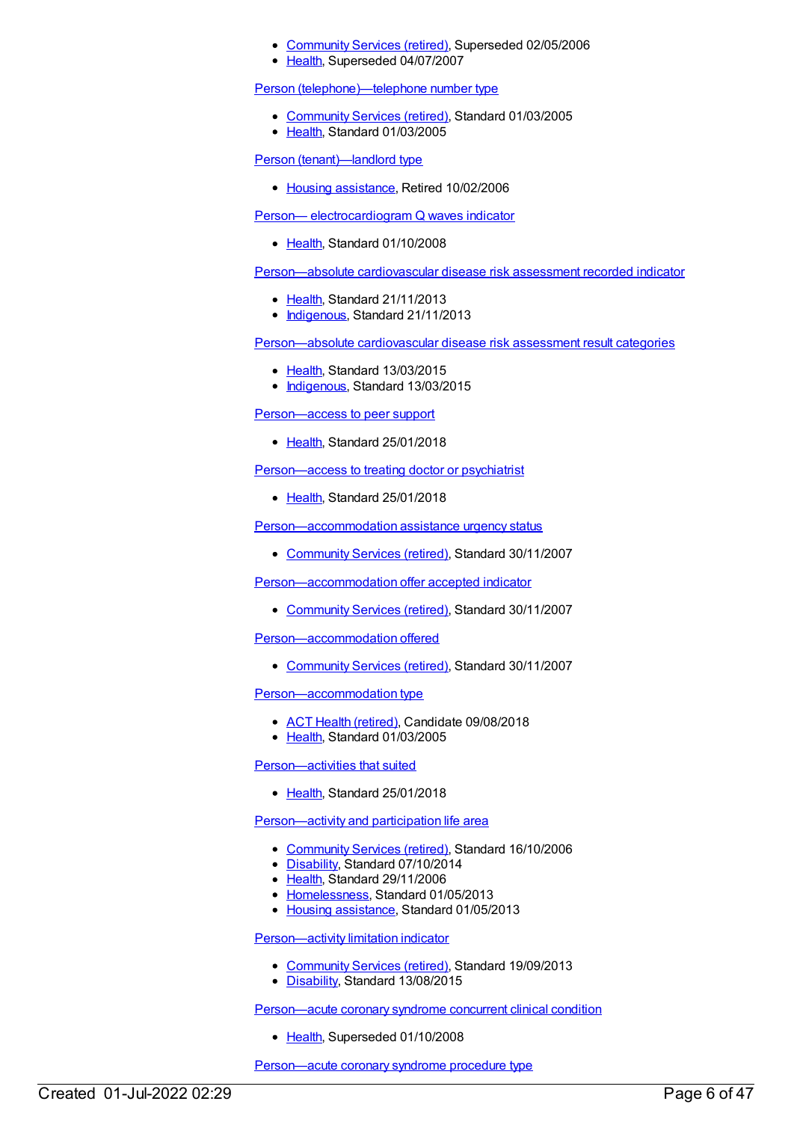- [Community](https://meteor.aihw.gov.au/RegistrationAuthority/1) Services (retired), Superseded 02/05/2006
- [Health](https://meteor.aihw.gov.au/RegistrationAuthority/12), Superseded 04/07/2007

#### Person [\(telephone\)—telephone](https://meteor.aihw.gov.au/content/269736) number type

- [Community](https://meteor.aihw.gov.au/RegistrationAuthority/1) Services (retired), Standard 01/03/2005
- [Health](https://meteor.aihw.gov.au/RegistrationAuthority/12), Standard 01/03/2005

Person [\(tenant\)—landlord](https://meteor.aihw.gov.au/content/269640) type

• Housing [assistance](https://meteor.aihw.gov.au/RegistrationAuthority/11), Retired 10/02/2006

Person— [electrocardiogram](https://meteor.aihw.gov.au/content/347708) Q waves indicator

• [Health](https://meteor.aihw.gov.au/RegistrationAuthority/12), Standard 01/10/2008

[Person—absolute](https://meteor.aihw.gov.au/content/503018) cardiovascular disease risk assessment recorded indicator

- [Health](https://meteor.aihw.gov.au/RegistrationAuthority/12), Standard 21/11/2013
- [Indigenous](https://meteor.aihw.gov.au/RegistrationAuthority/6), Standard 21/11/2013

[Person—absolute](https://meteor.aihw.gov.au/content/585240) cardiovascular disease risk assessment result categories

- [Health](https://meteor.aihw.gov.au/RegistrationAuthority/12), Standard 13/03/2015
- [Indigenous](https://meteor.aihw.gov.au/RegistrationAuthority/6), Standard 13/03/2015

[Person—access](https://meteor.aihw.gov.au/content/634939) to peer support

• [Health](https://meteor.aihw.gov.au/RegistrationAuthority/12), Standard 25/01/2018

[Person—access](https://meteor.aihw.gov.au/content/634830) to treating doctor or psychiatrist

• [Health](https://meteor.aihw.gov.au/RegistrationAuthority/12), Standard 25/01/2018

[Person—accommodation](https://meteor.aihw.gov.au/content/352358) assistance urgency status

[Community](https://meteor.aihw.gov.au/RegistrationAuthority/1) Services (retired), Standard 30/11/2007

[Person—accommodation](https://meteor.aihw.gov.au/content/331512) offer accepted indicator

[Community](https://meteor.aihw.gov.au/RegistrationAuthority/1) Services (retired), Standard 30/11/2007

[Person—accommodation](https://meteor.aihw.gov.au/content/329984) offered

• [Community](https://meteor.aihw.gov.au/RegistrationAuthority/1) Services (retired), Standard 30/11/2007

[Person—accommodation](https://meteor.aihw.gov.au/content/269592) type

- ACT Health [\(retired\)](https://meteor.aihw.gov.au/RegistrationAuthority/9), Candidate 09/08/2018
- [Health](https://meteor.aihw.gov.au/RegistrationAuthority/12), Standard 01/03/2005

#### [Person—activities](https://meteor.aihw.gov.au/content/634906) that suited

[Health](https://meteor.aihw.gov.au/RegistrationAuthority/12), Standard 25/01/2018

[Person—activity](https://meteor.aihw.gov.au/content/324435) and participation life area

- [Community](https://meteor.aihw.gov.au/RegistrationAuthority/1) Services (retired), Standard 16/10/2006
- [Disability](https://meteor.aihw.gov.au/RegistrationAuthority/16), Standard 07/10/2014
- Elealth, Standard 29/11/2006
- [Homelessness](https://meteor.aihw.gov.au/RegistrationAuthority/14), Standard 01/05/2013
- Housing [assistance](https://meteor.aihw.gov.au/RegistrationAuthority/11), Standard 01/05/2013

[Person—activity](https://meteor.aihw.gov.au/content/533811) limitation indicator

- [Community](https://meteor.aihw.gov.au/RegistrationAuthority/1) Services (retired), Standard 19/09/2013
- [Disability](https://meteor.aihw.gov.au/RegistrationAuthority/16), Standard 13/08/2015

[Person—acute](https://meteor.aihw.gov.au/content/284877) coronary syndrome concurrent clinical condition

• [Health](https://meteor.aihw.gov.au/RegistrationAuthority/12), Superseded 01/10/2008

[Person—acute](https://meteor.aihw.gov.au/content/284642) coronary syndrome procedure type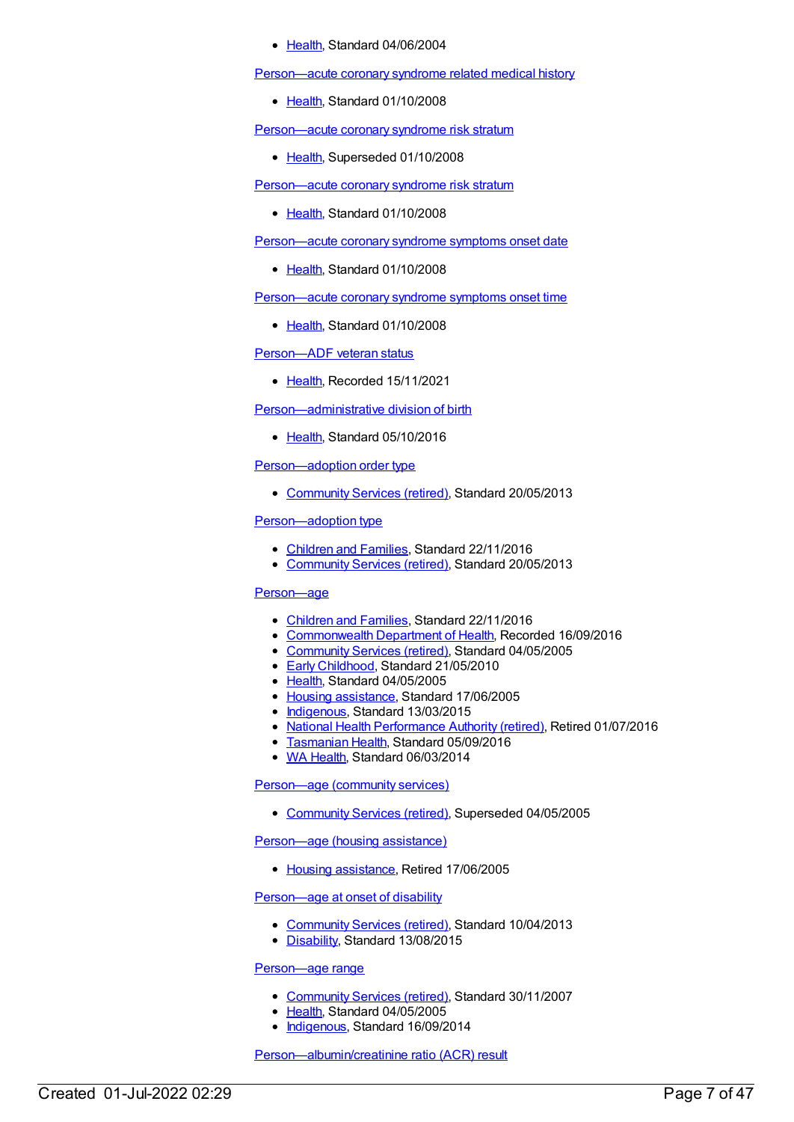#### • [Health](https://meteor.aihw.gov.au/RegistrationAuthority/12), Standard 04/06/2004

[Person—acute](https://meteor.aihw.gov.au/content/359154) coronary syndrome related medical history

• [Health](https://meteor.aihw.gov.au/RegistrationAuthority/12), Standard 01/10/2008

[Person—acute](https://meteor.aihw.gov.au/content/284648) coronary syndrome risk stratum

• [Health](https://meteor.aihw.gov.au/RegistrationAuthority/12), Superseded 01/10/2008

[Person—acute](https://meteor.aihw.gov.au/content/356668) coronary syndrome risk stratum

• [Health](https://meteor.aihw.gov.au/RegistrationAuthority/12), Standard 01/10/2008

[Person—acute](https://meteor.aihw.gov.au/content/321195) coronary syndrome symptoms onset date

• [Health](https://meteor.aihw.gov.au/RegistrationAuthority/12), Standard 01/10/2008

Person-acute coronary syndrome symptoms onset time

• [Health](https://meteor.aihw.gov.au/RegistrationAuthority/12), Standard 01/10/2008

[Person—ADF](https://meteor.aihw.gov.au/content/737926) veteran status

• [Health](https://meteor.aihw.gov.au/RegistrationAuthority/12), Recorded 15/11/2021

[Person—administrative](https://meteor.aihw.gov.au/content/521534) division of birth

• [Health](https://meteor.aihw.gov.au/RegistrationAuthority/12), Standard 05/10/2016

# [Person—adoption](https://meteor.aihw.gov.au/content/475808) order type

• [Community](https://meteor.aihw.gov.au/RegistrationAuthority/1) Services (retired), Standard 20/05/2013

# [Person—adoption](https://meteor.aihw.gov.au/content/467124) type

- [Children](https://meteor.aihw.gov.au/RegistrationAuthority/17) and Families, Standard 22/11/2016
- [Community](https://meteor.aihw.gov.au/RegistrationAuthority/1) Services (retired), Standard 20/05/2013

# [Person—age](https://meteor.aihw.gov.au/content/290402)

- [Children](https://meteor.aihw.gov.au/RegistrationAuthority/17) and Families, Standard 22/11/2016
- [Commonwealth](https://meteor.aihw.gov.au/RegistrationAuthority/10) Department of Health, Recorded 16/09/2016
- [Community](https://meteor.aihw.gov.au/RegistrationAuthority/1) Services (retired), Standard 04/05/2005
- **Early [Childhood](https://meteor.aihw.gov.au/RegistrationAuthority/13), Standard 21/05/2010**
- [Health](https://meteor.aihw.gov.au/RegistrationAuthority/12), Standard 04/05/2005
- Housing [assistance](https://meteor.aihw.gov.au/RegistrationAuthority/11), Standard 17/06/2005
- [Indigenous](https://meteor.aihw.gov.au/RegistrationAuthority/6), Standard 13/03/2015
- National Health [Performance](https://meteor.aihw.gov.au/RegistrationAuthority/8) Authority (retired), Retired 01/07/2016
- [Tasmanian](https://meteor.aihw.gov.au/RegistrationAuthority/15) Health, Standard 05/09/2016
- WA [Health](https://meteor.aihw.gov.au/RegistrationAuthority/2), Standard 06/03/2014

[Person—age](https://meteor.aihw.gov.au/content/269800) (community services)

[Community](https://meteor.aihw.gov.au/RegistrationAuthority/1) Services (retired), Superseded 04/05/2005

[Person—age](https://meteor.aihw.gov.au/content/269598) (housing assistance)

• Housing [assistance](https://meteor.aihw.gov.au/RegistrationAuthority/11), Retired 17/06/2005

#### [Person—age](https://meteor.aihw.gov.au/content/490479) at onset of disability

- [Community](https://meteor.aihw.gov.au/RegistrationAuthority/1) Services (retired), Standard 10/04/2013
- [Disability](https://meteor.aihw.gov.au/RegistrationAuthority/16), Standard 13/08/2015

#### [Person—age](https://meteor.aihw.gov.au/content/290496) range

- [Community](https://meteor.aihw.gov.au/RegistrationAuthority/1) Services (retired), Standard 30/11/2007
- Elealth, Standard 04/05/2005
- [Indigenous](https://meteor.aihw.gov.au/RegistrationAuthority/6), Standard 16/09/2014

#### [Person—albumin/creatinine](https://meteor.aihw.gov.au/content/594125) ratio (ACR) result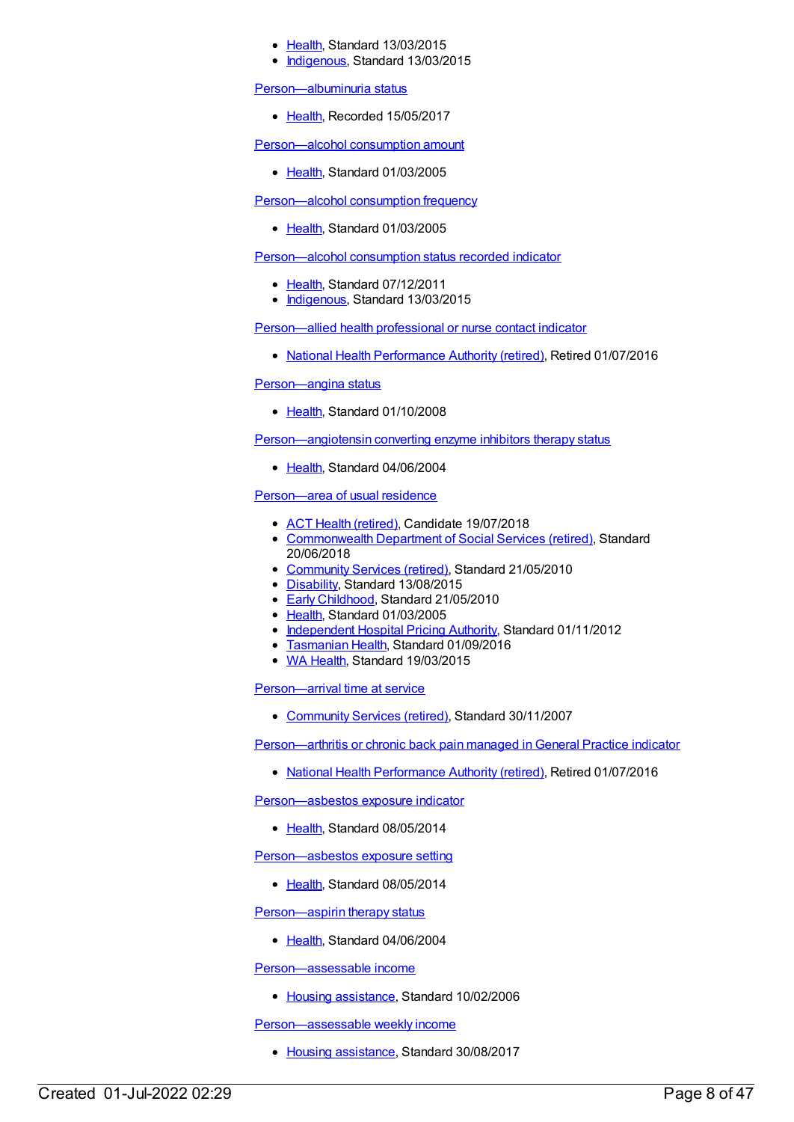- [Health](https://meteor.aihw.gov.au/RegistrationAuthority/12), Standard 13/03/2015
- [Indigenous](https://meteor.aihw.gov.au/RegistrationAuthority/6), Standard 13/03/2015

[Person—albuminuria](https://meteor.aihw.gov.au/content/666939) status

• [Health](https://meteor.aihw.gov.au/RegistrationAuthority/12), Recorded 15/05/2017

[Person—alcohol](https://meteor.aihw.gov.au/content/269833) consumption amount

● [Health](https://meteor.aihw.gov.au/RegistrationAuthority/12), Standard 01/03/2005

#### [Person—alcohol](https://meteor.aihw.gov.au/content/269699) consumption frequency

• [Health](https://meteor.aihw.gov.au/RegistrationAuthority/12), Standard 01/03/2005

[Person—alcohol](https://meteor.aihw.gov.au/content/441438) consumption status recorded indicator

- [Health](https://meteor.aihw.gov.au/RegistrationAuthority/12), Standard 07/12/2011
- [Indigenous](https://meteor.aihw.gov.au/RegistrationAuthority/6), Standard 13/03/2015

[Person—allied](https://meteor.aihw.gov.au/content/575312) health professional or nurse contact indicator

• National Health [Performance](https://meteor.aihw.gov.au/RegistrationAuthority/8) Authority (retired), Retired 01/07/2016

[Person—angina](https://meteor.aihw.gov.au/content/338329) status

• [Health](https://meteor.aihw.gov.au/RegistrationAuthority/12), Standard 01/10/2008

[Person—angiotensin](https://meteor.aihw.gov.au/content/284735) converting enzyme inhibitors therapy status

• [Health](https://meteor.aihw.gov.au/RegistrationAuthority/12), Standard 04/06/2004

[Person—area](https://meteor.aihw.gov.au/content/269542) of usual residence

- **ACT Health [\(retired\)](https://meteor.aihw.gov.au/RegistrationAuthority/9), Candidate 19/07/2018**
- [Commonwealth](https://meteor.aihw.gov.au/RegistrationAuthority/7) Department of Social Services (retired), Standard 20/06/2018
- [Community](https://meteor.aihw.gov.au/RegistrationAuthority/1) Services (retired), Standard 21/05/2010
- [Disability](https://meteor.aihw.gov.au/RegistrationAuthority/16), Standard 13/08/2015
- Early [Childhood](https://meteor.aihw.gov.au/RegistrationAuthority/13), Standard 21/05/2010
- [Health](https://meteor.aihw.gov.au/RegistrationAuthority/12), Standard 01/03/2005
- [Independent](https://meteor.aihw.gov.au/RegistrationAuthority/3) Hospital Pricing Authority, Standard 01/11/2012
- **[Tasmanian](https://meteor.aihw.gov.au/RegistrationAuthority/15) Health, Standard 01/09/2016**
- WA [Health](https://meteor.aihw.gov.au/RegistrationAuthority/2), Standard 19/03/2015

[Person—arrival](https://meteor.aihw.gov.au/content/314958) time at service

• [Community](https://meteor.aihw.gov.au/RegistrationAuthority/1) Services (retired), Standard 30/11/2007

[Person—arthritis](https://meteor.aihw.gov.au/content/595613) or chronic back pain managed in General Practice indicator

• National Health [Performance](https://meteor.aihw.gov.au/RegistrationAuthority/8) Authority (retired), Retired 01/07/2016

[Person—asbestos](https://meteor.aihw.gov.au/content/428216) exposure indicator

• [Health](https://meteor.aihw.gov.au/RegistrationAuthority/12), Standard 08/05/2014

[Person—asbestos](https://meteor.aihw.gov.au/content/520722) exposure setting

• [Health](https://meteor.aihw.gov.au/RegistrationAuthority/12), Standard 08/05/2014

[Person—aspirin](https://meteor.aihw.gov.au/content/284766) therapy status

• [Health](https://meteor.aihw.gov.au/RegistrationAuthority/12), Standard 04/06/2004

[Person—assessable](https://meteor.aihw.gov.au/content/302214) income

• Housing [assistance](https://meteor.aihw.gov.au/RegistrationAuthority/11), Standard 10/02/2006

[Person—assessable](https://meteor.aihw.gov.au/content/595868) weekly income

• Housing [assistance](https://meteor.aihw.gov.au/RegistrationAuthority/11), Standard 30/08/2017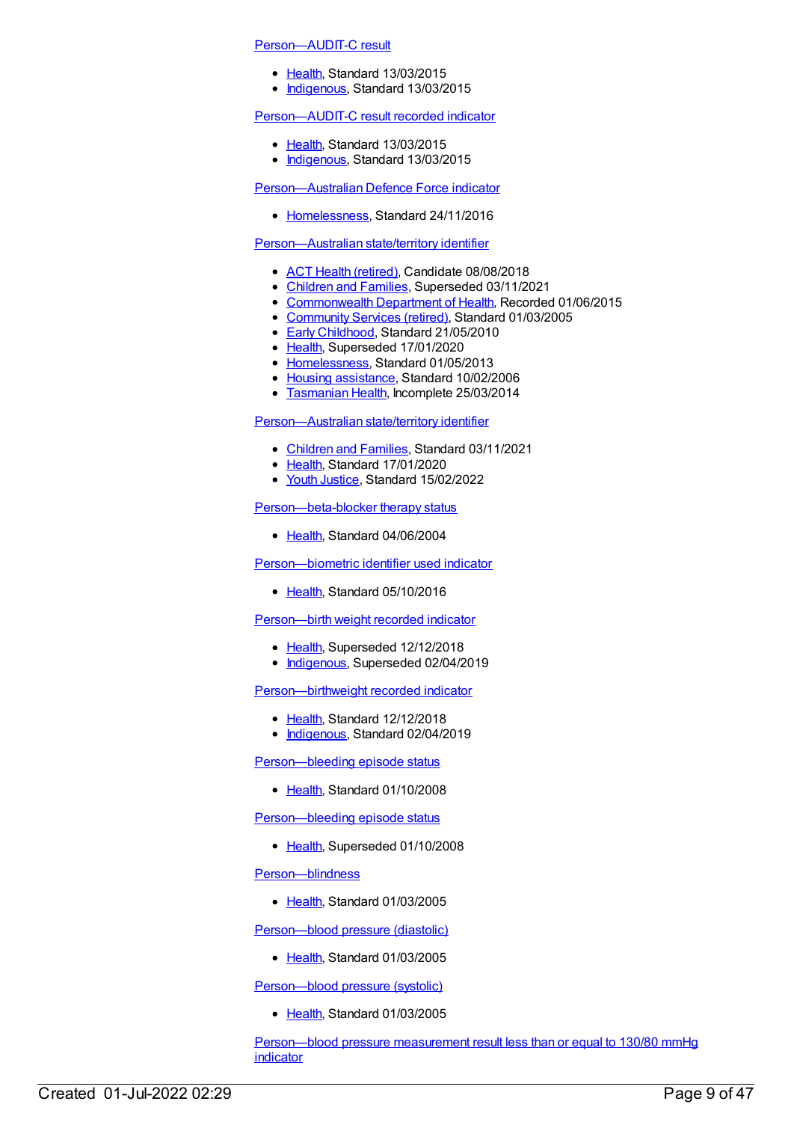#### [Person—AUDIT-C](https://meteor.aihw.gov.au/content/585183) result

- [Health](https://meteor.aihw.gov.au/RegistrationAuthority/12), Standard 13/03/2015
- [Indigenous](https://meteor.aihw.gov.au/RegistrationAuthority/6), Standard 13/03/2015

#### [Person—AUDIT-C](https://meteor.aihw.gov.au/content/585106) result recorded indicator

- [Health](https://meteor.aihw.gov.au/RegistrationAuthority/12), Standard 13/03/2015
- [Indigenous](https://meteor.aihw.gov.au/RegistrationAuthority/6), Standard 13/03/2015

[Person—Australian](https://meteor.aihw.gov.au/content/649525) Defence Force indicator

• [Homelessness](https://meteor.aihw.gov.au/RegistrationAuthority/14), Standard 24/11/2016

#### [Person—Australian](https://meteor.aihw.gov.au/content/269512) state/territory identifier

- ACT Health [\(retired\)](https://meteor.aihw.gov.au/RegistrationAuthority/9), Candidate 08/08/2018
- [Children](https://meteor.aihw.gov.au/RegistrationAuthority/17) and Families, Superseded 03/11/2021
- [Commonwealth](https://meteor.aihw.gov.au/RegistrationAuthority/10) Department of Health, Recorded 01/06/2015
- [Community](https://meteor.aihw.gov.au/RegistrationAuthority/1) Services (retired), Standard 01/03/2005
- **Early [Childhood](https://meteor.aihw.gov.au/RegistrationAuthority/13), Standard 21/05/2010**
- [Health](https://meteor.aihw.gov.au/RegistrationAuthority/12), Superseded 17/01/2020
- [Homelessness](https://meteor.aihw.gov.au/RegistrationAuthority/14), Standard 01/05/2013
- Housing [assistance](https://meteor.aihw.gov.au/RegistrationAuthority/11), Standard 10/02/2006
- **[Tasmanian](https://meteor.aihw.gov.au/RegistrationAuthority/15) Health, Incomplete 25/03/2014**

#### [Person—Australian](https://meteor.aihw.gov.au/content/722975) state/territory identifier

- [Children](https://meteor.aihw.gov.au/RegistrationAuthority/17) and Families, Standard 03/11/2021
- [Health](https://meteor.aihw.gov.au/RegistrationAuthority/12), Standard 17/01/2020
- Vouth [Justice](https://meteor.aihw.gov.au/RegistrationAuthority/4), Standard 15/02/2022

#### [Person—beta-blocker](https://meteor.aihw.gov.au/content/284794) therapy status

• [Health](https://meteor.aihw.gov.au/RegistrationAuthority/12), Standard 04/06/2004

#### [Person—biometric](https://meteor.aihw.gov.au/content/527286) identifier used indicator

• [Health](https://meteor.aihw.gov.au/RegistrationAuthority/12), Standard 05/10/2016

#### [Person—birth](https://meteor.aihw.gov.au/content/441699) weight recorded indicator

- [Health](https://meteor.aihw.gov.au/RegistrationAuthority/12), Superseded 12/12/2018
- [Indigenous](https://meteor.aihw.gov.au/RegistrationAuthority/6), Superseded 02/04/2019

#### [Person—birthweight](https://meteor.aihw.gov.au/content/709566) recorded indicator

- [Health](https://meteor.aihw.gov.au/RegistrationAuthority/12), Standard 12/12/2018
- [Indigenous](https://meteor.aihw.gov.au/RegistrationAuthority/6), Standard 02/04/2019

#### [Person—bleeding](https://meteor.aihw.gov.au/content/359325) episode status

• [Health](https://meteor.aihw.gov.au/RegistrationAuthority/12), Standard 01/10/2008

[Person—bleeding](https://meteor.aihw.gov.au/content/284806) episode status

• [Health](https://meteor.aihw.gov.au/RegistrationAuthority/12), Superseded 01/10/2008

#### [Person—blindness](https://meteor.aihw.gov.au/content/269537)

● [Health](https://meteor.aihw.gov.au/RegistrationAuthority/12), Standard 01/03/2005

[Person—blood](https://meteor.aihw.gov.au/content/269544) pressure (diastolic)

• [Health](https://meteor.aihw.gov.au/RegistrationAuthority/12), Standard 01/03/2005

[Person—blood](https://meteor.aihw.gov.au/content/269878) pressure (systolic)

● [Health](https://meteor.aihw.gov.au/RegistrationAuthority/12), Standard 01/03/2005

[Person—blood](https://meteor.aihw.gov.au/content/443232) pressure measurement result less than or equal to 130/80 mmHg **indicator**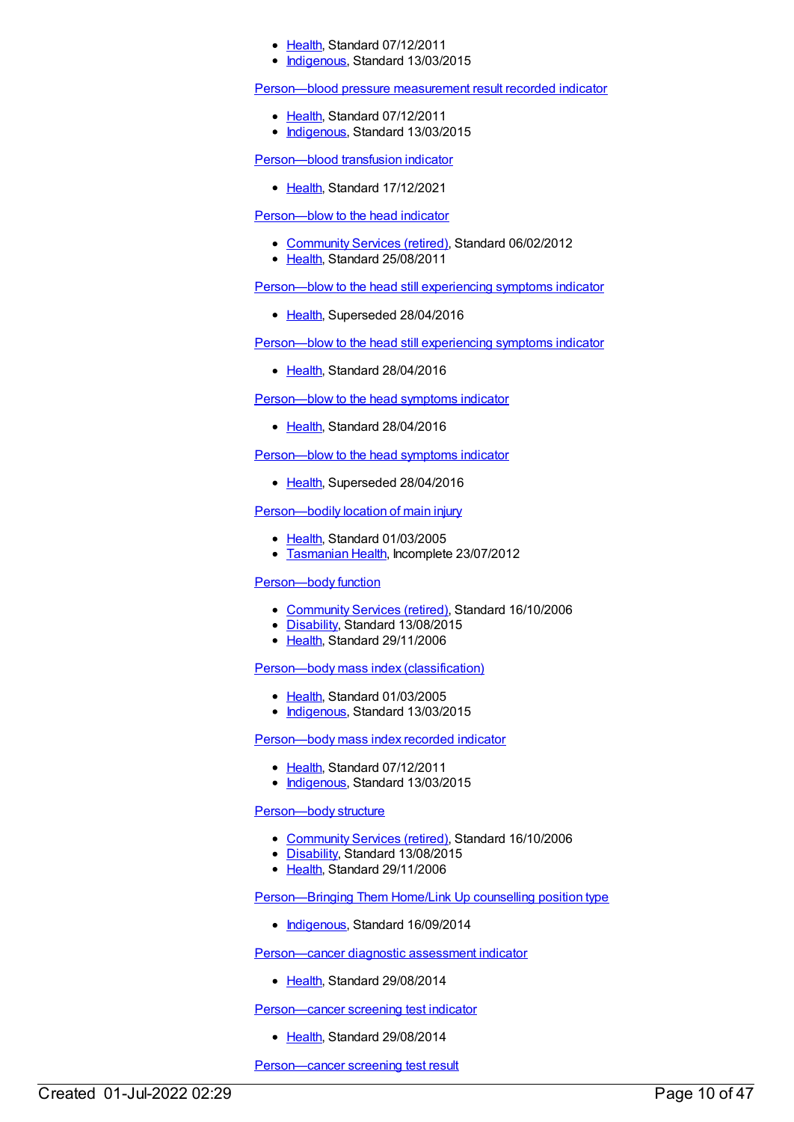- [Health](https://meteor.aihw.gov.au/RegistrationAuthority/12), Standard 07/12/2011
- [Indigenous](https://meteor.aihw.gov.au/RegistrationAuthority/6), Standard 13/03/2015

[Person—blood](https://meteor.aihw.gov.au/content/441403) pressure measurement result recorded indicator

- [Health](https://meteor.aihw.gov.au/RegistrationAuthority/12), Standard 07/12/2011
- [Indigenous](https://meteor.aihw.gov.au/RegistrationAuthority/6), Standard 13/03/2015

[Person—blood](https://meteor.aihw.gov.au/content/749951) transfusion indicator

● [Health](https://meteor.aihw.gov.au/RegistrationAuthority/12), Standard 17/12/2021

[Person—blow](https://meteor.aihw.gov.au/content/358831) to the head indicator

- [Community](https://meteor.aihw.gov.au/RegistrationAuthority/1) Services (retired), Standard 06/02/2012
- [Health](https://meteor.aihw.gov.au/RegistrationAuthority/12), Standard 25/08/2011

[Person—blow](https://meteor.aihw.gov.au/content/605666) to the head still experiencing symptoms indicator

• [Health](https://meteor.aihw.gov.au/RegistrationAuthority/12), Superseded 28/04/2016

[Person—blow](https://meteor.aihw.gov.au/content/626055) to the head still experiencing symptoms indicator

• [Health](https://meteor.aihw.gov.au/RegistrationAuthority/12), Standard 28/04/2016

[Person—blow](https://meteor.aihw.gov.au/content/626047) to the head symptoms indicator

• [Health](https://meteor.aihw.gov.au/RegistrationAuthority/12), Standard 28/04/2016

[Person—blow](https://meteor.aihw.gov.au/content/605658) to the head symptoms indicator

• [Health](https://meteor.aihw.gov.au/RegistrationAuthority/12), Superseded 28/04/2016

# Person-bodily location of main injury

- [Health](https://meteor.aihw.gov.au/RegistrationAuthority/12), Standard 01/03/2005
- **[Tasmanian](https://meteor.aihw.gov.au/RegistrationAuthority/15) Health, Incomplete 23/07/2012**

#### Person-body function

- [Community](https://meteor.aihw.gov.au/RegistrationAuthority/1) Services (retired), Standard 16/10/2006
- [Disability](https://meteor.aihw.gov.au/RegistrationAuthority/16), Standard 13/08/2015
- [Health](https://meteor.aihw.gov.au/RegistrationAuthority/12), Standard 29/11/2006

[Person—body](https://meteor.aihw.gov.au/content/269558) mass index (classification)

- [Health](https://meteor.aihw.gov.au/RegistrationAuthority/12), Standard 01/03/2005
- [Indigenous](https://meteor.aihw.gov.au/RegistrationAuthority/6), Standard 13/03/2015

# [Person—body](https://meteor.aihw.gov.au/content/443081) mass index recorded indicator

- [Health](https://meteor.aihw.gov.au/RegistrationAuthority/12), Standard 07/12/2011
- [Indigenous](https://meteor.aihw.gov.au/RegistrationAuthority/6), Standard 13/03/2015

# [Person—body](https://meteor.aihw.gov.au/content/320246) structure

- [Community](https://meteor.aihw.gov.au/RegistrationAuthority/1) Services (retired), Standard 16/10/2006
- [Disability](https://meteor.aihw.gov.au/RegistrationAuthority/16), Standard 13/08/2015
- [Health](https://meteor.aihw.gov.au/RegistrationAuthority/12), Standard 29/11/2006

[Person—Bringing](https://meteor.aihw.gov.au/content/578523) Them Home/Link Up counselling position type

• [Indigenous](https://meteor.aihw.gov.au/RegistrationAuthority/6), Standard 16/09/2014

[Person—cancer](https://meteor.aihw.gov.au/content/563775) diagnostic assessment indicator

• [Health](https://meteor.aihw.gov.au/RegistrationAuthority/12), Standard 29/08/2014

[Person—cancer](https://meteor.aihw.gov.au/content/571233) screening test indicator

• [Health](https://meteor.aihw.gov.au/RegistrationAuthority/12), Standard 29/08/2014

Person-cancer screening test result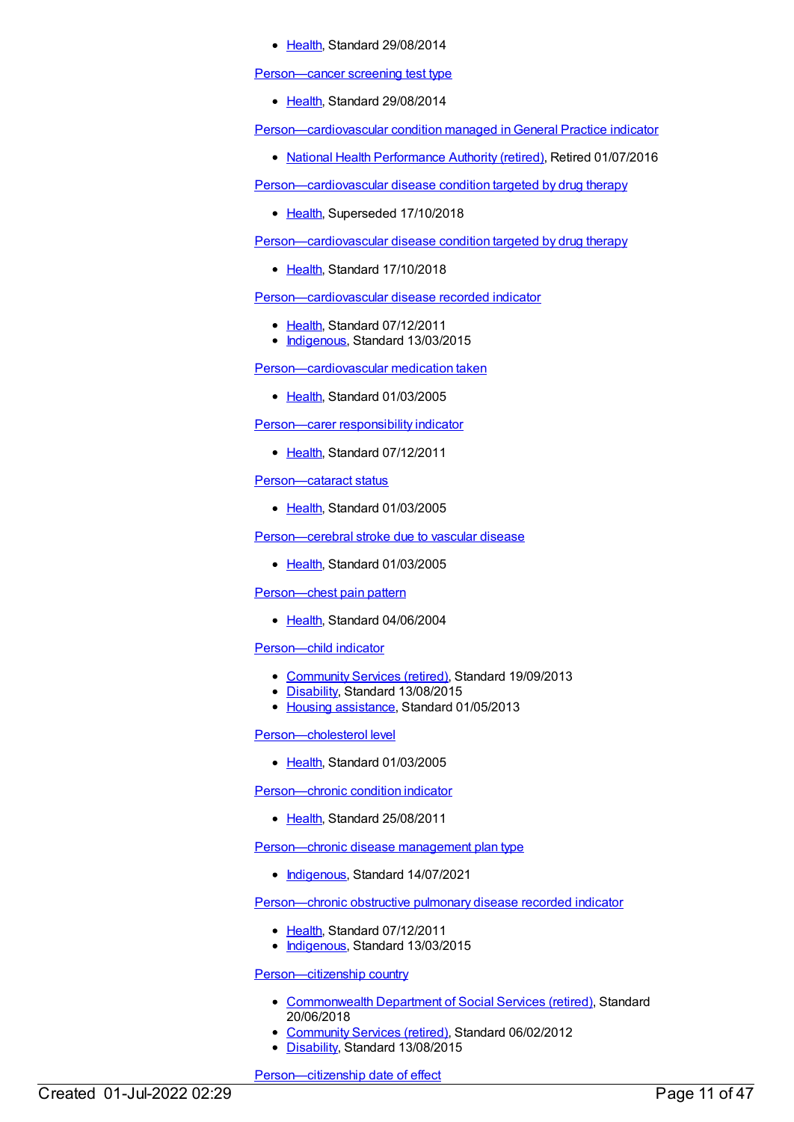[Health](https://meteor.aihw.gov.au/RegistrationAuthority/12), Standard 29/08/2014

Person-cancer screening test type

• [Health](https://meteor.aihw.gov.au/RegistrationAuthority/12), Standard 29/08/2014

Person-cardiovascular condition managed in General Practice indicator

• National Health [Performance](https://meteor.aihw.gov.au/RegistrationAuthority/8) Authority (retired), Retired 01/07/2016

[Person—cardiovascular](https://meteor.aihw.gov.au/content/269658) disease condition targeted by drug therapy

• [Health](https://meteor.aihw.gov.au/RegistrationAuthority/12), Superseded 17/10/2018

[Person—cardiovascular](https://meteor.aihw.gov.au/content/696063) disease condition targeted by drug therapy

• [Health](https://meteor.aihw.gov.au/RegistrationAuthority/12), Standard 17/10/2018

[Person—cardiovascular](https://meteor.aihw.gov.au/content/465946) disease recorded indicator

- [Health](https://meteor.aihw.gov.au/RegistrationAuthority/12), Standard 07/12/2011
- [Indigenous](https://meteor.aihw.gov.au/RegistrationAuthority/6), Standard 13/03/2015

[Person—cardiovascular](https://meteor.aihw.gov.au/content/269895) medication taken

• [Health](https://meteor.aihw.gov.au/RegistrationAuthority/12), Standard 01/03/2005

[Person—carer](https://meteor.aihw.gov.au/content/378322) responsibility indicator

• [Health](https://meteor.aihw.gov.au/RegistrationAuthority/12), Standard 07/12/2011

[Person—cataract](https://meteor.aihw.gov.au/content/269702) status

• [Health](https://meteor.aihw.gov.au/RegistrationAuthority/12), Standard 01/03/2005

[Person—cerebral](https://meteor.aihw.gov.au/content/269789) stroke due to vascular disease

• [Health](https://meteor.aihw.gov.au/RegistrationAuthority/12), Standard 01/03/2005

[Person—chest](https://meteor.aihw.gov.au/content/284831) pain pattern

• [Health](https://meteor.aihw.gov.au/RegistrationAuthority/12), Standard 04/06/2004

[Person—child](https://meteor.aihw.gov.au/content/491670) indicator

- [Community](https://meteor.aihw.gov.au/RegistrationAuthority/1) Services (retired), Standard 19/09/2013
- [Disability](https://meteor.aihw.gov.au/RegistrationAuthority/16), Standard 13/08/2015
- Housing [assistance](https://meteor.aihw.gov.au/RegistrationAuthority/11), Standard 01/05/2013

[Person—cholesterol](https://meteor.aihw.gov.au/content/269577) level

• [Health](https://meteor.aihw.gov.au/RegistrationAuthority/12), Standard 01/03/2005

[Person—chronic](https://meteor.aihw.gov.au/content/399230) condition indicator

• [Health](https://meteor.aihw.gov.au/RegistrationAuthority/12), Standard 25/08/2011

[Person—chronic](https://meteor.aihw.gov.au/content/731699) disease management plan type

• [Indigenous](https://meteor.aihw.gov.au/RegistrationAuthority/6), Standard 14/07/2021

[Person—chronic](https://meteor.aihw.gov.au/content/464920) obstructive pulmonary disease recorded indicator

- [Health](https://meteor.aihw.gov.au/RegistrationAuthority/12), Standard 07/12/2011
- [Indigenous](https://meteor.aihw.gov.au/RegistrationAuthority/6), Standard 13/03/2015

[Person—citizenship](https://meteor.aihw.gov.au/content/431024) country

- [Commonwealth](https://meteor.aihw.gov.au/RegistrationAuthority/7) Department of Social Services (retired), Standard 20/06/2018
- [Community](https://meteor.aihw.gov.au/RegistrationAuthority/1) Services (retired), Standard 06/02/2012
- [Disability](https://meteor.aihw.gov.au/RegistrationAuthority/16), Standard 13/08/2015

Person-citizenship date of effect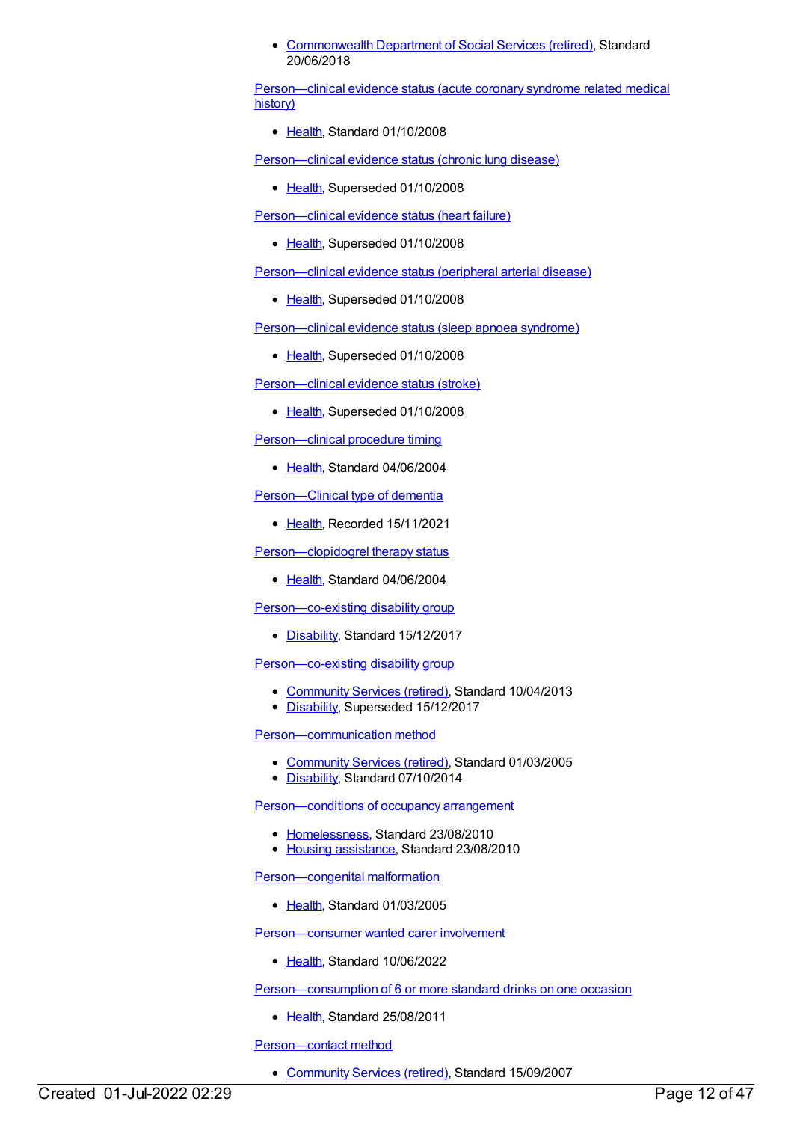[Commonwealth](https://meteor.aihw.gov.au/RegistrationAuthority/7) Department of Social Services (retired), Standard 20/06/2018

[Person—clinical](https://meteor.aihw.gov.au/content/356779) evidence status (acute coronary syndrome related medical history)

● [Health](https://meteor.aihw.gov.au/RegistrationAuthority/12), Standard 01/10/2008

[Person—clinical](https://meteor.aihw.gov.au/content/285281) evidence status (chronic lung disease)

• [Health](https://meteor.aihw.gov.au/RegistrationAuthority/12), Superseded 01/10/2008

[Person—clinical](https://meteor.aihw.gov.au/content/292817) evidence status (heart failure)

• [Health](https://meteor.aihw.gov.au/RegistrationAuthority/12), Superseded 01/10/2008

[Person—clinical](https://meteor.aihw.gov.au/content/292830) evidence status (peripheral arterial disease)

• [Health](https://meteor.aihw.gov.au/RegistrationAuthority/12), Superseded 01/10/2008

[Person—clinical](https://meteor.aihw.gov.au/content/292825) evidence status (sleep apnoea syndrome)

• [Health](https://meteor.aihw.gov.au/RegistrationAuthority/12), Superseded 01/10/2008

[Person—clinical](https://meteor.aihw.gov.au/content/292822) evidence status (stroke)

• [Health](https://meteor.aihw.gov.au/RegistrationAuthority/12), Superseded 01/10/2008

Person-clinical procedure timing

• [Health](https://meteor.aihw.gov.au/RegistrationAuthority/12), Standard 04/06/2004

Person-Clinical type of dementia

• [Health](https://meteor.aihw.gov.au/RegistrationAuthority/12), Recorded 15/11/2021

[Person—clopidogrel](https://meteor.aihw.gov.au/content/284869) therapy status

• [Health](https://meteor.aihw.gov.au/RegistrationAuthority/12), Standard 04/06/2004

[Person—co-existing](https://meteor.aihw.gov.au/content/680753) disability group

• [Disability](https://meteor.aihw.gov.au/RegistrationAuthority/16), Standard 15/12/2017

[Person—co-existing](https://meteor.aihw.gov.au/content/513798) disability group

- [Community](https://meteor.aihw.gov.au/RegistrationAuthority/1) Services (retired), Standard 10/04/2013
- [Disability](https://meteor.aihw.gov.au/RegistrationAuthority/16), Superseded 15/12/2017

[Person—communication](https://meteor.aihw.gov.au/content/269643) method

- [Community](https://meteor.aihw.gov.au/RegistrationAuthority/1) Services (retired), Standard 01/03/2005
- [Disability](https://meteor.aihw.gov.au/RegistrationAuthority/16), Standard 07/10/2014

Person-conditions of occupancy arrangement

- [Homelessness](https://meteor.aihw.gov.au/RegistrationAuthority/14), Standard 23/08/2010
- Housing [assistance](https://meteor.aihw.gov.au/RegistrationAuthority/11), Standard 23/08/2010

[Person—congenital](https://meteor.aihw.gov.au/content/269570) malformation

• [Health](https://meteor.aihw.gov.au/RegistrationAuthority/12), Standard 01/03/2005

[Person—consumer](https://meteor.aihw.gov.au/content/745484) wanted carer involvement

• [Health](https://meteor.aihw.gov.au/RegistrationAuthority/12), Standard 10/06/2022

Person-consumption of 6 or more standard drinks on one occasion

• [Health](https://meteor.aihw.gov.au/RegistrationAuthority/12), Standard 25/08/2011

[Person—contact](https://meteor.aihw.gov.au/content/336117) method

[Community](https://meteor.aihw.gov.au/RegistrationAuthority/1) Services (retired), Standard 15/09/2007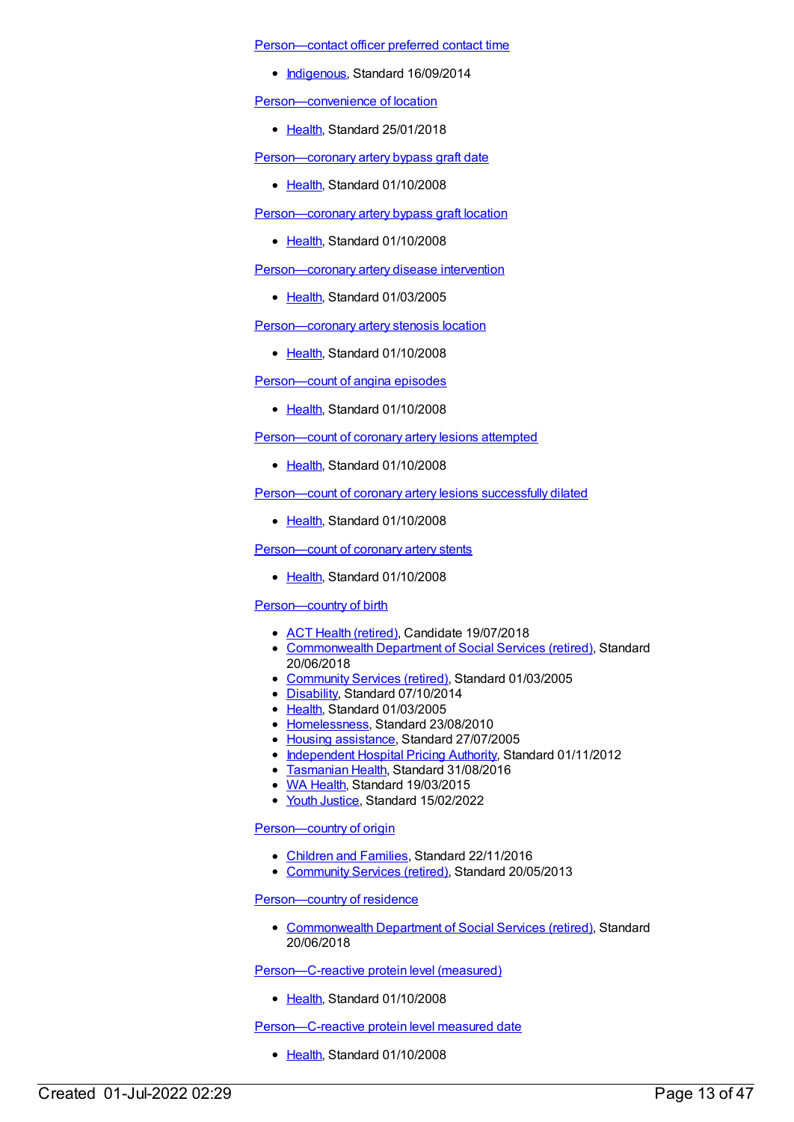[Person—contact](https://meteor.aihw.gov.au/content/562848) officer preferred contact time

• [Indigenous](https://meteor.aihw.gov.au/RegistrationAuthority/6), Standard 16/09/2014

[Person—convenience](https://meteor.aihw.gov.au/content/634965) of location

[Health](https://meteor.aihw.gov.au/RegistrationAuthority/12), Standard 25/01/2018

[Person—coronary](https://meteor.aihw.gov.au/content/344422) artery bypass graft date

• [Health](https://meteor.aihw.gov.au/RegistrationAuthority/12), Standard 01/10/2008

Person-coronary artery bypass graft location

• [Health](https://meteor.aihw.gov.au/RegistrationAuthority/12), Standard 01/10/2008

[Person—coronary](https://meteor.aihw.gov.au/content/269682) artery disease intervention

• [Health](https://meteor.aihw.gov.au/RegistrationAuthority/12), Standard 01/03/2005

[Person—coronary](https://meteor.aihw.gov.au/content/361084) artery stenosis location

• [Health](https://meteor.aihw.gov.au/RegistrationAuthority/12), Standard 01/10/2008

[Person—count](https://meteor.aihw.gov.au/content/338286) of angina episodes

• [Health](https://meteor.aihw.gov.au/RegistrationAuthority/12), Standard 01/10/2008

[Person—count](https://meteor.aihw.gov.au/content/344402) of coronary artery lesions attempted

[Health](https://meteor.aihw.gov.au/RegistrationAuthority/12), Standard 01/10/2008

[Person—count](https://meteor.aihw.gov.au/content/344409) of coronary artery lesions successfully dilated

• [Health](https://meteor.aihw.gov.au/RegistrationAuthority/12), Standard 01/10/2008

[Person—count](https://meteor.aihw.gov.au/content/344415) of coronary artery stents

• [Health](https://meteor.aihw.gov.au/RegistrationAuthority/12), Standard 01/10/2008

### [Person—country](https://meteor.aihw.gov.au/content/269686) of birth

- ACT Health [\(retired\)](https://meteor.aihw.gov.au/RegistrationAuthority/9), Candidate 19/07/2018
- [Commonwealth](https://meteor.aihw.gov.au/RegistrationAuthority/7) Department of Social Services (retired), Standard 20/06/2018
- [Community](https://meteor.aihw.gov.au/RegistrationAuthority/1) Services (retired), Standard 01/03/2005
- [Disability](https://meteor.aihw.gov.au/RegistrationAuthority/16), Standard 07/10/2014
- [Health](https://meteor.aihw.gov.au/RegistrationAuthority/12), Standard 01/03/2005
- [Homelessness](https://meteor.aihw.gov.au/RegistrationAuthority/14), Standard 23/08/2010
- Housing [assistance](https://meteor.aihw.gov.au/RegistrationAuthority/11), Standard 27/07/2005
- [Independent](https://meteor.aihw.gov.au/RegistrationAuthority/3) Hospital Pricing Authority, Standard 01/11/2012
- [Tasmanian](https://meteor.aihw.gov.au/RegistrationAuthority/15) Health, Standard 31/08/2016
- WA [Health](https://meteor.aihw.gov.au/RegistrationAuthority/2), Standard 19/03/2015
- Youth [Justice](https://meteor.aihw.gov.au/RegistrationAuthority/4), Standard 15/02/2022

Person-country of origin

- [Children](https://meteor.aihw.gov.au/RegistrationAuthority/17) and Families, Standard 22/11/2016
- [Community](https://meteor.aihw.gov.au/RegistrationAuthority/1) Services (retired), Standard 20/05/2013

Person-country of residence

[Commonwealth](https://meteor.aihw.gov.au/RegistrationAuthority/7) Department of Social Services (retired), Standard 20/06/2018

[Person—C-reactive](https://meteor.aihw.gov.au/content/338238) protein level (measured)

• [Health](https://meteor.aihw.gov.au/RegistrationAuthority/12), Standard 01/10/2008

[Person—C-reactive](https://meteor.aihw.gov.au/content/338275) protein level measured date

• [Health](https://meteor.aihw.gov.au/RegistrationAuthority/12), Standard 01/10/2008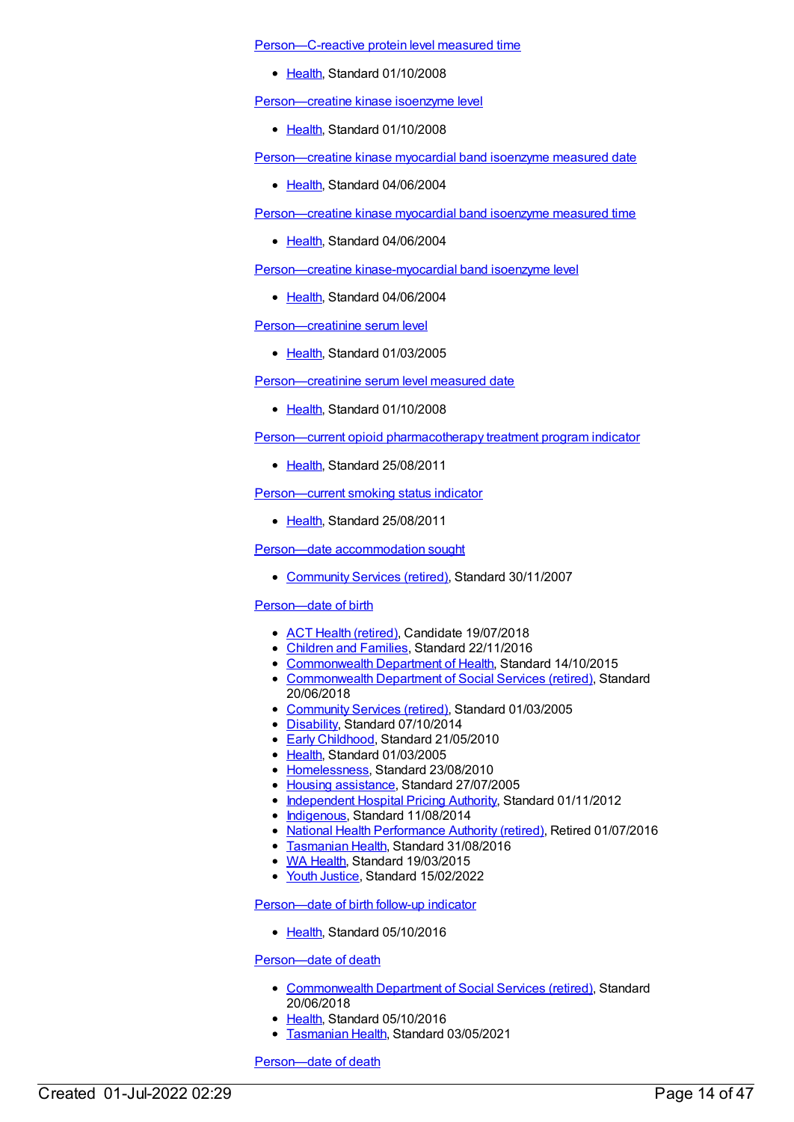[Person—C-reactive](https://meteor.aihw.gov.au/content/343851) protein level measured time

• [Health](https://meteor.aihw.gov.au/RegistrationAuthority/12), Standard 01/10/2008

[Person—creatine](https://meteor.aihw.gov.au/content/349538) kinase isoenzyme level

[Health](https://meteor.aihw.gov.au/RegistrationAuthority/12), Standard 01/10/2008

[Person—creatine](https://meteor.aihw.gov.au/content/284971) kinase myocardial band isoenzyme measured date

• [Health](https://meteor.aihw.gov.au/RegistrationAuthority/12), Standard 04/06/2004

[Person—creatine](https://meteor.aihw.gov.au/content/285177) kinase myocardial band isoenzyme measured time

• [Health](https://meteor.aihw.gov.au/RegistrationAuthority/12), Standard 04/06/2004

Person—creatine [kinase-myocardial](https://meteor.aihw.gov.au/content/284895) band isoenzyme level

• [Health](https://meteor.aihw.gov.au/RegistrationAuthority/12), Standard 04/06/2004

[Person—creatinine](https://meteor.aihw.gov.au/content/269566) serum level

• [Health](https://meteor.aihw.gov.au/RegistrationAuthority/12), Standard 01/03/2005

[Person—creatinine](https://meteor.aihw.gov.au/content/343841) serum level measured date

• [Health](https://meteor.aihw.gov.au/RegistrationAuthority/12), Standard 01/10/2008

Person—current opioid [pharmacotherapy](https://meteor.aihw.gov.au/content/404743) treatment program indicator

[Health](https://meteor.aihw.gov.au/RegistrationAuthority/12), Standard 25/08/2011

[Person—current](https://meteor.aihw.gov.au/content/399536) smoking status indicator

• [Health](https://meteor.aihw.gov.au/RegistrationAuthority/12), Standard 25/08/2011

Person—date [accommodation](https://meteor.aihw.gov.au/content/336191) sought

[Community](https://meteor.aihw.gov.au/RegistrationAuthority/1) Services (retired), Standard 30/11/2007

# [Person—date](https://meteor.aihw.gov.au/content/269565) of birth

- ACT Health [\(retired\)](https://meteor.aihw.gov.au/RegistrationAuthority/9), Candidate 19/07/2018
- [Children](https://meteor.aihw.gov.au/RegistrationAuthority/17) and Families, Standard 22/11/2016
- [Commonwealth](https://meteor.aihw.gov.au/RegistrationAuthority/10) Department of Health, Standard 14/10/2015
- [Commonwealth](https://meteor.aihw.gov.au/RegistrationAuthority/7) Department of Social Services (retired), Standard 20/06/2018
- [Community](https://meteor.aihw.gov.au/RegistrationAuthority/1) Services (retired), Standard 01/03/2005
- [Disability](https://meteor.aihw.gov.au/RegistrationAuthority/16), Standard 07/10/2014
- Early [Childhood](https://meteor.aihw.gov.au/RegistrationAuthority/13), Standard 21/05/2010
- [Health](https://meteor.aihw.gov.au/RegistrationAuthority/12), Standard 01/03/2005
- [Homelessness](https://meteor.aihw.gov.au/RegistrationAuthority/14), Standard 23/08/2010
- Housing [assistance](https://meteor.aihw.gov.au/RegistrationAuthority/11), Standard 27/07/2005
- [Independent](https://meteor.aihw.gov.au/RegistrationAuthority/3) Hospital Pricing Authority, Standard 01/11/2012
- [Indigenous](https://meteor.aihw.gov.au/RegistrationAuthority/6), Standard 11/08/2014
- National Health [Performance](https://meteor.aihw.gov.au/RegistrationAuthority/8) Authority (retired), Retired 01/07/2016
- [Tasmanian](https://meteor.aihw.gov.au/RegistrationAuthority/15) Health, Standard 31/08/2016
- WA [Health](https://meteor.aihw.gov.au/RegistrationAuthority/2), Standard 19/03/2015
- Youth [Justice](https://meteor.aihw.gov.au/RegistrationAuthority/4), Standard 15/02/2022

[Person—date](https://meteor.aihw.gov.au/content/521214) of birth follow-up indicator

• [Health](https://meteor.aihw.gov.au/RegistrationAuthority/12), Standard 05/10/2016

[Person—date](https://meteor.aihw.gov.au/content/646023) of death

- [Commonwealth](https://meteor.aihw.gov.au/RegistrationAuthority/7) Department of Social Services (retired), Standard 20/06/2018
- [Health](https://meteor.aihw.gov.au/RegistrationAuthority/12), Standard 05/10/2016
- **[Tasmanian](https://meteor.aihw.gov.au/RegistrationAuthority/15) Health, Standard 03/05/2021**

[Person—date](https://meteor.aihw.gov.au/content/287299) of death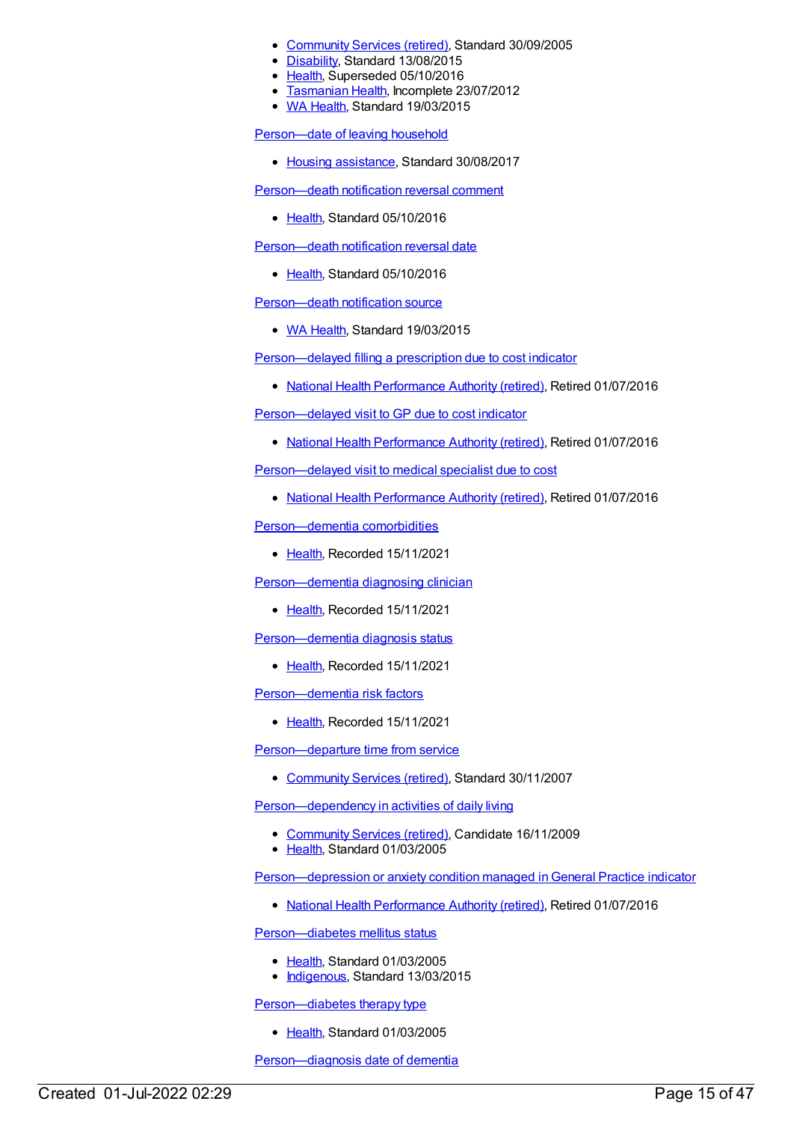- [Community](https://meteor.aihw.gov.au/RegistrationAuthority/1) Services (retired), Standard 30/09/2005
- [Disability](https://meteor.aihw.gov.au/RegistrationAuthority/16), Standard 13/08/2015
- [Health](https://meteor.aihw.gov.au/RegistrationAuthority/12), Superseded 05/10/2016
- **[Tasmanian](https://meteor.aihw.gov.au/RegistrationAuthority/15) Health, Incomplete 23/07/2012**
- WA [Health](https://meteor.aihw.gov.au/RegistrationAuthority/2), Standard 19/03/2015

[Person—date](https://meteor.aihw.gov.au/content/610242) of leaving household

• Housing [assistance](https://meteor.aihw.gov.au/RegistrationAuthority/11), Standard 30/08/2017

[Person—death](https://meteor.aihw.gov.au/content/521454) notification reversal comment

• [Health](https://meteor.aihw.gov.au/RegistrationAuthority/12), Standard 05/10/2016

[Person—death](https://meteor.aihw.gov.au/content/521466) notification reversal date

• [Health](https://meteor.aihw.gov.au/RegistrationAuthority/12), Standard 05/10/2016

[Person—death](https://meteor.aihw.gov.au/content/493650) notification source

• WA [Health](https://meteor.aihw.gov.au/RegistrationAuthority/2), Standard 19/03/2015

[Person—delayed](https://meteor.aihw.gov.au/content/573603) filling a prescription due to cost indicator

• National Health [Performance](https://meteor.aihw.gov.au/RegistrationAuthority/8) Authority (retired), Retired 01/07/2016

[Person—delayed](https://meteor.aihw.gov.au/content/573592) visit to GP due to cost indicator

• National Health [Performance](https://meteor.aihw.gov.au/RegistrationAuthority/8) Authority (retired), Retired 01/07/2016

[Person—delayed](https://meteor.aihw.gov.au/content/573665) visit to medical specialist due to cost

• National Health [Performance](https://meteor.aihw.gov.au/RegistrationAuthority/8) Authority (retired), Retired 01/07/2016

[Person—dementia](https://meteor.aihw.gov.au/content/737978) comorbidities

• [Health](https://meteor.aihw.gov.au/RegistrationAuthority/12), Recorded 15/11/2021

[Person—dementia](https://meteor.aihw.gov.au/content/737942) diagnosing clinician

• [Health](https://meteor.aihw.gov.au/RegistrationAuthority/12), Recorded 15/11/2021

[Person—dementia](https://meteor.aihw.gov.au/content/737881) diagnosis status

• [Health](https://meteor.aihw.gov.au/RegistrationAuthority/12), Recorded 15/11/2021

[Person—dementia](https://meteor.aihw.gov.au/content/738018) risk factors

• [Health](https://meteor.aihw.gov.au/RegistrationAuthority/12), Recorded 15/11/2021

Person-departure time from service

• [Community](https://meteor.aihw.gov.au/RegistrationAuthority/1) Services (retired), Standard 30/11/2007

Person-dependency in activities of daily living

- [Community](https://meteor.aihw.gov.au/RegistrationAuthority/1) Services (retired), Candidate 16/11/2009
- [Health](https://meteor.aihw.gov.au/RegistrationAuthority/12), Standard 01/03/2005

[Person—depression](https://meteor.aihw.gov.au/content/595642) or anxiety condition managed in General Practice indicator

• National Health [Performance](https://meteor.aihw.gov.au/RegistrationAuthority/8) Authority (retired), Retired 01/07/2016

[Person—diabetes](https://meteor.aihw.gov.au/content/269659) mellitus status

- [Health](https://meteor.aihw.gov.au/RegistrationAuthority/12), Standard 01/03/2005
- [Indigenous](https://meteor.aihw.gov.au/RegistrationAuthority/6), Standard 13/03/2015

[Person—diabetes](https://meteor.aihw.gov.au/content/269852) therapy type

• [Health](https://meteor.aihw.gov.au/RegistrationAuthority/12), Standard 01/03/2005

Person-diagnosis date of dementia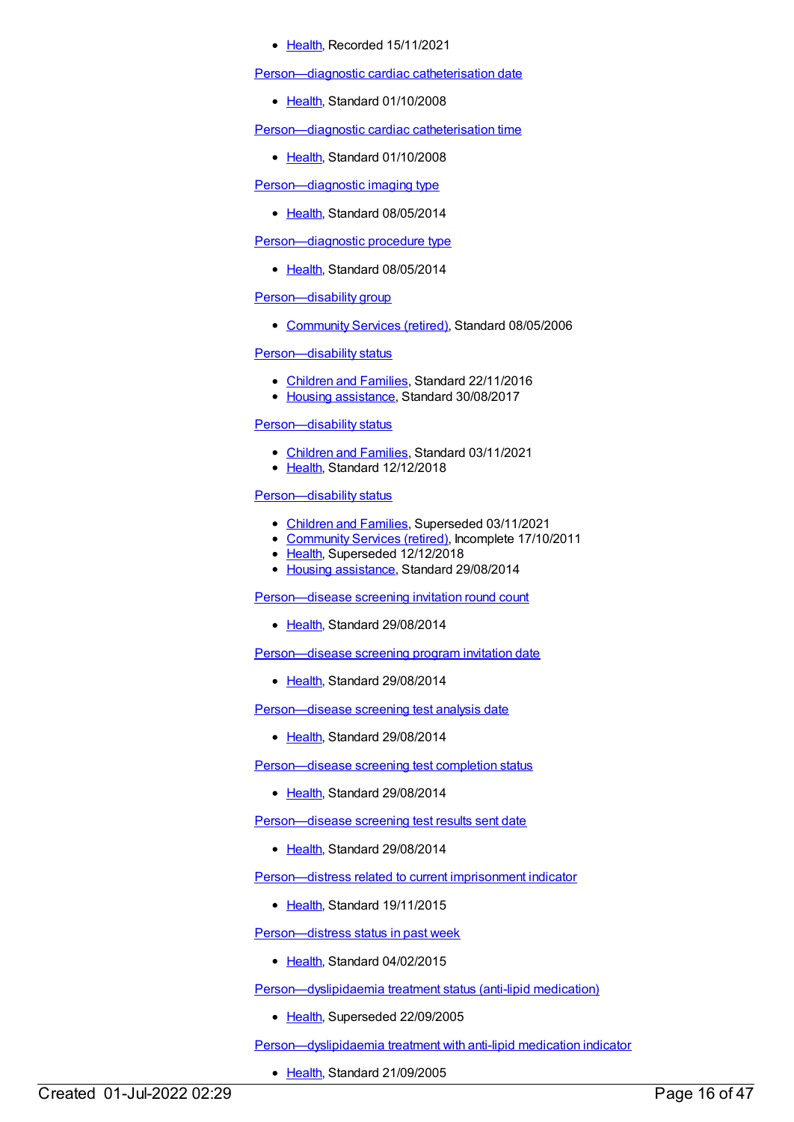• [Health](https://meteor.aihw.gov.au/RegistrationAuthority/12), Recorded 15/11/2021

[Person—diagnostic](https://meteor.aihw.gov.au/content/359785) cardiac catheterisation date

• [Health](https://meteor.aihw.gov.au/RegistrationAuthority/12), Standard 01/10/2008

[Person—diagnostic](https://meteor.aihw.gov.au/content/359772) cardiac catheterisation time

• [Health](https://meteor.aihw.gov.au/RegistrationAuthority/12), Standard 01/10/2008

[Person—diagnostic](https://meteor.aihw.gov.au/content/431752) imaging type

• [Health](https://meteor.aihw.gov.au/RegistrationAuthority/12), Standard 08/05/2014

Person-diagnostic procedure type

• [Health](https://meteor.aihw.gov.au/RegistrationAuthority/12), Standard 08/05/2014

# [Person—disability](https://meteor.aihw.gov.au/content/315311) group

• [Community](https://meteor.aihw.gov.au/RegistrationAuthority/1) Services (retired), Standard 08/05/2006

Person-disability status

- [Children](https://meteor.aihw.gov.au/RegistrationAuthority/17) and Families, Standard 22/11/2016
- Housing [assistance](https://meteor.aihw.gov.au/RegistrationAuthority/11), Standard 30/08/2017

#### [Person—disability](https://meteor.aihw.gov.au/content/697116) status

- [Children](https://meteor.aihw.gov.au/RegistrationAuthority/17) and Families, Standard 03/11/2021
- [Health](https://meteor.aihw.gov.au/RegistrationAuthority/12), Standard 12/12/2018

#### Person-disability status

- [Children](https://meteor.aihw.gov.au/RegistrationAuthority/17) and Families, Superseded 03/11/2021
- [Community](https://meteor.aihw.gov.au/RegistrationAuthority/1) Services (retired), Incomplete 17/10/2011
- [Health](https://meteor.aihw.gov.au/RegistrationAuthority/12), Superseded 12/12/2018
- Housing [assistance](https://meteor.aihw.gov.au/RegistrationAuthority/11), Standard 29/08/2014

[Person—disease](https://meteor.aihw.gov.au/content/530043) screening invitation round count

• [Health](https://meteor.aihw.gov.au/RegistrationAuthority/12), Standard 29/08/2014

[Person—disease](https://meteor.aihw.gov.au/content/530057) screening program invitation date

• [Health](https://meteor.aihw.gov.au/RegistrationAuthority/12), Standard 29/08/2014

[Person—disease](https://meteor.aihw.gov.au/content/568133) screening test analysis date

• [Health](https://meteor.aihw.gov.au/RegistrationAuthority/12), Standard 29/08/2014

[Person—disease](https://meteor.aihw.gov.au/content/529898) screening test completion status

● [Health](https://meteor.aihw.gov.au/RegistrationAuthority/12), Standard 29/08/2014

[Person—disease](https://meteor.aihw.gov.au/content/530001) screening test results sent date

• [Health](https://meteor.aihw.gov.au/RegistrationAuthority/12), Standard 29/08/2014

[Person—distress](https://meteor.aihw.gov.au/content/376087) related to current imprisonment indicator

• [Health](https://meteor.aihw.gov.au/RegistrationAuthority/12), Standard 19/11/2015

[Person—distress](https://meteor.aihw.gov.au/content/483587) status in past week

• [Health](https://meteor.aihw.gov.au/RegistrationAuthority/12), Standard 04/02/2015

[Person—dyslipidaemia](https://meteor.aihw.gov.au/content/269830) treatment status (anti-lipid medication)

• [Health](https://meteor.aihw.gov.au/RegistrationAuthority/12), Superseded 22/09/2005

[Person—dyslipidaemia](https://meteor.aihw.gov.au/content/304485) treatment with anti-lipid medication indicator

• [Health](https://meteor.aihw.gov.au/RegistrationAuthority/12), Standard 21/09/2005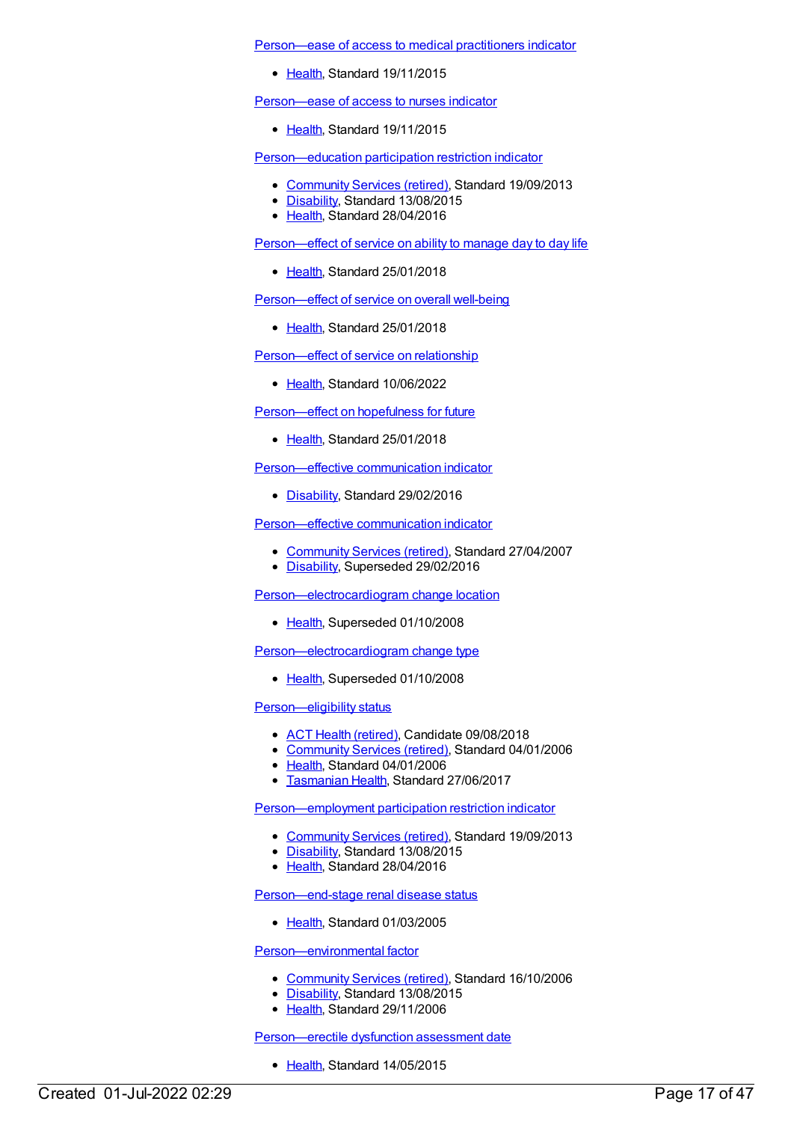[Person—ease](https://meteor.aihw.gov.au/content/483270) of access to medical practitioners indicator

• [Health](https://meteor.aihw.gov.au/RegistrationAuthority/12), Standard 19/11/2015

[Person—ease](https://meteor.aihw.gov.au/content/483276) of access to nurses indicator

• [Health](https://meteor.aihw.gov.au/RegistrationAuthority/12), Standard 19/11/2015

[Person—education](https://meteor.aihw.gov.au/content/520895) participation restriction indicator

- [Community](https://meteor.aihw.gov.au/RegistrationAuthority/1) Services (retired), Standard 19/09/2013
- [Disability](https://meteor.aihw.gov.au/RegistrationAuthority/16), Standard 13/08/2015
- [Health](https://meteor.aihw.gov.au/RegistrationAuthority/12), Standard 28/04/2016

[Person—effect](https://meteor.aihw.gov.au/content/634994) of service on ability to manage day to day life

• [Health](https://meteor.aihw.gov.au/RegistrationAuthority/12), Standard 25/01/2018

[Person—effect](https://meteor.aihw.gov.au/content/634987) of service on overall well-being

• [Health](https://meteor.aihw.gov.au/RegistrationAuthority/12), Standard 25/01/2018

[Person—effect](https://meteor.aihw.gov.au/content/751645) of service on relationship

• [Health](https://meteor.aihw.gov.au/RegistrationAuthority/12), Standard 10/06/2022

[Person—effect](https://meteor.aihw.gov.au/content/635003) on hopefulness for future

• [Health](https://meteor.aihw.gov.au/RegistrationAuthority/12), Standard 25/01/2018

[Person—effective](https://meteor.aihw.gov.au/content/621352) communication indicator

• [Disability](https://meteor.aihw.gov.au/RegistrationAuthority/16), Standard 29/02/2016

[Person—effective](https://meteor.aihw.gov.au/content/345058) communication indicator

- [Community](https://meteor.aihw.gov.au/RegistrationAuthority/1) Services (retired), Standard 27/04/2007
- [Disability](https://meteor.aihw.gov.au/RegistrationAuthority/16), Superseded 29/02/2016

[Person—electrocardiogram](https://meteor.aihw.gov.au/content/285067) change location

• [Health](https://meteor.aihw.gov.au/RegistrationAuthority/12), Superseded 01/10/2008

[Person—electrocardiogram](https://meteor.aihw.gov.au/content/285303) change type

• [Health](https://meteor.aihw.gov.au/RegistrationAuthority/12), Superseded 01/10/2008

[Person—eligibility](https://meteor.aihw.gov.au/content/304534) status

- ACT Health [\(retired\)](https://meteor.aihw.gov.au/RegistrationAuthority/9), Candidate 09/08/2018
- [Community](https://meteor.aihw.gov.au/RegistrationAuthority/1) Services (retired), Standard 04/01/2006
- [Health](https://meteor.aihw.gov.au/RegistrationAuthority/12), Standard 04/01/2006
- **[Tasmanian](https://meteor.aihw.gov.au/RegistrationAuthority/15) Health, Standard 27/06/2017**

[Person—employment](https://meteor.aihw.gov.au/content/520925) participation restriction indicator

- [Community](https://meteor.aihw.gov.au/RegistrationAuthority/1) Services (retired), Standard 19/09/2013
- [Disability](https://meteor.aihw.gov.au/RegistrationAuthority/16), Standard 13/08/2015
- Elealth, Standard 28/04/2016

[Person—end-stage](https://meteor.aihw.gov.au/content/269803) renal disease status

• [Health](https://meteor.aihw.gov.au/RegistrationAuthority/12), Standard 01/03/2005

[Person—environmental](https://meteor.aihw.gov.au/content/320225) factor

- [Community](https://meteor.aihw.gov.au/RegistrationAuthority/1) Services (retired), Standard 16/10/2006
- [Disability](https://meteor.aihw.gov.au/RegistrationAuthority/16), Standard 13/08/2015
- [Health](https://meteor.aihw.gov.au/RegistrationAuthority/12), Standard 29/11/2006

[Person—erectile](https://meteor.aihw.gov.au/content/587680) dysfunction assessment date

• [Health](https://meteor.aihw.gov.au/RegistrationAuthority/12), Standard 14/05/2015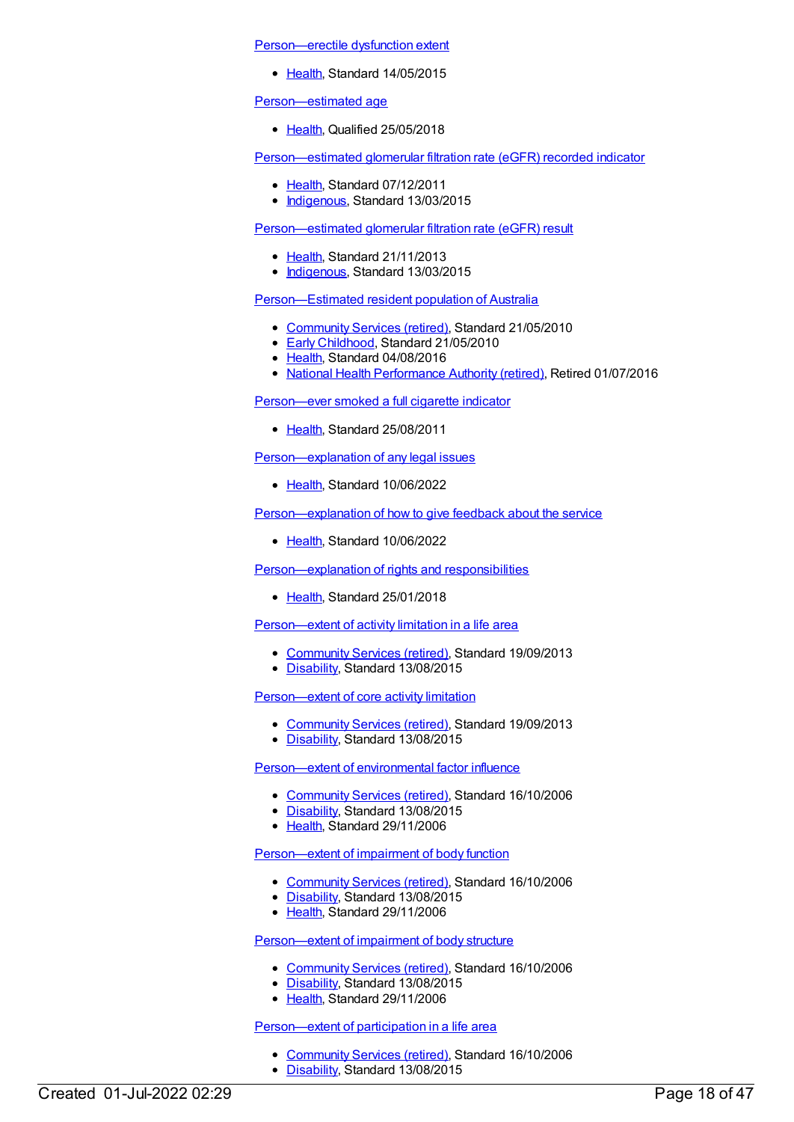[Person—erectile](https://meteor.aihw.gov.au/content/587677) dysfunction extent

• [Health](https://meteor.aihw.gov.au/RegistrationAuthority/12), Standard 14/05/2015

[Person—estimated](https://meteor.aihw.gov.au/content/696626) age

[Health](https://meteor.aihw.gov.au/RegistrationAuthority/12), Qualified 25/05/2018

[Person—estimated](https://meteor.aihw.gov.au/content/464959) glomerular filtration rate (eGFR) recorded indicator

- [Health](https://meteor.aihw.gov.au/RegistrationAuthority/12), Standard 07/12/2011
- [Indigenous](https://meteor.aihw.gov.au/RegistrationAuthority/6), Standard 13/03/2015

[Person—estimated](https://meteor.aihw.gov.au/content/502752) glomerular filtration rate (eGFR) result

- [Health](https://meteor.aihw.gov.au/RegistrationAuthority/12), Standard 21/11/2013
- [Indigenous](https://meteor.aihw.gov.au/RegistrationAuthority/6), Standard 13/03/2015

[Person—Estimated](https://meteor.aihw.gov.au/content/397725) resident population of Australia

- [Community](https://meteor.aihw.gov.au/RegistrationAuthority/1) Services (retired), Standard 21/05/2010
- Early [Childhood](https://meteor.aihw.gov.au/RegistrationAuthority/13), Standard 21/05/2010
- [Health](https://meteor.aihw.gov.au/RegistrationAuthority/12), Standard 04/08/2016
- National Health [Performance](https://meteor.aihw.gov.au/RegistrationAuthority/8) Authority (retired), Retired 01/07/2016

[Person—ever](https://meteor.aihw.gov.au/content/399272) smoked a full cigarette indicator

• [Health](https://meteor.aihw.gov.au/RegistrationAuthority/12), Standard 25/08/2011

[Person—explanation](https://meteor.aihw.gov.au/content/751384) of any legal issues

[Health](https://meteor.aihw.gov.au/RegistrationAuthority/12), Standard 10/06/2022

[Person—explanation](https://meteor.aihw.gov.au/content/751597) of how to give feedback about the service

• [Health](https://meteor.aihw.gov.au/RegistrationAuthority/12), Standard 10/06/2022

[Person—explanation](https://meteor.aihw.gov.au/content/634930) of rights and responsibilities

[Health](https://meteor.aihw.gov.au/RegistrationAuthority/12), Standard 25/01/2018

[Person—extent](https://meteor.aihw.gov.au/content/506003) of activity limitation in a life area

- [Community](https://meteor.aihw.gov.au/RegistrationAuthority/1) Services (retired), Standard 19/09/2013
- [Disability](https://meteor.aihw.gov.au/RegistrationAuthority/16), Standard 13/08/2015

Person-extent of core activity limitation

- [Community](https://meteor.aihw.gov.au/RegistrationAuthority/1) Services (retired), Standard 19/09/2013
- [Disability](https://meteor.aihw.gov.au/RegistrationAuthority/16), Standard 13/08/2015

[Person—extent](https://meteor.aihw.gov.au/content/320230) of environmental factor influence

- [Community](https://meteor.aihw.gov.au/RegistrationAuthority/1) Services (retired), Standard 16/10/2006
- [Disability](https://meteor.aihw.gov.au/RegistrationAuthority/16), Standard 13/08/2015
- [Health](https://meteor.aihw.gov.au/RegistrationAuthority/12), Standard 29/11/2006

[Person—extent](https://meteor.aihw.gov.au/content/320242) of impairment of body function

- [Community](https://meteor.aihw.gov.au/RegistrationAuthority/1) Services (retired), Standard 16/10/2006
- [Disability](https://meteor.aihw.gov.au/RegistrationAuthority/16), Standard 13/08/2015
- [Health](https://meteor.aihw.gov.au/RegistrationAuthority/12), Standard 29/11/2006

[Person—extent](https://meteor.aihw.gov.au/content/320254) of impairment of body structure

- [Community](https://meteor.aihw.gov.au/RegistrationAuthority/1) Services (retired), Standard 16/10/2006
- [Disability](https://meteor.aihw.gov.au/RegistrationAuthority/16), Standard 13/08/2015
- Elealth, Standard 29/11/2006

# [Person—extent](https://meteor.aihw.gov.au/content/324447) of participation in a life area

- [Community](https://meteor.aihw.gov.au/RegistrationAuthority/1) Services (retired), Standard 16/10/2006
- [Disability](https://meteor.aihw.gov.au/RegistrationAuthority/16), Standard 13/08/2015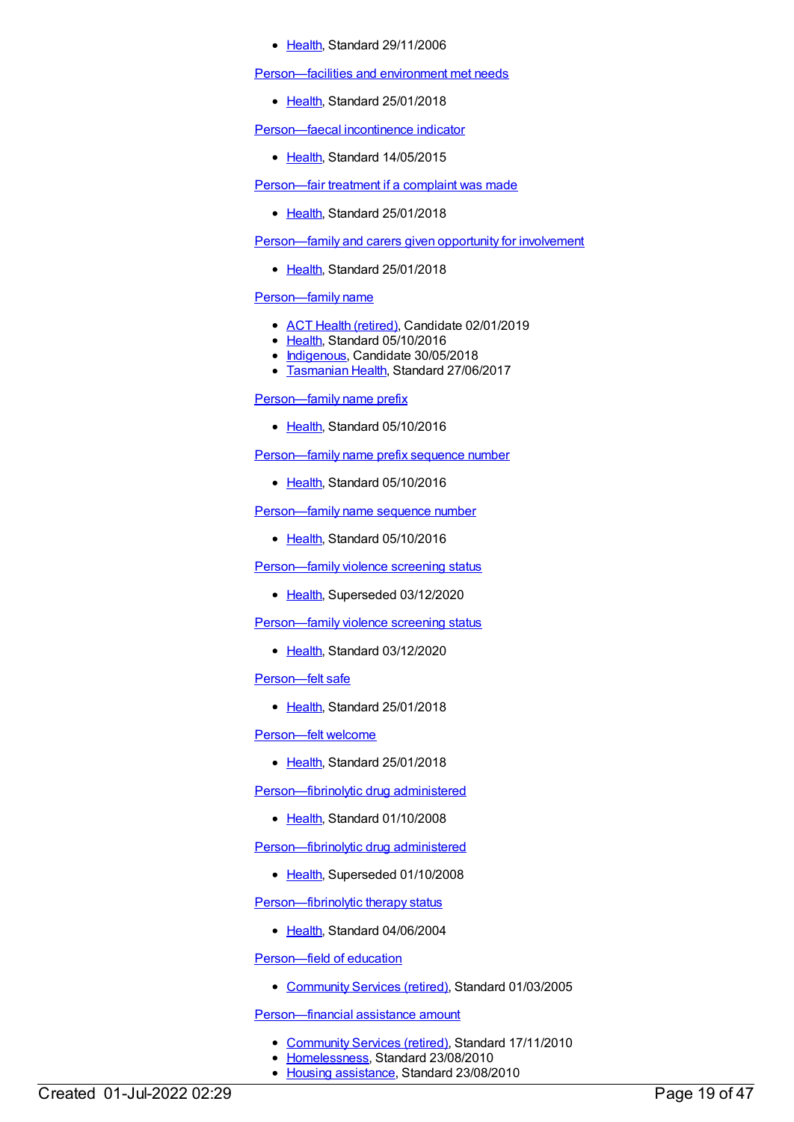#### [Health](https://meteor.aihw.gov.au/RegistrationAuthority/12), Standard 29/11/2006

[Person—facilities](https://meteor.aihw.gov.au/content/634865) and environment met needs

• [Health](https://meteor.aihw.gov.au/RegistrationAuthority/12), Standard 25/01/2018

[Person—faecal](https://meteor.aihw.gov.au/content/481967) incontinence indicator

• [Health](https://meteor.aihw.gov.au/RegistrationAuthority/12), Standard 14/05/2015

[Person—fair](https://meteor.aihw.gov.au/content/634840) treatment if a complaint was made

• [Health](https://meteor.aihw.gov.au/RegistrationAuthority/12), Standard 25/01/2018

[Person—family](https://meteor.aihw.gov.au/content/634733) and carers given opportunity for involvement

• [Health](https://meteor.aihw.gov.au/RegistrationAuthority/12), Standard 25/01/2018

# [Person—family](https://meteor.aihw.gov.au/content/613333) name

- ACT Health [\(retired\)](https://meteor.aihw.gov.au/RegistrationAuthority/9), Candidate 02/01/2019
- [Health](https://meteor.aihw.gov.au/RegistrationAuthority/12), Standard 05/10/2016
- [Indigenous](https://meteor.aihw.gov.au/RegistrationAuthority/6), Candidate 30/05/2018
- [Tasmanian](https://meteor.aihw.gov.au/RegistrationAuthority/15) Health, Standard 27/06/2017

[Person—family](https://meteor.aihw.gov.au/content/520787) name prefix

• [Health](https://meteor.aihw.gov.au/RegistrationAuthority/12), Standard 05/10/2016

[Person—family](https://meteor.aihw.gov.au/content/520800) name prefix sequence number

• [Health](https://meteor.aihw.gov.au/RegistrationAuthority/12), Standard 05/10/2016

Person-family name sequence number

• [Health](https://meteor.aihw.gov.au/RegistrationAuthority/12), Standard 05/10/2016

Person-family violence screening status

• [Health](https://meteor.aihw.gov.au/RegistrationAuthority/12), Superseded 03/12/2020

[Person—family](https://meteor.aihw.gov.au/content/733539) violence screening status

• [Health](https://meteor.aihw.gov.au/RegistrationAuthority/12), Standard 03/12/2020

[Person—felt](https://meteor.aihw.gov.au/content/634693) safe

• [Health](https://meteor.aihw.gov.au/RegistrationAuthority/12), Standard 25/01/2018

[Person—felt](https://meteor.aihw.gov.au/content/633648) welcome

• [Health](https://meteor.aihw.gov.au/RegistrationAuthority/12), Standard 25/01/2018

[Person—fibrinolytic](https://meteor.aihw.gov.au/content/356873) drug administered

• [Health](https://meteor.aihw.gov.au/RegistrationAuthority/12), Standard 01/10/2008

[Person—fibrinolytic](https://meteor.aihw.gov.au/content/285075) drug administered

• [Health](https://meteor.aihw.gov.au/RegistrationAuthority/12), Superseded 01/10/2008

[Person—fibrinolytic](https://meteor.aihw.gov.au/content/285083) therapy status

• [Health](https://meteor.aihw.gov.au/RegistrationAuthority/12), Standard 04/06/2004

[Person—field](https://meteor.aihw.gov.au/content/269638) of education

• [Community](https://meteor.aihw.gov.au/RegistrationAuthority/1) Services (retired), Standard 01/03/2005

[Person—financial](https://meteor.aihw.gov.au/content/401989) assistance amount

- [Community](https://meteor.aihw.gov.au/RegistrationAuthority/1) Services (retired), Standard 17/11/2010
- [Homelessness](https://meteor.aihw.gov.au/RegistrationAuthority/14), Standard 23/08/2010
- Housing [assistance](https://meteor.aihw.gov.au/RegistrationAuthority/11), Standard 23/08/2010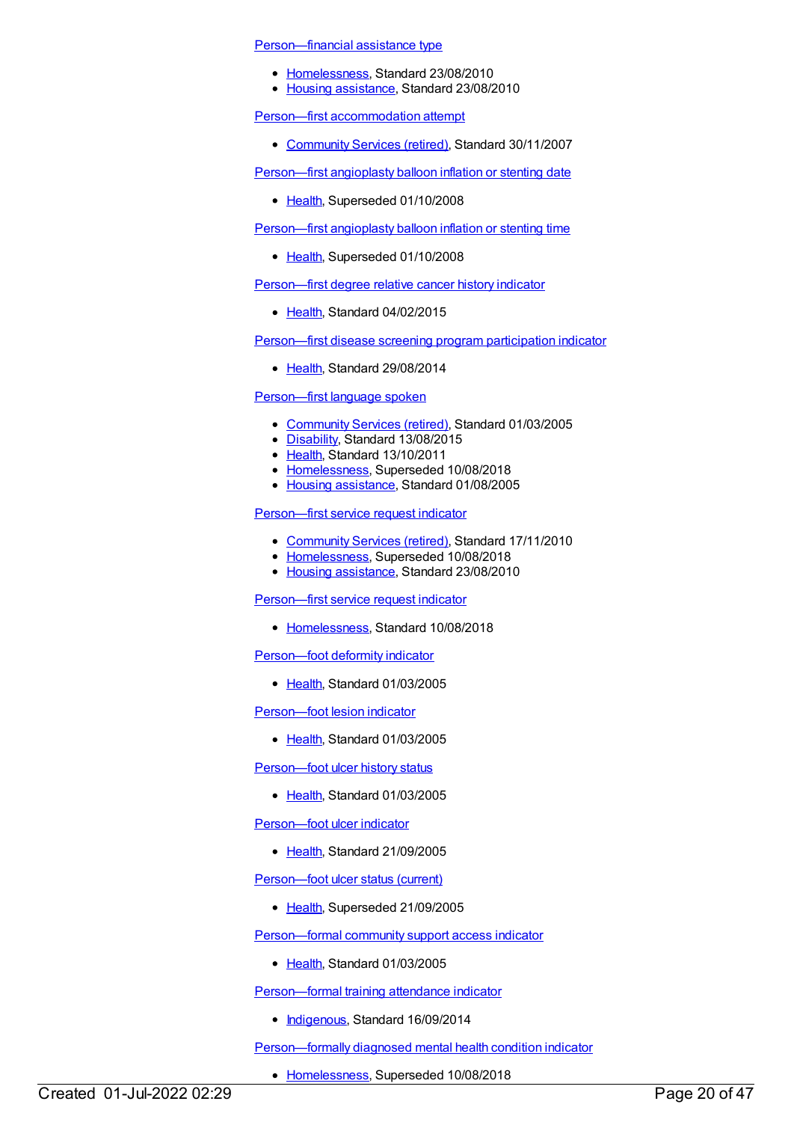[Person—financial](https://meteor.aihw.gov.au/content/401976) assistance type

- [Homelessness](https://meteor.aihw.gov.au/RegistrationAuthority/14), Standard 23/08/2010
- Housing [assistance](https://meteor.aihw.gov.au/RegistrationAuthority/11), Standard 23/08/2010

Person—first [accommodation](https://meteor.aihw.gov.au/content/329734) attempt

• [Community](https://meteor.aihw.gov.au/RegistrationAuthority/1) Services (retired), Standard 30/11/2007

[Person—first](https://meteor.aihw.gov.au/content/284977) angioplasty balloon inflation or stenting date

• [Health](https://meteor.aihw.gov.au/RegistrationAuthority/12), Superseded 01/10/2008

[Person—first](https://meteor.aihw.gov.au/content/285185) angioplasty balloon inflation or stenting time

• [Health](https://meteor.aihw.gov.au/RegistrationAuthority/12), Superseded 01/10/2008

[Person—first](https://meteor.aihw.gov.au/content/510734) degree relative cancer history indicator

[Health](https://meteor.aihw.gov.au/RegistrationAuthority/12), Standard 04/02/2015

[Person—first](https://meteor.aihw.gov.au/content/563626) disease screening program participation indicator

• [Health](https://meteor.aihw.gov.au/RegistrationAuthority/12), Standard 29/08/2014

# [Person—first](https://meteor.aihw.gov.au/content/269743) language spoken

- [Community](https://meteor.aihw.gov.au/RegistrationAuthority/1) Services (retired), Standard 01/03/2005
- [Disability](https://meteor.aihw.gov.au/RegistrationAuthority/16), Standard 13/08/2015
- [Health](https://meteor.aihw.gov.au/RegistrationAuthority/12), Standard 13/10/2011
- [Homelessness](https://meteor.aihw.gov.au/RegistrationAuthority/14), Superseded 10/08/2018
- Housing [assistance](https://meteor.aihw.gov.au/RegistrationAuthority/11), Standard 01/08/2005

# [Person—first](https://meteor.aihw.gov.au/content/400255) service request indicator

- [Community](https://meteor.aihw.gov.au/RegistrationAuthority/1) Services (retired), Standard 17/11/2010
- [Homelessness](https://meteor.aihw.gov.au/RegistrationAuthority/14), Superseded 10/08/2018
- Housing [assistance](https://meteor.aihw.gov.au/RegistrationAuthority/11), Standard 23/08/2010

# [Person—first](https://meteor.aihw.gov.au/content/689155) service request indicator

[Homelessness](https://meteor.aihw.gov.au/RegistrationAuthority/14), Standard 10/08/2018

[Person—foot](https://meteor.aihw.gov.au/content/269616) deformity indicator

• [Health](https://meteor.aihw.gov.au/RegistrationAuthority/12), Standard 01/03/2005

[Person—foot](https://meteor.aihw.gov.au/content/269617) lesion indicator

• [Health](https://meteor.aihw.gov.au/RegistrationAuthority/12), Standard 01/03/2005

Person-foot ulcer history status

• [Health](https://meteor.aihw.gov.au/RegistrationAuthority/12), Standard 01/03/2005

Person-foot ulcer indicator

• [Health](https://meteor.aihw.gov.au/RegistrationAuthority/12), Standard 21/09/2005

Person-foot ulcer status (current)

• [Health](https://meteor.aihw.gov.au/RegistrationAuthority/12), Superseded 21/09/2005

[Person—formal](https://meteor.aihw.gov.au/content/269630) community support access indicator

• [Health](https://meteor.aihw.gov.au/RegistrationAuthority/12), Standard 01/03/2005

[Person—formal](https://meteor.aihw.gov.au/content/578338) training attendance indicator

• [Indigenous](https://meteor.aihw.gov.au/RegistrationAuthority/6), Standard 16/09/2014

[Person—formally](https://meteor.aihw.gov.au/content/399753) diagnosed mental health condition indicator

• [Homelessness](https://meteor.aihw.gov.au/RegistrationAuthority/14), Superseded 10/08/2018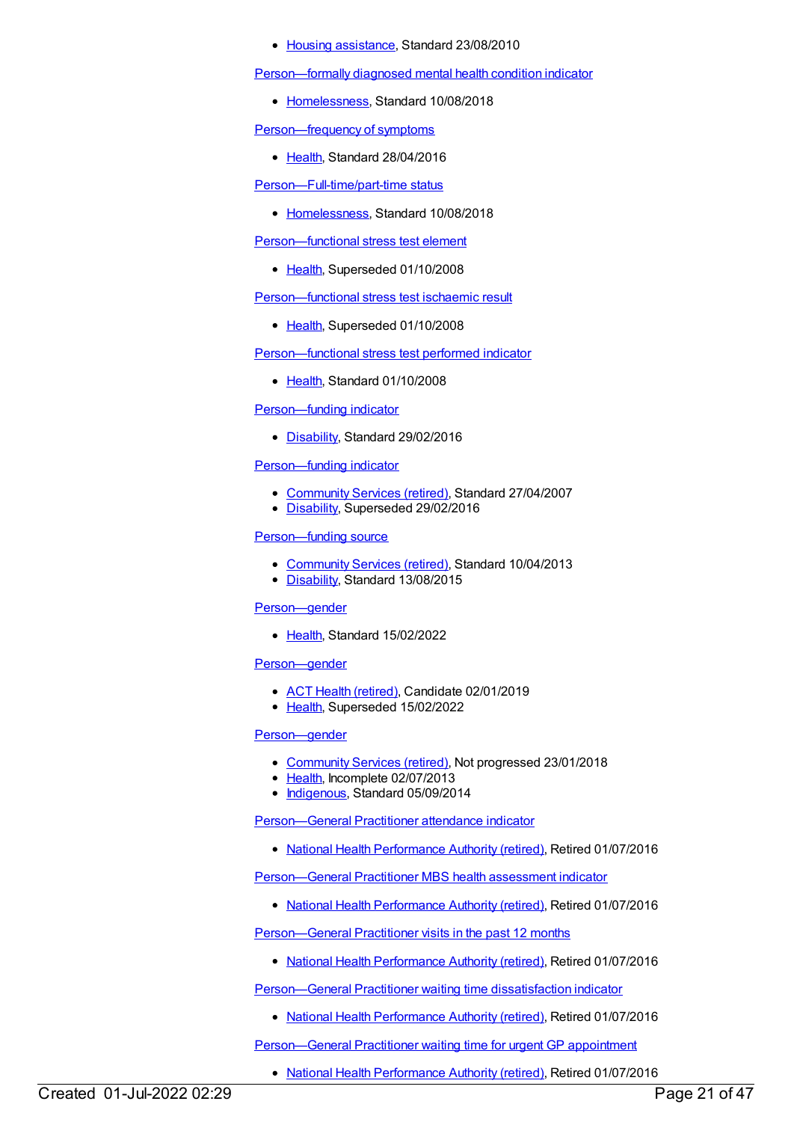#### • Housing [assistance](https://meteor.aihw.gov.au/RegistrationAuthority/11), Standard 23/08/2010

[Person—formally](https://meteor.aihw.gov.au/content/690507) diagnosed mental health condition indicator

[Homelessness](https://meteor.aihw.gov.au/RegistrationAuthority/14), Standard 10/08/2018

[Person—frequency](https://meteor.aihw.gov.au/content/634113) of symptoms

• [Health](https://meteor.aihw.gov.au/RegistrationAuthority/12), Standard 28/04/2016

[Person—Full-time/part-time](https://meteor.aihw.gov.au/content/691897) status

[Homelessness](https://meteor.aihw.gov.au/RegistrationAuthority/14), Standard 10/08/2018

[Person—functional](https://meteor.aihw.gov.au/content/285093) stress test element

• [Health](https://meteor.aihw.gov.au/RegistrationAuthority/12), Superseded 01/10/2008

[Person—functional](https://meteor.aihw.gov.au/content/285101) stress test ischaemic result

• [Health](https://meteor.aihw.gov.au/RegistrationAuthority/12), Superseded 01/10/2008

[Person—functional](https://meteor.aihw.gov.au/content/347694) stress test performed indicator

• [Health](https://meteor.aihw.gov.au/RegistrationAuthority/12), Standard 01/10/2008

[Person—funding](https://meteor.aihw.gov.au/content/621359) indicator

[Disability](https://meteor.aihw.gov.au/RegistrationAuthority/16), Standard 29/02/2016

# [Person—funding](https://meteor.aihw.gov.au/content/323168) indicator

- [Community](https://meteor.aihw.gov.au/RegistrationAuthority/1) Services (retired), Standard 27/04/2007
- [Disability](https://meteor.aihw.gov.au/RegistrationAuthority/16), Superseded 29/02/2016

#### [Person—funding](https://meteor.aihw.gov.au/content/493627) source

- [Community](https://meteor.aihw.gov.au/RegistrationAuthority/1) Services (retired), Standard 10/04/2013
- [Disability](https://meteor.aihw.gov.au/RegistrationAuthority/16), Standard 13/08/2015

#### [Person—gender](https://meteor.aihw.gov.au/content/741822)

• [Health](https://meteor.aihw.gov.au/RegistrationAuthority/12), Standard 15/02/2022

#### [Person—gender](https://meteor.aihw.gov.au/content/635978)

- ACT Health [\(retired\)](https://meteor.aihw.gov.au/RegistrationAuthority/9), Candidate 02/01/2019
- [Health](https://meteor.aihw.gov.au/RegistrationAuthority/12), Superseded 15/02/2022

#### [Person—gender](https://meteor.aihw.gov.au/content/521477)

- [Community](https://meteor.aihw.gov.au/RegistrationAuthority/1) Services (retired), Not progressed 23/01/2018
- [Health](https://meteor.aihw.gov.au/RegistrationAuthority/12), Incomplete 02/07/2013
- [Indigenous](https://meteor.aihw.gov.au/RegistrationAuthority/6), Standard 05/09/2014

[Person—General](https://meteor.aihw.gov.au/content/603649) Practitioner attendance indicator

• National Health [Performance](https://meteor.aihw.gov.au/RegistrationAuthority/8) Authority (retired), Retired 01/07/2016

[Person—General](https://meteor.aihw.gov.au/content/554984) Practitioner MBS health assessment indicator

• National Health [Performance](https://meteor.aihw.gov.au/RegistrationAuthority/8) Authority (retired), Retired 01/07/2016

[Person—General](https://meteor.aihw.gov.au/content/595743) Practitioner visits in the past 12 months

• National Health [Performance](https://meteor.aihw.gov.au/RegistrationAuthority/8) Authority (retired), Retired 01/07/2016

[Person—General](https://meteor.aihw.gov.au/content/574798) Practitioner waiting time dissatisfaction indicator

• National Health [Performance](https://meteor.aihw.gov.au/RegistrationAuthority/8) Authority (retired), Retired 01/07/2016

Person-General Practitioner waiting time for urgent GP appointment

• National Health [Performance](https://meteor.aihw.gov.au/RegistrationAuthority/8) Authority (retired), Retired 01/07/2016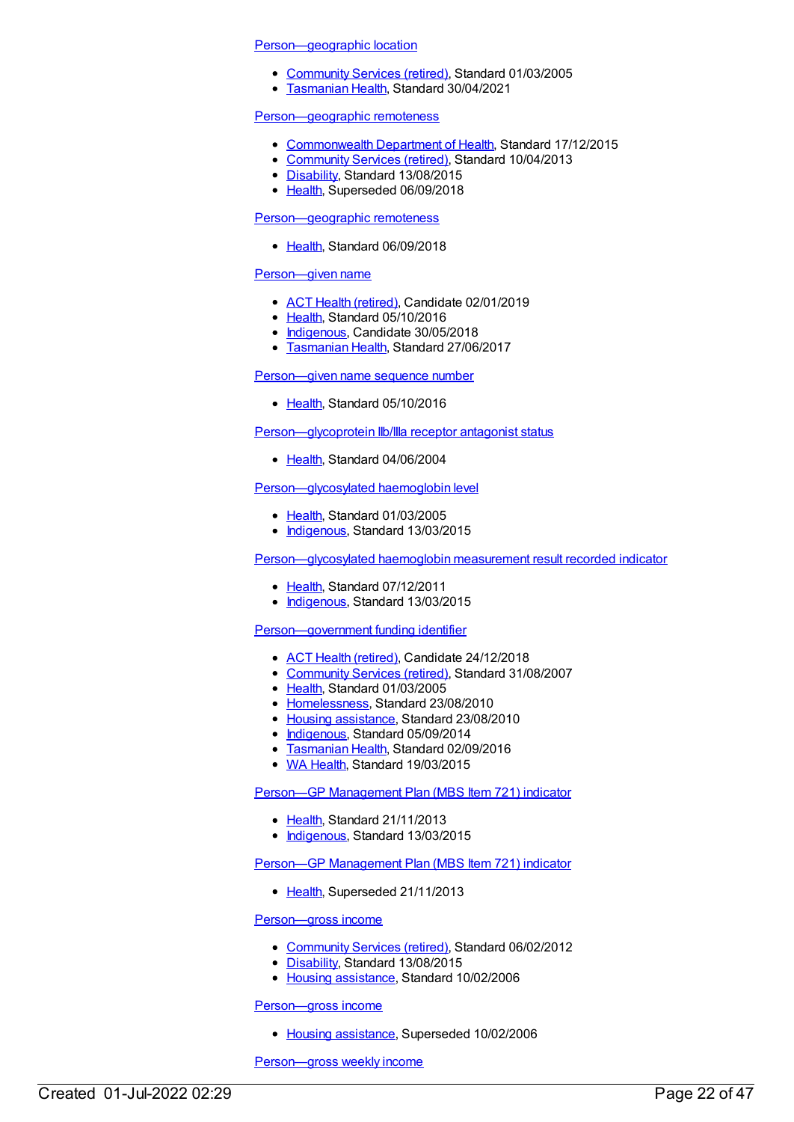#### [Person—geographic](https://meteor.aihw.gov.au/content/269753) location

- [Community](https://meteor.aihw.gov.au/RegistrationAuthority/1) Services (retired), Standard 01/03/2005
- [Tasmanian](https://meteor.aihw.gov.au/RegistrationAuthority/15) Health, Standard 30/04/2021

#### [Person—geographic](https://meteor.aihw.gov.au/content/422452) remoteness

- [Commonwealth](https://meteor.aihw.gov.au/RegistrationAuthority/10) Department of Health, Standard 17/12/2015
- [Community](https://meteor.aihw.gov.au/RegistrationAuthority/1) Services (retired), Standard 10/04/2013
- [Disability](https://meteor.aihw.gov.au/RegistrationAuthority/16), Standard 13/08/2015
- [Health](https://meteor.aihw.gov.au/RegistrationAuthority/12), Superseded 06/09/2018

# [Person—geographic](https://meteor.aihw.gov.au/content/697103) remoteness

• [Health](https://meteor.aihw.gov.au/RegistrationAuthority/12), Standard 06/09/2018

#### [Person—given](https://meteor.aihw.gov.au/content/613342) name

- ACT Health [\(retired\)](https://meteor.aihw.gov.au/RegistrationAuthority/9), Candidate 02/01/2019
- [Health](https://meteor.aihw.gov.au/RegistrationAuthority/12), Standard 05/10/2016
- [Indigenous](https://meteor.aihw.gov.au/RegistrationAuthority/6), Candidate 30/05/2018
- **[Tasmanian](https://meteor.aihw.gov.au/RegistrationAuthority/15) Health, Standard 27/06/2017**

#### [Person—given](https://meteor.aihw.gov.au/content/613358) name sequence number

• [Health](https://meteor.aihw.gov.au/RegistrationAuthority/12), Standard 05/10/2016

[Person—glycoprotein](https://meteor.aihw.gov.au/content/285109) IIb/IIIa receptor antagonist status

• [Health](https://meteor.aihw.gov.au/RegistrationAuthority/12), Standard 04/06/2004

#### Person-glycosylated haemoglobin level

- Elealth, Standard 01/03/2005
- [Indigenous](https://meteor.aihw.gov.au/RegistrationAuthority/6), Standard 13/03/2015

[Person—glycosylated](https://meteor.aihw.gov.au/content/441491) haemoglobin measurement result recorded indicator

- [Health](https://meteor.aihw.gov.au/RegistrationAuthority/12), Standard 07/12/2011
- [Indigenous](https://meteor.aihw.gov.au/RegistrationAuthority/6), Standard 13/03/2015

#### [Person—government](https://meteor.aihw.gov.au/content/269395) funding identifier

- ACT Health [\(retired\)](https://meteor.aihw.gov.au/RegistrationAuthority/9), Candidate 24/12/2018
- [Community](https://meteor.aihw.gov.au/RegistrationAuthority/1) Services (retired), Standard 31/08/2007
- [Health](https://meteor.aihw.gov.au/RegistrationAuthority/12), Standard 01/03/2005
- [Homelessness](https://meteor.aihw.gov.au/RegistrationAuthority/14), Standard 23/08/2010
- Housing [assistance](https://meteor.aihw.gov.au/RegistrationAuthority/11), Standard 23/08/2010
- [Indigenous](https://meteor.aihw.gov.au/RegistrationAuthority/6), Standard 05/09/2014
- **[Tasmanian](https://meteor.aihw.gov.au/RegistrationAuthority/15) Health, Standard 02/09/2016**
- WA [Health](https://meteor.aihw.gov.au/RegistrationAuthority/2), Standard 19/03/2015

Person-GP [Management](https://meteor.aihw.gov.au/content/504964) Plan (MBS Item 721) indicator

- [Health](https://meteor.aihw.gov.au/RegistrationAuthority/12), Standard 21/11/2013
- [Indigenous](https://meteor.aihw.gov.au/RegistrationAuthority/6), Standard 13/03/2015

#### Person-GP [Management](https://meteor.aihw.gov.au/content/441508) Plan (MBS Item 721) indicator

• [Health](https://meteor.aihw.gov.au/RegistrationAuthority/12), Superseded 21/11/2013

#### [Person—gross](https://meteor.aihw.gov.au/content/302477) income

- [Community](https://meteor.aihw.gov.au/RegistrationAuthority/1) Services (retired), Standard 06/02/2012
- [Disability](https://meteor.aihw.gov.au/RegistrationAuthority/16), Standard 13/08/2015
- Housing [assistance](https://meteor.aihw.gov.au/RegistrationAuthority/11), Standard 10/02/2006

[Person—gross](https://meteor.aihw.gov.au/content/269757) income

• Housing [assistance](https://meteor.aihw.gov.au/RegistrationAuthority/11), Superseded 10/02/2006

[Person—gross](https://meteor.aihw.gov.au/content/669562) weekly income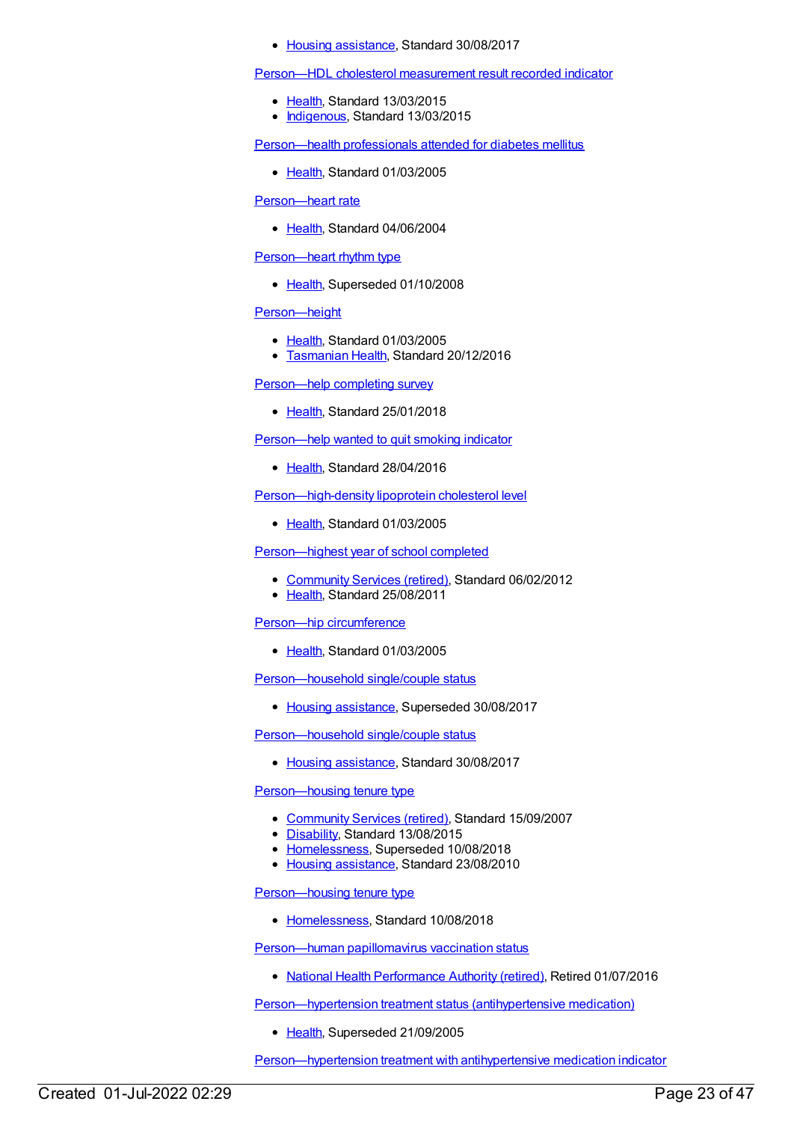#### • Housing [assistance](https://meteor.aihw.gov.au/RegistrationAuthority/11), Standard 30/08/2017

[Person—HDL](https://meteor.aihw.gov.au/content/594653) cholesterol measurement result recorded indicator

- [Health](https://meteor.aihw.gov.au/RegistrationAuthority/12), Standard 13/03/2015
- [Indigenous](https://meteor.aihw.gov.au/RegistrationAuthority/6), Standard 13/03/2015

[Person—health](https://meteor.aihw.gov.au/content/269816) professionals attended for diabetes mellitus

● [Health](https://meteor.aihw.gov.au/RegistrationAuthority/12), Standard 01/03/2005

# [Person—heart](https://meteor.aihw.gov.au/content/285119) rate

• [Health](https://meteor.aihw.gov.au/RegistrationAuthority/12), Standard 04/06/2004

[Person—heart](https://meteor.aihw.gov.au/content/285129) rhythm type

• [Health](https://meteor.aihw.gov.au/RegistrationAuthority/12), Superseded 01/10/2008

# [Person—height](https://meteor.aihw.gov.au/content/269792)

- [Health](https://meteor.aihw.gov.au/RegistrationAuthority/12), Standard 01/03/2005
- **[Tasmanian](https://meteor.aihw.gov.au/RegistrationAuthority/15) Health, Standard 20/12/2016**

[Person—help](https://meteor.aihw.gov.au/content/635142) completing survey

• [Health](https://meteor.aihw.gov.au/RegistrationAuthority/12), Standard 25/01/2018

[Person—help](https://meteor.aihw.gov.au/content/631350) wanted to quit smoking indicator

• [Health](https://meteor.aihw.gov.au/RegistrationAuthority/12), Standard 28/04/2016

[Person—high-density](https://meteor.aihw.gov.au/content/269571) lipoprotein cholesterol level

• [Health](https://meteor.aihw.gov.au/RegistrationAuthority/12), Standard 01/03/2005

[Person—highest](https://meteor.aihw.gov.au/content/375994) year of school completed

- [Community](https://meteor.aihw.gov.au/RegistrationAuthority/1) Services (retired), Standard 06/02/2012
- [Health](https://meteor.aihw.gov.au/RegistrationAuthority/12), Standard 25/08/2011

#### Person—hip [circumference](https://meteor.aihw.gov.au/content/269796)

● [Health](https://meteor.aihw.gov.au/RegistrationAuthority/12), Standard 01/03/2005

[Person—household](https://meteor.aihw.gov.au/content/456317) single/couple status

• Housing [assistance](https://meteor.aihw.gov.au/RegistrationAuthority/11), Superseded 30/08/2017

[Person—household](https://meteor.aihw.gov.au/content/608105) single/couple status

• Housing [assistance](https://meteor.aihw.gov.au/RegistrationAuthority/11), Standard 30/08/2017

#### [Person—housing](https://meteor.aihw.gov.au/content/337684) tenure type

- [Community](https://meteor.aihw.gov.au/RegistrationAuthority/1) Services (retired), Standard 15/09/2007
- [Disability](https://meteor.aihw.gov.au/RegistrationAuthority/16), Standard 13/08/2015
- [Homelessness](https://meteor.aihw.gov.au/RegistrationAuthority/14), Superseded 10/08/2018
- Housing [assistance](https://meteor.aihw.gov.au/RegistrationAuthority/11), Standard 23/08/2010

[Person—housing](https://meteor.aihw.gov.au/content/689160) tenure type

• [Homelessness](https://meteor.aihw.gov.au/RegistrationAuthority/14), Standard 10/08/2018

[Person—human](https://meteor.aihw.gov.au/content/565039) papillomavirus vaccination status

• National Health [Performance](https://meteor.aihw.gov.au/RegistrationAuthority/8) Authority (retired), Retired 01/07/2016

[Person—hypertension](https://meteor.aihw.gov.au/content/269851) treatment status (antihypertensive medication)

• [Health](https://meteor.aihw.gov.au/RegistrationAuthority/12), Superseded 21/09/2005

[Person—hypertension](https://meteor.aihw.gov.au/content/304497) treatment with antihypertensive medication indicator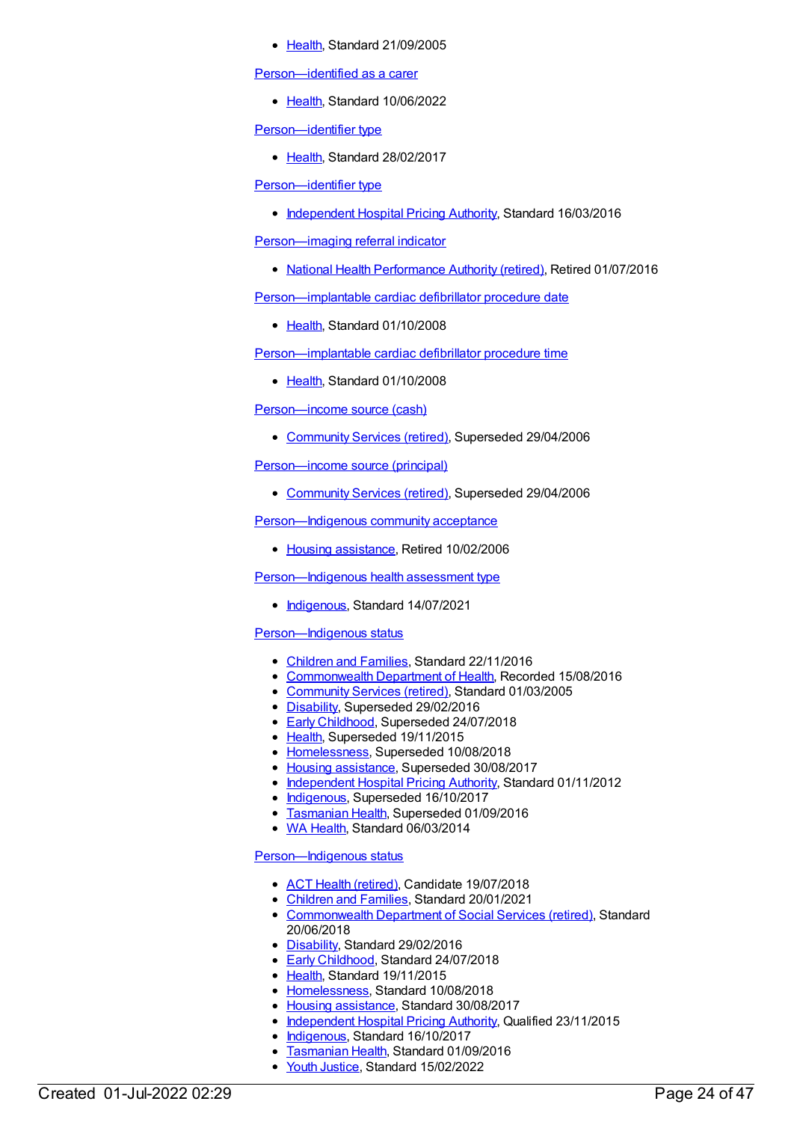[Health](https://meteor.aihw.gov.au/RegistrationAuthority/12), Standard 21/09/2005

[Person—identified](https://meteor.aihw.gov.au/content/751412) as a carer

• [Health](https://meteor.aihw.gov.au/RegistrationAuthority/12), Standard 10/06/2022

[Person—identifier](https://meteor.aihw.gov.au/content/654394) type

• [Health](https://meteor.aihw.gov.au/RegistrationAuthority/12), Standard 28/02/2017

[Person—identifier](https://meteor.aihw.gov.au/content/621537) type

[Independent](https://meteor.aihw.gov.au/RegistrationAuthority/3) Hospital Pricing Authority, Standard 16/03/2016

[Person—imaging](https://meteor.aihw.gov.au/content/596064) referral indicator

• National Health [Performance](https://meteor.aihw.gov.au/RegistrationAuthority/8) Authority (retired), Retired 01/07/2016

[Person—implantable](https://meteor.aihw.gov.au/content/359608) cardiac defibrillator procedure date

[Health](https://meteor.aihw.gov.au/RegistrationAuthority/12), Standard 01/10/2008

[Person—implantable](https://meteor.aihw.gov.au/content/359675) cardiac defibrillator procedure time

• [Health](https://meteor.aihw.gov.au/RegistrationAuthority/12), Standard 01/10/2008

[Person—income](https://meteor.aihw.gov.au/content/269810) source (cash)

[Community](https://meteor.aihw.gov.au/RegistrationAuthority/1) Services (retired), Superseded 29/04/2006

[Person—income](https://meteor.aihw.gov.au/content/269808) source (principal)

[Community](https://meteor.aihw.gov.au/RegistrationAuthority/1) Services (retired), Superseded 29/04/2006

[Person—Indigenous](https://meteor.aihw.gov.au/content/269631) community acceptance

• Housing [assistance](https://meteor.aihw.gov.au/RegistrationAuthority/11), Retired 10/02/2006

# [Person—Indigenous](https://meteor.aihw.gov.au/content/731666) health assessment type

• [Indigenous](https://meteor.aihw.gov.au/RegistrationAuthority/6), Standard 14/07/2021

# [Person—Indigenous](https://meteor.aihw.gov.au/content/269618) status

- [Children](https://meteor.aihw.gov.au/RegistrationAuthority/17) and Families, Standard 22/11/2016
- [Commonwealth](https://meteor.aihw.gov.au/RegistrationAuthority/10) Department of Health, Recorded 15/08/2016
- [Community](https://meteor.aihw.gov.au/RegistrationAuthority/1) Services (retired), Standard 01/03/2005
- [Disability](https://meteor.aihw.gov.au/RegistrationAuthority/16), Superseded 29/02/2016
- Early [Childhood](https://meteor.aihw.gov.au/RegistrationAuthority/13), Superseded 24/07/2018
- [Health](https://meteor.aihw.gov.au/RegistrationAuthority/12), Superseded 19/11/2015
- [Homelessness](https://meteor.aihw.gov.au/RegistrationAuthority/14), Superseded 10/08/2018
- Housing [assistance](https://meteor.aihw.gov.au/RegistrationAuthority/11), Superseded 30/08/2017
- [Independent](https://meteor.aihw.gov.au/RegistrationAuthority/3) Hospital Pricing Authority, Standard 01/11/2012
- [Indigenous](https://meteor.aihw.gov.au/RegistrationAuthority/6), Superseded 16/10/2017
- [Tasmanian](https://meteor.aihw.gov.au/RegistrationAuthority/15) Health, Superseded 01/09/2016
- WA [Health](https://meteor.aihw.gov.au/RegistrationAuthority/2), Standard 06/03/2014

# [Person—Indigenous](https://meteor.aihw.gov.au/content/615458) status

- ACT Health [\(retired\)](https://meteor.aihw.gov.au/RegistrationAuthority/9), Candidate 19/07/2018
- [Children](https://meteor.aihw.gov.au/RegistrationAuthority/17) and Families, Standard 20/01/2021
- [Commonwealth](https://meteor.aihw.gov.au/RegistrationAuthority/7) Department of Social Services (retired), Standard 20/06/2018
- [Disability](https://meteor.aihw.gov.au/RegistrationAuthority/16), Standard 29/02/2016
- **Early [Childhood](https://meteor.aihw.gov.au/RegistrationAuthority/13), Standard 24/07/2018**
- [Health](https://meteor.aihw.gov.au/RegistrationAuthority/12), Standard 19/11/2015
- [Homelessness](https://meteor.aihw.gov.au/RegistrationAuthority/14), Standard 10/08/2018
- Housing [assistance](https://meteor.aihw.gov.au/RegistrationAuthority/11), Standard 30/08/2017
- [Independent](https://meteor.aihw.gov.au/RegistrationAuthority/3) Hospital Pricing Authority, Qualified 23/11/2015
- [Indigenous](https://meteor.aihw.gov.au/RegistrationAuthority/6), Standard 16/10/2017
- [Tasmanian](https://meteor.aihw.gov.au/RegistrationAuthority/15) Health, Standard 01/09/2016
- Vouth [Justice](https://meteor.aihw.gov.au/RegistrationAuthority/4), Standard 15/02/2022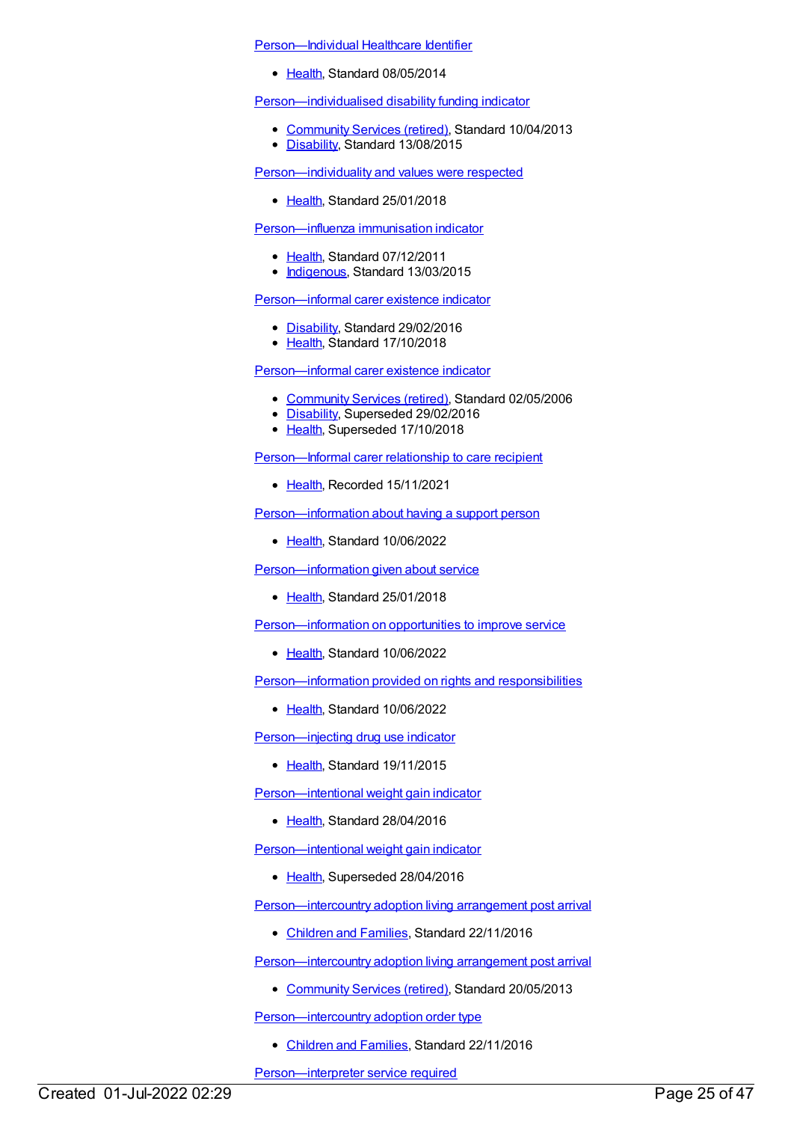#### [Person—Individual](https://meteor.aihw.gov.au/content/432486) Healthcare Identifier

• [Health](https://meteor.aihw.gov.au/RegistrationAuthority/12), Standard 08/05/2014

#### [Person—individualised](https://meteor.aihw.gov.au/content/473759) disability funding indicator

- [Community](https://meteor.aihw.gov.au/RegistrationAuthority/1) Services (retired), Standard 10/04/2013
- [Disability](https://meteor.aihw.gov.au/RegistrationAuthority/16), Standard 13/08/2015

[Person—individuality](https://meteor.aihw.gov.au/content/634796) and values were respected

• [Health](https://meteor.aihw.gov.au/RegistrationAuthority/12), Standard 25/01/2018

#### [Person—influenza](https://meteor.aihw.gov.au/content/457684) immunisation indicator

- [Health](https://meteor.aihw.gov.au/RegistrationAuthority/12), Standard 07/12/2011
- [Indigenous](https://meteor.aihw.gov.au/RegistrationAuthority/6), Standard 13/03/2015

#### [Person—informal](https://meteor.aihw.gov.au/content/621404) carer existence indicator

- [Disability](https://meteor.aihw.gov.au/RegistrationAuthority/16), Standard 29/02/2016
- [Health](https://meteor.aihw.gov.au/RegistrationAuthority/12), Standard 17/10/2018

# [Person—informal](https://meteor.aihw.gov.au/content/320937) carer existence indicator

- [Community](https://meteor.aihw.gov.au/RegistrationAuthority/1) Services (retired), Standard 02/05/2006
- [Disability](https://meteor.aihw.gov.au/RegistrationAuthority/16), Superseded 29/02/2016
- [Health](https://meteor.aihw.gov.au/RegistrationAuthority/12), Superseded 17/10/2018

[Person—Informal](https://meteor.aihw.gov.au/content/748844) carer relationship to care recipient

[Health](https://meteor.aihw.gov.au/RegistrationAuthority/12), Recorded 15/11/2021

[Person—information](https://meteor.aihw.gov.au/content/751625) about having a support person

• [Health](https://meteor.aihw.gov.au/RegistrationAuthority/12), Standard 10/06/2022

[Person—information](https://meteor.aihw.gov.au/content/634920) given about service

• [Health](https://meteor.aihw.gov.au/RegistrationAuthority/12), Standard 25/01/2018

[Person—information](https://meteor.aihw.gov.au/content/751612) on opportunities to improve service

[Health](https://meteor.aihw.gov.au/RegistrationAuthority/12), Standard 10/06/2022

[Person—information](https://meteor.aihw.gov.au/content/751590) provided on rights and responsibilities

• [Health](https://meteor.aihw.gov.au/RegistrationAuthority/12), Standard 10/06/2022

[Person—injecting](https://meteor.aihw.gov.au/content/482976) drug use indicator

• [Health](https://meteor.aihw.gov.au/RegistrationAuthority/12), Standard 19/11/2015

[Person—intentional](https://meteor.aihw.gov.au/content/625784) weight gain indicator

[Health](https://meteor.aihw.gov.au/RegistrationAuthority/12), Standard 28/04/2016

[Person—intentional](https://meteor.aihw.gov.au/content/482907) weight gain indicator

• [Health](https://meteor.aihw.gov.au/RegistrationAuthority/12), Superseded 28/04/2016

[Person—intercountry](https://meteor.aihw.gov.au/content/650281) adoption living arrangement post arrival

• [Children](https://meteor.aihw.gov.au/RegistrationAuthority/17) and Families, Standard 22/11/2016

[Person—intercountry](https://meteor.aihw.gov.au/content/471059) adoption living arrangement post arrival

• [Community](https://meteor.aihw.gov.au/RegistrationAuthority/1) Services (retired), Standard 20/05/2013

[Person—intercountry](https://meteor.aihw.gov.au/content/651104) adoption order type

[Children](https://meteor.aihw.gov.au/RegistrationAuthority/17) and Families, Standard 22/11/2016

[Person—interpreter](https://meteor.aihw.gov.au/content/304292) service required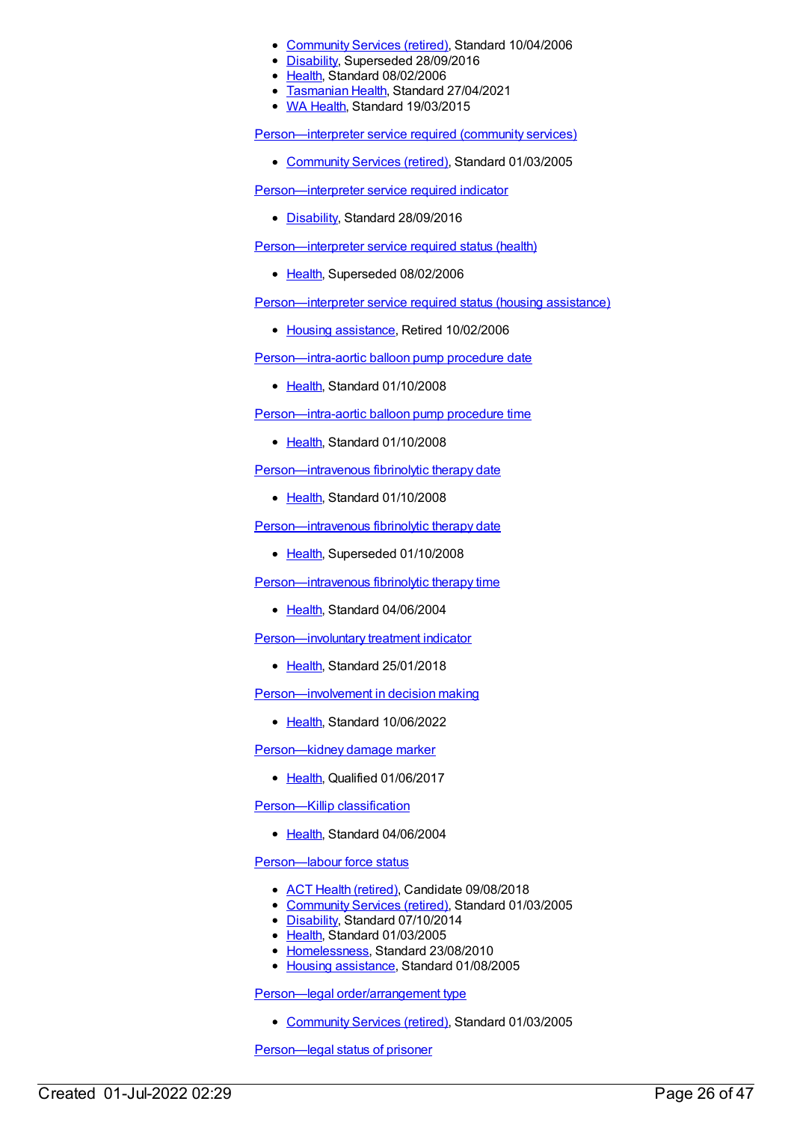- [Community](https://meteor.aihw.gov.au/RegistrationAuthority/1) Services (retired), Standard 10/04/2006
- [Disability](https://meteor.aihw.gov.au/RegistrationAuthority/16), Superseded 28/09/2016
- [Health](https://meteor.aihw.gov.au/RegistrationAuthority/12), Standard 08/02/2006
- **[Tasmanian](https://meteor.aihw.gov.au/RegistrationAuthority/15) Health, Standard 27/04/2021**
- WA [Health](https://meteor.aihw.gov.au/RegistrationAuthority/2), Standard 19/03/2015

[Person—interpreter](https://meteor.aihw.gov.au/content/269791) service required (community services)

[Community](https://meteor.aihw.gov.au/RegistrationAuthority/1) Services (retired), Standard 01/03/2005

[Person—interpreter](https://meteor.aihw.gov.au/content/639621) service required indicator

• [Disability](https://meteor.aihw.gov.au/RegistrationAuthority/16), Standard 28/09/2016

[Person—interpreter](https://meteor.aihw.gov.au/content/269777) service required status (health)

• [Health](https://meteor.aihw.gov.au/RegistrationAuthority/12), Superseded 08/02/2006

[Person—interpreter](https://meteor.aihw.gov.au/content/269790) service required status (housing assistance)

• Housing [assistance](https://meteor.aihw.gov.au/RegistrationAuthority/11), Retired 10/02/2006

[Person—intra-aortic](https://meteor.aihw.gov.au/content/359620) balloon pump procedure date

• [Health](https://meteor.aihw.gov.au/RegistrationAuthority/12), Standard 01/10/2008

[Person—intra-aortic](https://meteor.aihw.gov.au/content/359688) balloon pump procedure time

• [Health](https://meteor.aihw.gov.au/RegistrationAuthority/12), Standard 01/10/2008

[Person—intravenous](https://meteor.aihw.gov.au/content/356924) fibrinolytic therapy date

• [Health](https://meteor.aihw.gov.au/RegistrationAuthority/12), Standard 01/10/2008

[Person—intravenous](https://meteor.aihw.gov.au/content/284983) fibrinolytic therapy date

• [Health](https://meteor.aihw.gov.au/RegistrationAuthority/12), Superseded 01/10/2008

[Person—intravenous](https://meteor.aihw.gov.au/content/285195) fibrinolytic therapy time

• [Health](https://meteor.aihw.gov.au/RegistrationAuthority/12), Standard 04/06/2004

[Person—involuntary](https://meteor.aihw.gov.au/content/635133) treatment indicator

• [Health](https://meteor.aihw.gov.au/RegistrationAuthority/12), Standard 25/01/2018

[Person—involvement](https://meteor.aihw.gov.au/content/751147) in decision making

• [Health](https://meteor.aihw.gov.au/RegistrationAuthority/12), Standard 10/06/2022

[Person—kidney](https://meteor.aihw.gov.au/content/674884) damage marker

• [Health](https://meteor.aihw.gov.au/RegistrationAuthority/12), Qualified 01/06/2017

[Person—Killip](https://meteor.aihw.gov.au/content/285145) classification

• [Health](https://meteor.aihw.gov.au/RegistrationAuthority/12), Standard 04/06/2004

[Person—labour](https://meteor.aihw.gov.au/content/269466) force status

- ACT Health [\(retired\)](https://meteor.aihw.gov.au/RegistrationAuthority/9), Candidate 09/08/2018
- [Community](https://meteor.aihw.gov.au/RegistrationAuthority/1) Services (retired), Standard 01/03/2005
- [Disability](https://meteor.aihw.gov.au/RegistrationAuthority/16), Standard 07/10/2014
- [Health](https://meteor.aihw.gov.au/RegistrationAuthority/12), Standard 01/03/2005
- [Homelessness](https://meteor.aihw.gov.au/RegistrationAuthority/14), Standard 23/08/2010
- Housing [assistance](https://meteor.aihw.gov.au/RegistrationAuthority/11), Standard 01/08/2005

Person—legal [order/arrangement](https://meteor.aihw.gov.au/content/269811) type

[Community](https://meteor.aihw.gov.au/RegistrationAuthority/1) Services (retired), Standard 01/03/2005

[Person—legal](https://meteor.aihw.gov.au/content/412273) status of prisoner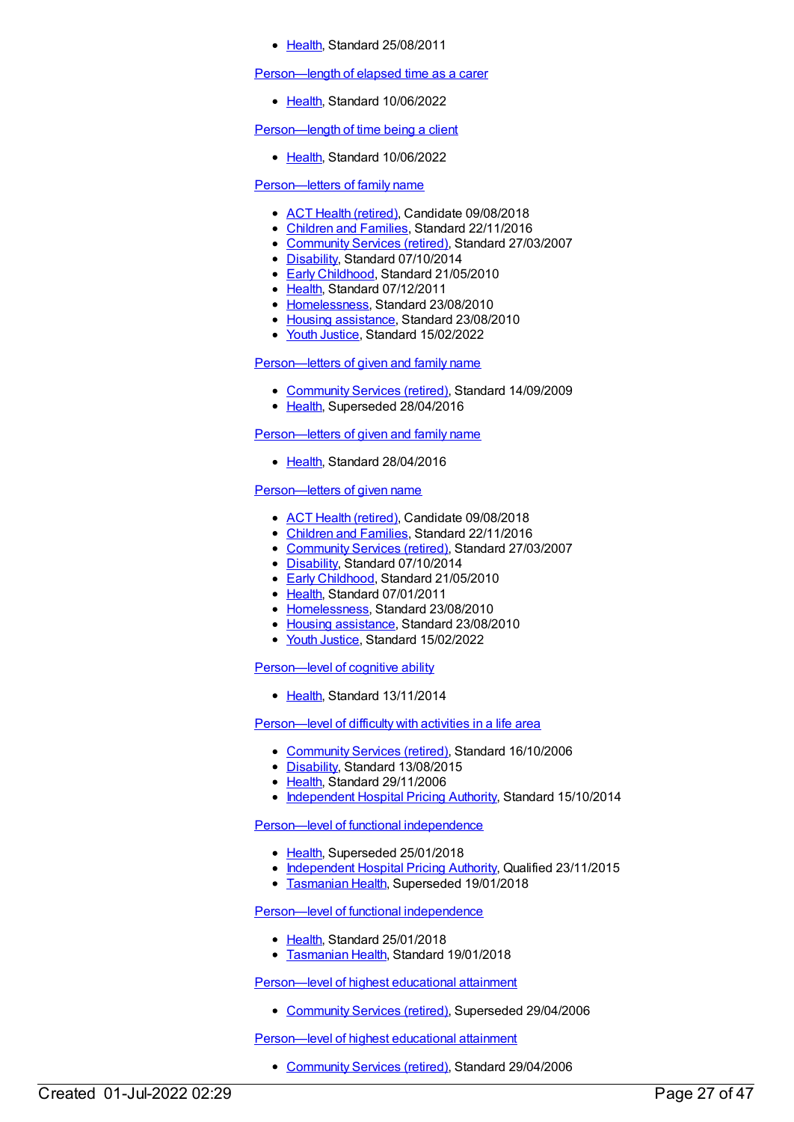[Health](https://meteor.aihw.gov.au/RegistrationAuthority/12), Standard 25/08/2011

[Person—length](https://meteor.aihw.gov.au/content/745456) of elapsed time as a carer

• [Health](https://meteor.aihw.gov.au/RegistrationAuthority/12), Standard 10/06/2022

[Person—length](https://meteor.aihw.gov.au/content/745373) of time being a client

[Health](https://meteor.aihw.gov.au/RegistrationAuthority/12), Standard 10/06/2022

#### [Person—letters](https://meteor.aihw.gov.au/content/349493) of family name

- ACT Health [\(retired\)](https://meteor.aihw.gov.au/RegistrationAuthority/9), Candidate 09/08/2018
- [Children](https://meteor.aihw.gov.au/RegistrationAuthority/17) and Families, Standard 22/11/2016
- [Community](https://meteor.aihw.gov.au/RegistrationAuthority/1) Services (retired), Standard 27/03/2007
- [Disability](https://meteor.aihw.gov.au/RegistrationAuthority/16), Standard 07/10/2014
- Early [Childhood](https://meteor.aihw.gov.au/RegistrationAuthority/13), Standard 21/05/2010
- [Health](https://meteor.aihw.gov.au/RegistrationAuthority/12), Standard 07/12/2011
- [Homelessness](https://meteor.aihw.gov.au/RegistrationAuthority/14), Standard 23/08/2010
- Housing [assistance](https://meteor.aihw.gov.au/RegistrationAuthority/11), Standard 23/08/2010
- Youth [Justice](https://meteor.aihw.gov.au/RegistrationAuthority/4), Standard 15/02/2022

# [Person—letters](https://meteor.aihw.gov.au/content/314127) of given and family name

- [Community](https://meteor.aihw.gov.au/RegistrationAuthority/1) Services (retired), Standard 14/09/2009
- [Health](https://meteor.aihw.gov.au/RegistrationAuthority/12), Superseded 28/04/2016

#### [Person—letters](https://meteor.aihw.gov.au/content/624487) of given and family name

[Health](https://meteor.aihw.gov.au/RegistrationAuthority/12), Standard 28/04/2016

# [Person—letters](https://meteor.aihw.gov.au/content/349491) of given name

- ACT Health [\(retired\)](https://meteor.aihw.gov.au/RegistrationAuthority/9), Candidate 09/08/2018
- [Children](https://meteor.aihw.gov.au/RegistrationAuthority/17) and Families, Standard 22/11/2016
- [Community](https://meteor.aihw.gov.au/RegistrationAuthority/1) Services (retired), Standard 27/03/2007
- [Disability](https://meteor.aihw.gov.au/RegistrationAuthority/16), Standard 07/10/2014
- Early [Childhood](https://meteor.aihw.gov.au/RegistrationAuthority/13), Standard 21/05/2010
- [Health](https://meteor.aihw.gov.au/RegistrationAuthority/12), Standard 07/01/2011
- [Homelessness](https://meteor.aihw.gov.au/RegistrationAuthority/14), Standard 23/08/2010
- Housing [assistance](https://meteor.aihw.gov.au/RegistrationAuthority/11), Standard 23/08/2010
- Youth [Justice](https://meteor.aihw.gov.au/RegistrationAuthority/4), Standard 15/02/2022

#### Person-level of cognitive ability

[Health](https://meteor.aihw.gov.au/RegistrationAuthority/12), Standard 13/11/2014

[Person—level](https://meteor.aihw.gov.au/content/320309) of difficulty with activities in a life area

- [Community](https://meteor.aihw.gov.au/RegistrationAuthority/1) Services (retired), Standard 16/10/2006
- [Disability](https://meteor.aihw.gov.au/RegistrationAuthority/16), Standard 13/08/2015
- Elealth, Standard 29/11/2006
- [Independent](https://meteor.aihw.gov.au/RegistrationAuthority/3) Hospital Pricing Authority, Standard 15/10/2014

Person—level of functional [independence](https://meteor.aihw.gov.au/content/449145)

- [Health](https://meteor.aihw.gov.au/RegistrationAuthority/12), Superseded 25/01/2018
- [Independent](https://meteor.aihw.gov.au/RegistrationAuthority/3) Hospital Pricing Authority, Qualified 23/11/2015
- **[Tasmanian](https://meteor.aihw.gov.au/RegistrationAuthority/15) Health, Superseded 19/01/2018**

### Person—level of functional [independence](https://meteor.aihw.gov.au/content/680996)

- [Health](https://meteor.aihw.gov.au/RegistrationAuthority/12), Standard 25/01/2018
- **[Tasmanian](https://meteor.aihw.gov.au/RegistrationAuthority/15) Health, Standard 19/01/2018**

[Person—level](https://meteor.aihw.gov.au/content/269564) of highest educational attainment

• [Community](https://meteor.aihw.gov.au/RegistrationAuthority/1) Services (retired), Superseded 29/04/2006

[Person—level](https://meteor.aihw.gov.au/content/321059) of highest educational attainment

• [Community](https://meteor.aihw.gov.au/RegistrationAuthority/1) Services (retired), Standard 29/04/2006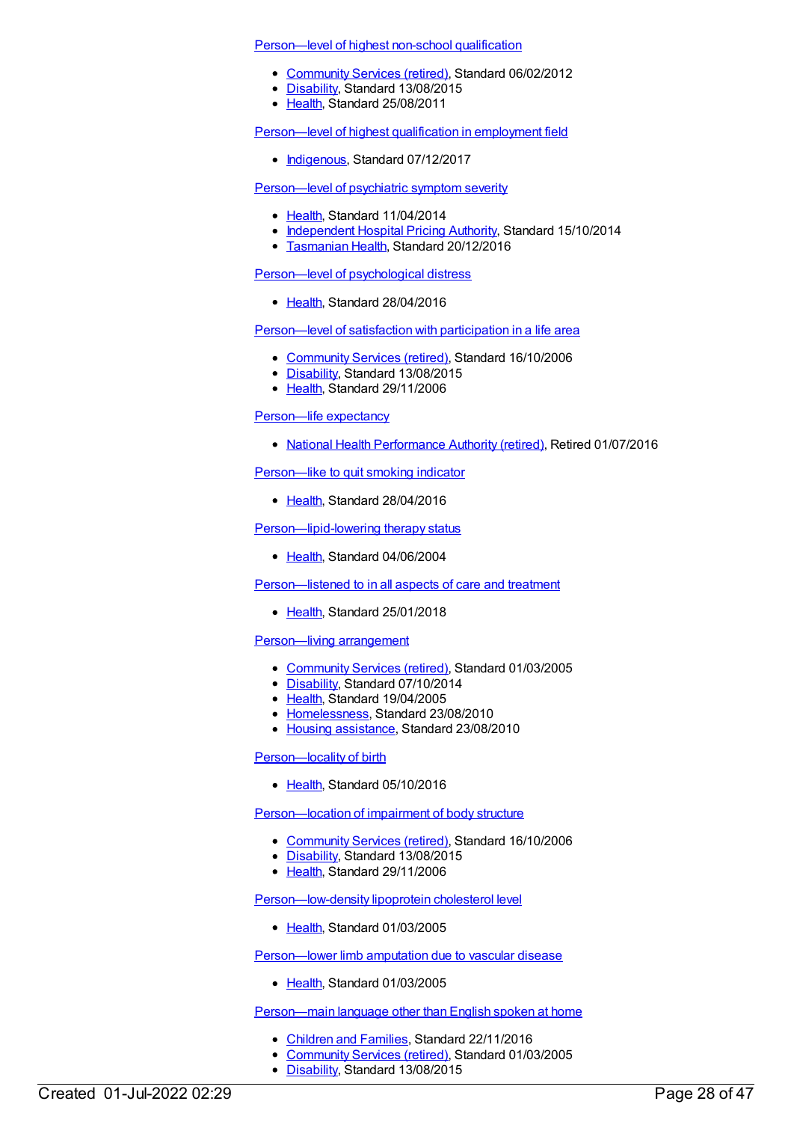[Person—level](https://meteor.aihw.gov.au/content/398758) of highest non-school qualification

- [Community](https://meteor.aihw.gov.au/RegistrationAuthority/1) Services (retired), Standard 06/02/2012
- [Disability](https://meteor.aihw.gov.au/RegistrationAuthority/16), Standard 13/08/2015
- [Health](https://meteor.aihw.gov.au/RegistrationAuthority/12), Standard 25/08/2011

[Person—level](https://meteor.aihw.gov.au/content/613859) of highest qualification in employment field

• [Indigenous](https://meteor.aihw.gov.au/RegistrationAuthority/6), Standard 07/12/2017

[Person—level](https://meteor.aihw.gov.au/content/539187) of psychiatric symptom severity

- [Health](https://meteor.aihw.gov.au/RegistrationAuthority/12), Standard 11/04/2014
- [Independent](https://meteor.aihw.gov.au/RegistrationAuthority/3) Hospital Pricing Authority, Standard 15/10/2014
- **[Tasmanian](https://meteor.aihw.gov.au/RegistrationAuthority/15) Health, Standard 20/12/2016**

[Person—level](https://meteor.aihw.gov.au/content/634091) of psychological distress

• [Health](https://meteor.aihw.gov.au/RegistrationAuthority/12), Standard 28/04/2016

[Person—level](https://meteor.aihw.gov.au/content/324439) of satisfaction with participation in a life area

- [Community](https://meteor.aihw.gov.au/RegistrationAuthority/1) Services (retired), Standard 16/10/2006
- [Disability](https://meteor.aihw.gov.au/RegistrationAuthority/16), Standard 13/08/2015
- [Health](https://meteor.aihw.gov.au/RegistrationAuthority/12), Standard 29/11/2006

[Person—life](https://meteor.aihw.gov.au/content/574066) expectancy

• National Health [Performance](https://meteor.aihw.gov.au/RegistrationAuthority/8) Authority (retired), Retired 01/07/2016

[Person—like](https://meteor.aihw.gov.au/content/482567) to quit smoking indicator

• [Health](https://meteor.aihw.gov.au/RegistrationAuthority/12), Standard 28/04/2016

[Person—lipid-lowering](https://meteor.aihw.gov.au/content/285155) therapy status

• [Health](https://meteor.aihw.gov.au/RegistrationAuthority/12), Standard 04/06/2004

Person-listened to in all aspects of care and treatment

[Health](https://meteor.aihw.gov.au/RegistrationAuthority/12), Standard 25/01/2018

[Person—living](https://meteor.aihw.gov.au/content/269813) arrangement

- [Community](https://meteor.aihw.gov.au/RegistrationAuthority/1) Services (retired), Standard 01/03/2005
- [Disability](https://meteor.aihw.gov.au/RegistrationAuthority/16), Standard 07/10/2014
- [Health](https://meteor.aihw.gov.au/RegistrationAuthority/12), Standard 19/04/2005
- [Homelessness](https://meteor.aihw.gov.au/RegistrationAuthority/14), Standard 23/08/2010
- Housing [assistance](https://meteor.aihw.gov.au/RegistrationAuthority/11), Standard 23/08/2010

[Person—locality](https://meteor.aihw.gov.au/content/521508) of birth

• [Health](https://meteor.aihw.gov.au/RegistrationAuthority/12), Standard 05/10/2016

[Person—location](https://meteor.aihw.gov.au/content/320266) of impairment of body structure

- [Community](https://meteor.aihw.gov.au/RegistrationAuthority/1) Services (retired), Standard 16/10/2006
- [Disability](https://meteor.aihw.gov.au/RegistrationAuthority/16), Standard 13/08/2015
- [Health](https://meteor.aihw.gov.au/RegistrationAuthority/12), Standard 29/11/2006

[Person—low-density](https://meteor.aihw.gov.au/content/269576) lipoprotein cholesterol level

• [Health](https://meteor.aihw.gov.au/RegistrationAuthority/12), Standard 01/03/2005

[Person—lower](https://meteor.aihw.gov.au/content/269623) limb amputation due to vascular disease

• [Health](https://meteor.aihw.gov.au/RegistrationAuthority/12), Standard 01/03/2005

[Person—main](https://meteor.aihw.gov.au/content/269642) language other than English spoken at home

- [Children](https://meteor.aihw.gov.au/RegistrationAuthority/17) and Families, Standard 22/11/2016
- [Community](https://meteor.aihw.gov.au/RegistrationAuthority/1) Services (retired), Standard 01/03/2005
- [Disability](https://meteor.aihw.gov.au/RegistrationAuthority/16), Standard 13/08/2015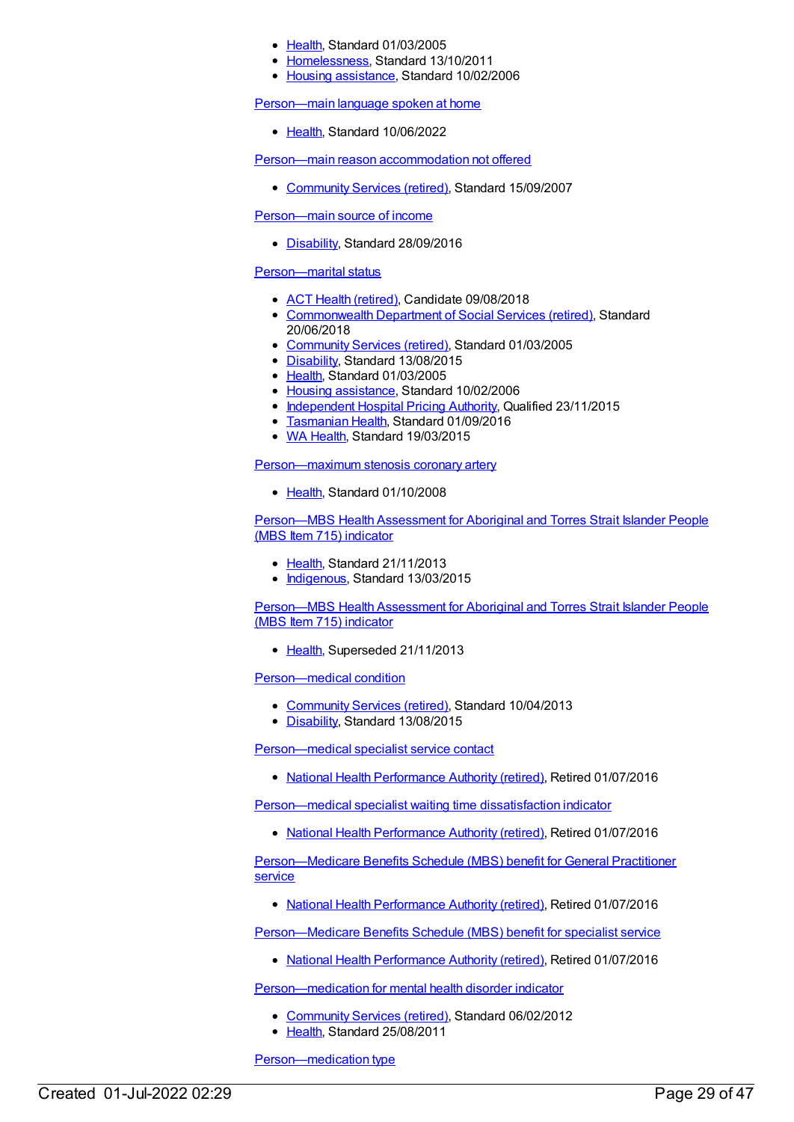- [Health](https://meteor.aihw.gov.au/RegistrationAuthority/12), Standard 01/03/2005
- [Homelessness](https://meteor.aihw.gov.au/RegistrationAuthority/14), Standard 13/10/2011
- Housing [assistance](https://meteor.aihw.gov.au/RegistrationAuthority/11), Standard 10/02/2006

#### [Person—main](https://meteor.aihw.gov.au/content/746554) language spoken at home

● [Health](https://meteor.aihw.gov.au/RegistrationAuthority/12), Standard 10/06/2022

Person—main reason [accommodation](https://meteor.aihw.gov.au/content/332954) not offered

• [Community](https://meteor.aihw.gov.au/RegistrationAuthority/1) Services (retired), Standard 15/09/2007

[Person—main](https://meteor.aihw.gov.au/content/639635) source of income

• [Disability](https://meteor.aihw.gov.au/RegistrationAuthority/16), Standard 28/09/2016

### [Person—marital](https://meteor.aihw.gov.au/content/269533) status

- ACT Health [\(retired\)](https://meteor.aihw.gov.au/RegistrationAuthority/9), Candidate 09/08/2018
- [Commonwealth](https://meteor.aihw.gov.au/RegistrationAuthority/7) Department of Social Services (retired), Standard 20/06/2018
- [Community](https://meteor.aihw.gov.au/RegistrationAuthority/1) Services (retired), Standard 01/03/2005
- [Disability](https://meteor.aihw.gov.au/RegistrationAuthority/16), Standard 13/08/2015
- [Health](https://meteor.aihw.gov.au/RegistrationAuthority/12), Standard 01/03/2005
- Housing [assistance](https://meteor.aihw.gov.au/RegistrationAuthority/11), Standard 10/02/2006
- [Independent](https://meteor.aihw.gov.au/RegistrationAuthority/3) Hospital Pricing Authority, Qualified 23/11/2015
- [Tasmanian](https://meteor.aihw.gov.au/RegistrationAuthority/15) Health, Standard 01/09/2016
- WA [Health](https://meteor.aihw.gov.au/RegistrationAuthority/2), Standard 19/03/2015

[Person—maximum](https://meteor.aihw.gov.au/content/344333) stenosis coronary artery

● [Health](https://meteor.aihw.gov.au/RegistrationAuthority/12), Standard 01/10/2008

[Person—MBS](https://meteor.aihw.gov.au/content/504935) Health Assessment for Aboriginal and Torres Strait Islander People (MBS Item 715) indicator

- [Health](https://meteor.aihw.gov.au/RegistrationAuthority/12), Standard 21/11/2013
- [Indigenous](https://meteor.aihw.gov.au/RegistrationAuthority/6), Standard 13/03/2015

[Person—MBS](https://meteor.aihw.gov.au/content/441369) Health Assessment for Aboriginal and Torres Strait Islander People (MBS Item 715) indicator

• [Health](https://meteor.aihw.gov.au/RegistrationAuthority/12), Superseded 21/11/2013

[Person—medical](https://meteor.aihw.gov.au/content/491653) condition

- [Community](https://meteor.aihw.gov.au/RegistrationAuthority/1) Services (retired), Standard 10/04/2013
- [Disability](https://meteor.aihw.gov.au/RegistrationAuthority/16), Standard 13/08/2015

[Person—medical](https://meteor.aihw.gov.au/content/575302) specialist service contact

• National Health [Performance](https://meteor.aihw.gov.au/RegistrationAuthority/8) Authority (retired), Retired 01/07/2016

[Person—medical](https://meteor.aihw.gov.au/content/575289) specialist waiting time dissatisfaction indicator

• National Health [Performance](https://meteor.aihw.gov.au/RegistrationAuthority/8) Authority (retired), Retired 01/07/2016

[Person—Medicare](https://meteor.aihw.gov.au/content/573752) Benefits Schedule (MBS) benefit for General Practitioner service

• National Health [Performance](https://meteor.aihw.gov.au/RegistrationAuthority/8) Authority (retired), Retired 01/07/2016

[Person—Medicare](https://meteor.aihw.gov.au/content/573768) Benefits Schedule (MBS) benefit for specialist service

• National Health [Performance](https://meteor.aihw.gov.au/RegistrationAuthority/8) Authority (retired), Retired 01/07/2016

[Person—medication](https://meteor.aihw.gov.au/content/376079) for mental health disorder indicator

- [Community](https://meteor.aihw.gov.au/RegistrationAuthority/1) Services (retired), Standard 06/02/2012
- [Health](https://meteor.aihw.gov.au/RegistrationAuthority/12), Standard 25/08/2011

[Person—medication](https://meteor.aihw.gov.au/content/365467) type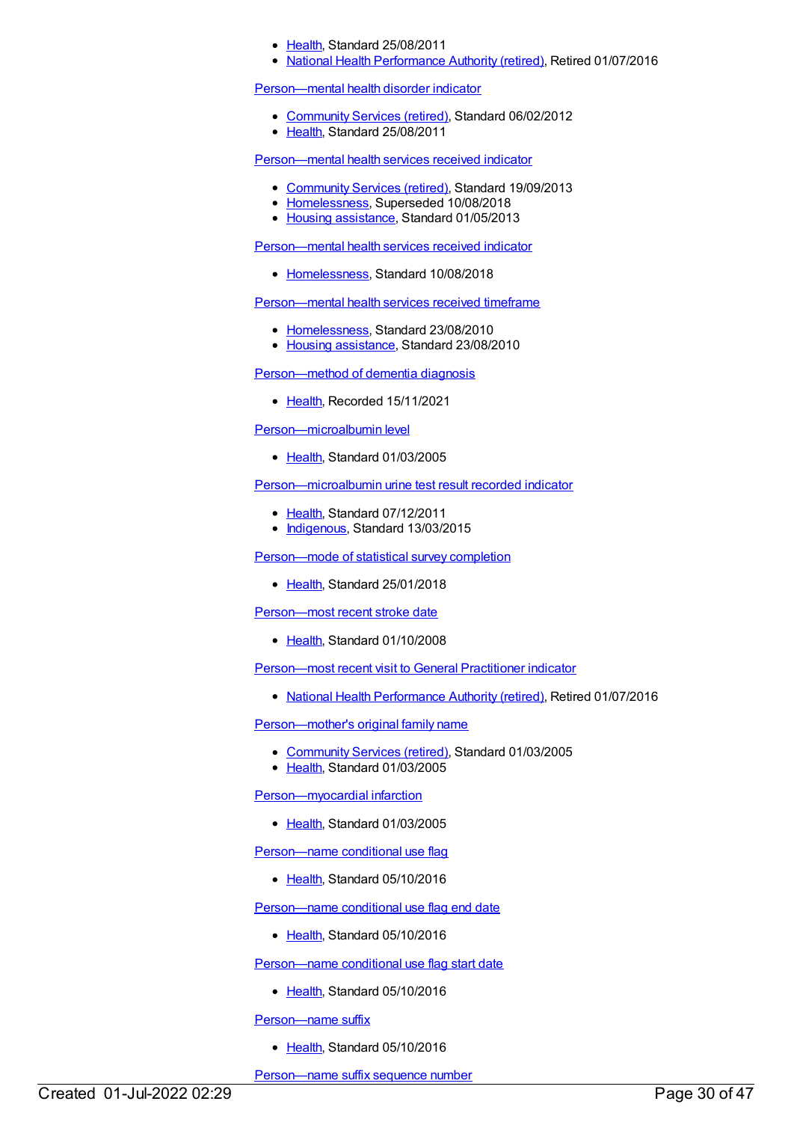- [Health](https://meteor.aihw.gov.au/RegistrationAuthority/12), Standard 25/08/2011
- National Health [Performance](https://meteor.aihw.gov.au/RegistrationAuthority/8) Authority (retired), Retired 01/07/2016

#### [Person—mental](https://meteor.aihw.gov.au/content/376072) health disorder indicator

- [Community](https://meteor.aihw.gov.au/RegistrationAuthority/1) Services (retired), Standard 06/02/2012
- [Health](https://meteor.aihw.gov.au/RegistrationAuthority/12), Standard 25/08/2011

[Person—mental](https://meteor.aihw.gov.au/content/505999) health services received indicator

- [Community](https://meteor.aihw.gov.au/RegistrationAuthority/1) Services (retired), Standard 19/09/2013
- [Homelessness](https://meteor.aihw.gov.au/RegistrationAuthority/14), Superseded 10/08/2018
- Housing [assistance](https://meteor.aihw.gov.au/RegistrationAuthority/11), Standard 01/05/2013

[Person—mental](https://meteor.aihw.gov.au/content/691980) health services received indicator

[Homelessness](https://meteor.aihw.gov.au/RegistrationAuthority/14), Standard 10/08/2018

[Person—mental](https://meteor.aihw.gov.au/content/406231) health services received timeframe

- [Homelessness](https://meteor.aihw.gov.au/RegistrationAuthority/14), Standard 23/08/2010
- Housing [assistance](https://meteor.aihw.gov.au/RegistrationAuthority/11), Standard 23/08/2010

[Person—method](https://meteor.aihw.gov.au/content/737967) of dementia diagnosis

• [Health](https://meteor.aihw.gov.au/RegistrationAuthority/12), Recorded 15/11/2021

[Person—microalbumin](https://meteor.aihw.gov.au/content/269773) level

• [Health](https://meteor.aihw.gov.au/RegistrationAuthority/12), Standard 01/03/2005

[Person—microalbumin](https://meteor.aihw.gov.au/content/464968) urine test result recorded indicator

- [Health](https://meteor.aihw.gov.au/RegistrationAuthority/12), Standard 07/12/2011
- [Indigenous](https://meteor.aihw.gov.au/RegistrationAuthority/6), Standard 13/03/2015

[Person—mode](https://meteor.aihw.gov.au/content/521295) of statistical survey completion

• [Health](https://meteor.aihw.gov.au/RegistrationAuthority/12), Standard 25/01/2018

[Person—most](https://meteor.aihw.gov.au/content/338260) recent stroke date

• [Health](https://meteor.aihw.gov.au/RegistrationAuthority/12), Standard 01/10/2008

[Person—most](https://meteor.aihw.gov.au/content/575124) recent visit to General Practitioner indicator

• National Health [Performance](https://meteor.aihw.gov.au/RegistrationAuthority/8) Authority (retired), Retired 01/07/2016

[Person—mother's](https://meteor.aihw.gov.au/content/269714) original family name

- [Community](https://meteor.aihw.gov.au/RegistrationAuthority/1) Services (retired), Standard 01/03/2005
- [Health](https://meteor.aihw.gov.au/RegistrationAuthority/12), Standard 01/03/2005

[Person—myocardial](https://meteor.aihw.gov.au/content/269729) infarction

• [Health](https://meteor.aihw.gov.au/RegistrationAuthority/12), Standard 01/03/2005

Person-name conditional use flag

• [Health](https://meteor.aihw.gov.au/RegistrationAuthority/12), Standard 05/10/2016

[Person—name](https://meteor.aihw.gov.au/content/521166) conditional use flag end date

• [Health](https://meteor.aihw.gov.au/RegistrationAuthority/12), Standard 05/10/2016

[Person—name](https://meteor.aihw.gov.au/content/521159) conditional use flag start date

• [Health](https://meteor.aihw.gov.au/RegistrationAuthority/12), Standard 05/10/2016

Person-name suffix

• [Health](https://meteor.aihw.gov.au/RegistrationAuthority/12), Standard 05/10/2016

[Person—name](https://meteor.aihw.gov.au/content/613371) suffix sequence number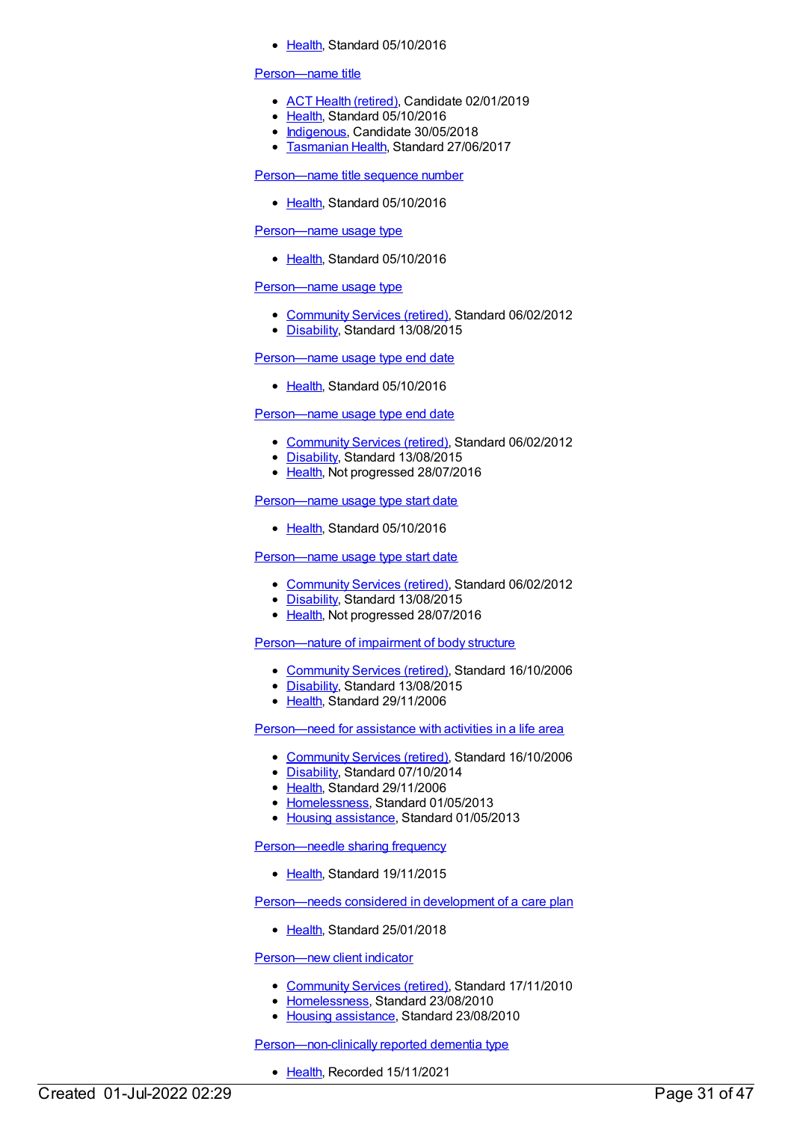• [Health](https://meteor.aihw.gov.au/RegistrationAuthority/12), Standard 05/10/2016

#### [Person—name](https://meteor.aihw.gov.au/content/613315) title

- ACT Health [\(retired\)](https://meteor.aihw.gov.au/RegistrationAuthority/9), Candidate 02/01/2019
- [Health](https://meteor.aihw.gov.au/RegistrationAuthority/12), Standard 05/10/2016
- [Indigenous](https://meteor.aihw.gov.au/RegistrationAuthority/6), Candidate 30/05/2018
- [Tasmanian](https://meteor.aihw.gov.au/RegistrationAuthority/15) Health, Standard 27/06/2017

#### [Person—name](https://meteor.aihw.gov.au/content/613327) title sequence number

• [Health](https://meteor.aihw.gov.au/RegistrationAuthority/12), Standard 05/10/2016

#### [Person—name](https://meteor.aihw.gov.au/content/614629) usage type

• [Health](https://meteor.aihw.gov.au/RegistrationAuthority/12), Standard 05/10/2016

#### [Person—name](https://meteor.aihw.gov.au/content/453710) usage type

- [Community](https://meteor.aihw.gov.au/RegistrationAuthority/1) Services (retired), Standard 06/02/2012
- [Disability](https://meteor.aihw.gov.au/RegistrationAuthority/16), Standard 13/08/2015

#### [Person—name](https://meteor.aihw.gov.au/content/646012) usage type end date

• [Health](https://meteor.aihw.gov.au/RegistrationAuthority/12), Standard 05/10/2016

#### [Person—name](https://meteor.aihw.gov.au/content/453791) usage type end date

- [Community](https://meteor.aihw.gov.au/RegistrationAuthority/1) Services (retired), Standard 06/02/2012
- [Disability](https://meteor.aihw.gov.au/RegistrationAuthority/16), Standard 13/08/2015
- [Health](https://meteor.aihw.gov.au/RegistrationAuthority/12), Not progressed 28/07/2016

#### [Person—name](https://meteor.aihw.gov.au/content/645999) usage type start date

• [Health](https://meteor.aihw.gov.au/RegistrationAuthority/12), Standard 05/10/2016

#### [Person—name](https://meteor.aihw.gov.au/content/453779) usage type start date

- [Community](https://meteor.aihw.gov.au/RegistrationAuthority/1) Services (retired), Standard 06/02/2012
- [Disability](https://meteor.aihw.gov.au/RegistrationAuthority/16), Standard 13/08/2015
- [Health](https://meteor.aihw.gov.au/RegistrationAuthority/12), Not progressed 28/07/2016

# [Person—nature](https://meteor.aihw.gov.au/content/320278) of impairment of body structure

- [Community](https://meteor.aihw.gov.au/RegistrationAuthority/1) Services (retired), Standard 16/10/2006
- [Disability](https://meteor.aihw.gov.au/RegistrationAuthority/16), Standard 13/08/2015
- [Health](https://meteor.aihw.gov.au/RegistrationAuthority/12), Standard 29/11/2006

#### [Person—need](https://meteor.aihw.gov.au/content/324423) for assistance with activities in a life area

- [Community](https://meteor.aihw.gov.au/RegistrationAuthority/1) Services (retired), Standard 16/10/2006
- [Disability](https://meteor.aihw.gov.au/RegistrationAuthority/16), Standard 07/10/2014
- [Health](https://meteor.aihw.gov.au/RegistrationAuthority/12), Standard 29/11/2006
- [Homelessness](https://meteor.aihw.gov.au/RegistrationAuthority/14), Standard 01/05/2013
- Housing [assistance](https://meteor.aihw.gov.au/RegistrationAuthority/11), Standard 01/05/2013

#### [Person—needle](https://meteor.aihw.gov.au/content/483013) sharing frequency

[Health](https://meteor.aihw.gov.au/RegistrationAuthority/12), Standard 19/11/2015

#### [Person—needs](https://meteor.aihw.gov.au/content/634958) considered in development of a care plan

• [Health](https://meteor.aihw.gov.au/RegistrationAuthority/12), Standard 25/01/2018

#### [Person—new](https://meteor.aihw.gov.au/content/400373) client indicator

- [Community](https://meteor.aihw.gov.au/RegistrationAuthority/1) Services (retired), Standard 17/11/2010
- [Homelessness](https://meteor.aihw.gov.au/RegistrationAuthority/14), Standard 23/08/2010
- Housing [assistance](https://meteor.aihw.gov.au/RegistrationAuthority/11), Standard 23/08/2010

#### [Person—non-clinically](https://meteor.aihw.gov.au/content/738037) reported dementia type

• [Health](https://meteor.aihw.gov.au/RegistrationAuthority/12), Recorded 15/11/2021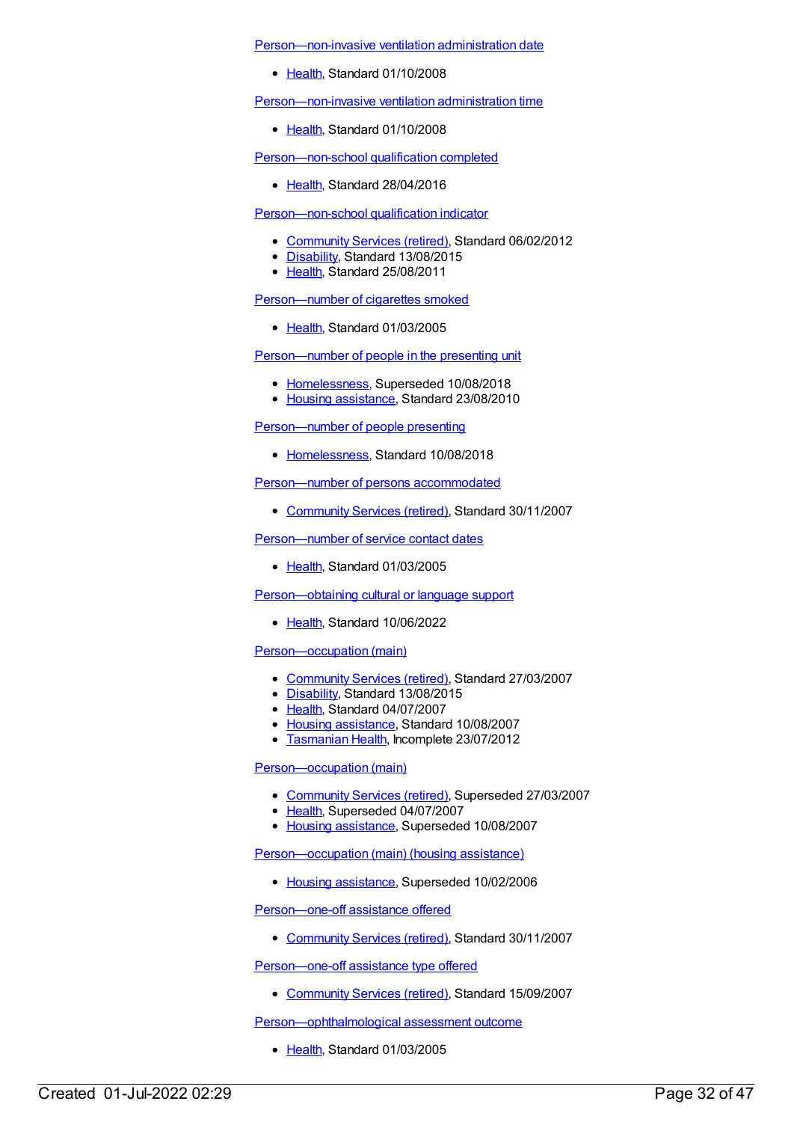[Person—non-invasive](https://meteor.aihw.gov.au/content/359634) ventilation administration date

• [Health](https://meteor.aihw.gov.au/RegistrationAuthority/12), Standard 01/10/2008

[Person—non-invasive](https://meteor.aihw.gov.au/content/359644) ventilation administration time

• [Health](https://meteor.aihw.gov.au/RegistrationAuthority/12), Standard 01/10/2008

[Person—non-school](https://meteor.aihw.gov.au/content/631784) qualification completed

• [Health](https://meteor.aihw.gov.au/RegistrationAuthority/12), Standard 28/04/2016

### [Person—non-school](https://meteor.aihw.gov.au/content/376005) qualification indicator

- [Community](https://meteor.aihw.gov.au/RegistrationAuthority/1) Services (retired), Standard 06/02/2012
- [Disability](https://meteor.aihw.gov.au/RegistrationAuthority/16), Standard 13/08/2015
- [Health](https://meteor.aihw.gov.au/RegistrationAuthority/12), Standard 25/08/2011

# [Person—number](https://meteor.aihw.gov.au/content/269770) of cigarettes smoked

• [Health](https://meteor.aihw.gov.au/RegistrationAuthority/12), Standard 01/03/2005

[Person—number](https://meteor.aihw.gov.au/content/401593) of people in the presenting unit

- [Homelessness](https://meteor.aihw.gov.au/RegistrationAuthority/14), Superseded 10/08/2018
- Housing [assistance](https://meteor.aihw.gov.au/RegistrationAuthority/11), Standard 23/08/2010

[Person—number](https://meteor.aihw.gov.au/content/690642) of people presenting

• [Homelessness](https://meteor.aihw.gov.au/RegistrationAuthority/14), Standard 10/08/2018

[Person—number](https://meteor.aihw.gov.au/content/352411) of persons accommodated

• [Community](https://meteor.aihw.gov.au/RegistrationAuthority/1) Services (retired), Standard 30/11/2007

[Person—number](https://meteor.aihw.gov.au/content/269636) of service contact dates

• [Health](https://meteor.aihw.gov.au/RegistrationAuthority/12), Standard 01/03/2005

[Person—obtaining](https://meteor.aihw.gov.au/content/751390) cultural or language support

• [Health](https://meteor.aihw.gov.au/RegistrationAuthority/12), Standard 10/06/2022

# [Person—occupation](https://meteor.aihw.gov.au/content/354486) (main)

- [Community](https://meteor.aihw.gov.au/RegistrationAuthority/1) Services (retired), Standard 27/03/2007
- [Disability](https://meteor.aihw.gov.au/RegistrationAuthority/16), Standard 13/08/2015
- [Health](https://meteor.aihw.gov.au/RegistrationAuthority/12), Standard 04/07/2007
- Housing [assistance](https://meteor.aihw.gov.au/RegistrationAuthority/11), Standard 10/08/2007
- [Tasmanian](https://meteor.aihw.gov.au/RegistrationAuthority/15) Health, Incomplete 23/07/2012

[Person—occupation](https://meteor.aihw.gov.au/content/269531) (main)

- [Community](https://meteor.aihw.gov.au/RegistrationAuthority/1) Services (retired), Superseded 27/03/2007
- [Health](https://meteor.aihw.gov.au/RegistrationAuthority/12), Superseded 04/07/2007
- Housing [assistance](https://meteor.aihw.gov.au/RegistrationAuthority/11), Superseded 10/08/2007

[Person—occupation](https://meteor.aihw.gov.au/content/269812) (main) (housing assistance)

• Housing [assistance](https://meteor.aihw.gov.au/RegistrationAuthority/11), Superseded 10/02/2006

[Person—one-off](https://meteor.aihw.gov.au/content/333878) assistance offered

• [Community](https://meteor.aihw.gov.au/RegistrationAuthority/1) Services (retired), Standard 30/11/2007

[Person—one-off](https://meteor.aihw.gov.au/content/333911) assistance type offered

• [Community](https://meteor.aihw.gov.au/RegistrationAuthority/1) Services (retired), Standard 15/09/2007

[Person—ophthalmological](https://meteor.aihw.gov.au/content/269794) assessment outcome

• [Health](https://meteor.aihw.gov.au/RegistrationAuthority/12), Standard 01/03/2005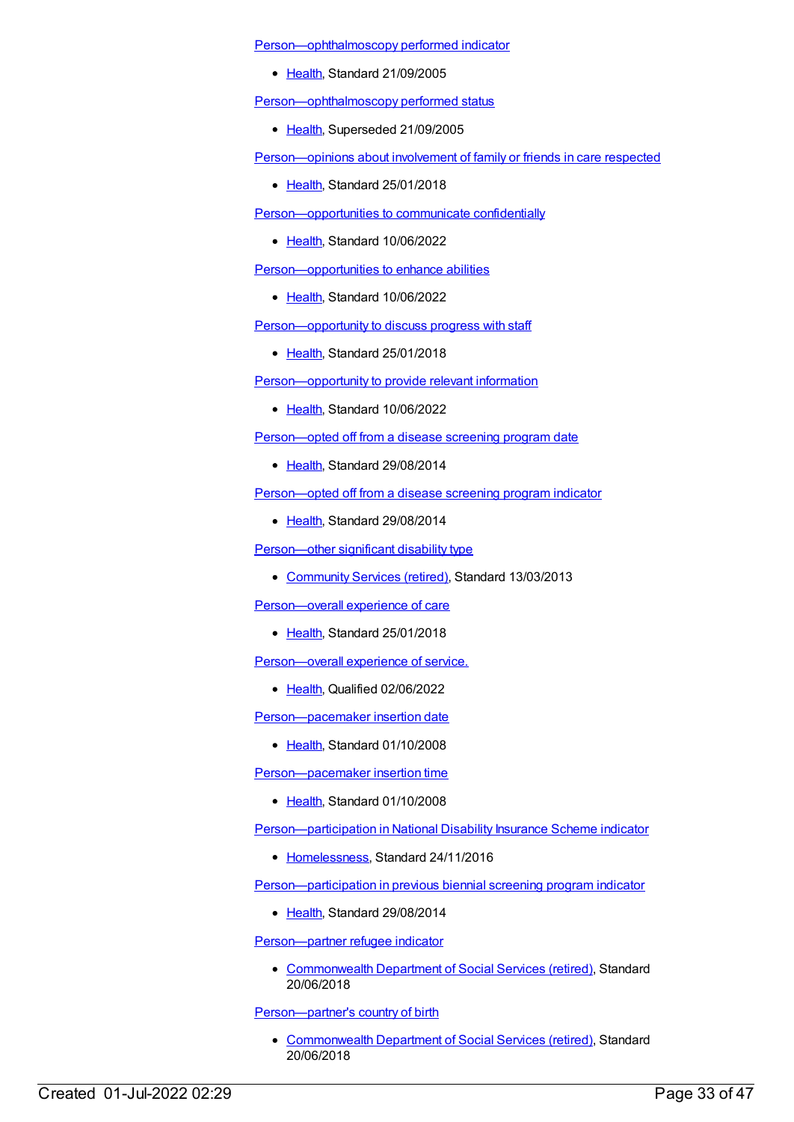[Person—ophthalmoscopy](https://meteor.aihw.gov.au/content/303983) performed indicator

• [Health](https://meteor.aihw.gov.au/RegistrationAuthority/12), Standard 21/09/2005

[Person—ophthalmoscopy](https://meteor.aihw.gov.au/content/269747) performed status

• [Health](https://meteor.aihw.gov.au/RegistrationAuthority/12), Superseded 21/09/2005

[Person—opinions](https://meteor.aihw.gov.au/content/634849) about involvement of family or friends in care respected

• [Health](https://meteor.aihw.gov.au/RegistrationAuthority/12), Standard 25/01/2018

[Person—opportunities](https://meteor.aihw.gov.au/content/751439) to communicate confidentially

• [Health](https://meteor.aihw.gov.au/RegistrationAuthority/12), Standard 10/06/2022

[Person—opportunities](https://meteor.aihw.gov.au/content/751418) to enhance abilities

• [Health](https://meteor.aihw.gov.au/RegistrationAuthority/12), Standard 10/06/2022

[Person—opportunity](https://meteor.aihw.gov.au/content/634898) to discuss progress with staff

• [Health](https://meteor.aihw.gov.au/RegistrationAuthority/12), Standard 25/01/2018

[Person—opportunity](https://meteor.aihw.gov.au/content/751396) to provide relevant information

• [Health](https://meteor.aihw.gov.au/RegistrationAuthority/12), Standard 10/06/2022

[Person—opted](https://meteor.aihw.gov.au/content/576717) off from a disease screening program date

• [Health](https://meteor.aihw.gov.au/RegistrationAuthority/12), Standard 29/08/2014

[Person—opted](https://meteor.aihw.gov.au/content/568066) off from a disease screening program indicator

• [Health](https://meteor.aihw.gov.au/RegistrationAuthority/12), Standard 29/08/2014

[Person—other](https://meteor.aihw.gov.au/content/491604) significant disability type

• [Community](https://meteor.aihw.gov.au/RegistrationAuthority/1) Services (retired), Standard 13/03/2013

[Person—overall](https://meteor.aihw.gov.au/content/634975) experience of care

• [Health](https://meteor.aihw.gov.au/RegistrationAuthority/12), Standard 25/01/2018

[Person—overall](https://meteor.aihw.gov.au/content/759364) experience of service.

• [Health](https://meteor.aihw.gov.au/RegistrationAuthority/12), Qualified 02/06/2022

[Person—pacemaker](https://meteor.aihw.gov.au/content/359601) insertion date

• [Health](https://meteor.aihw.gov.au/RegistrationAuthority/12), Standard 01/10/2008

Person-pacemaker insertion time

• [Health](https://meteor.aihw.gov.au/RegistrationAuthority/12), Standard 01/10/2008

[Person—participation](https://meteor.aihw.gov.au/content/649814) in National Disability Insurance Scheme indicator

• [Homelessness](https://meteor.aihw.gov.au/RegistrationAuthority/14), Standard 24/11/2016

[Person—participation](https://meteor.aihw.gov.au/content/530582) in previous biennial screening program indicator

• [Health](https://meteor.aihw.gov.au/RegistrationAuthority/12), Standard 29/08/2014

[Person—partner](https://meteor.aihw.gov.au/content/648291) refugee indicator

• [Commonwealth](https://meteor.aihw.gov.au/RegistrationAuthority/7) Department of Social Services (retired), Standard 20/06/2018

[Person—partner's](https://meteor.aihw.gov.au/content/648280) country of birth

• [Commonwealth](https://meteor.aihw.gov.au/RegistrationAuthority/7) Department of Social Services (retired), Standard 20/06/2018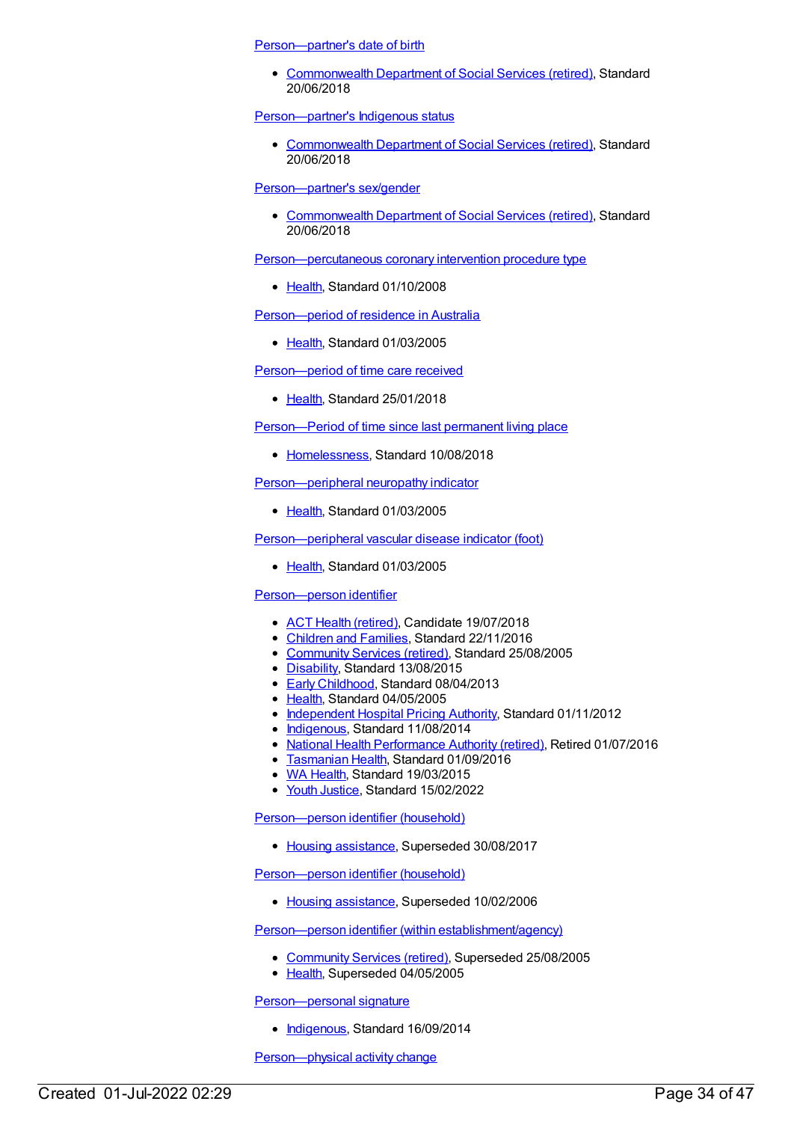[Person—partner's](https://meteor.aihw.gov.au/content/666183) date of birth

[Commonwealth](https://meteor.aihw.gov.au/RegistrationAuthority/7) Department of Social Services (retired), Standard 20/06/2018

[Person—partner's](https://meteor.aihw.gov.au/content/648300) Indigenous status

[Commonwealth](https://meteor.aihw.gov.au/RegistrationAuthority/7) Department of Social Services (retired), Standard 20/06/2018

[Person—partner's](https://meteor.aihw.gov.au/content/671733) sex/gender

[Commonwealth](https://meteor.aihw.gov.au/RegistrationAuthority/7) Department of Social Services (retired), Standard 20/06/2018

[Person—percutaneous](https://meteor.aihw.gov.au/content/359747) coronary intervention procedure type

• [Health](https://meteor.aihw.gov.au/RegistrationAuthority/12), Standard 01/10/2008

[Person—period](https://meteor.aihw.gov.au/content/269521) of residence in Australia

• [Health](https://meteor.aihw.gov.au/RegistrationAuthority/12), Standard 01/03/2005

[Person—period](https://meteor.aihw.gov.au/content/635120) of time care received

[Health](https://meteor.aihw.gov.au/RegistrationAuthority/12), Standard 25/01/2018

[Person—Period](https://meteor.aihw.gov.au/content/692166) of time since last permanent living place

• [Homelessness](https://meteor.aihw.gov.au/RegistrationAuthority/14), Standard 10/08/2018

[Person—peripheral](https://meteor.aihw.gov.au/content/269622) neuropathy indicator

• [Health](https://meteor.aihw.gov.au/RegistrationAuthority/12), Standard 01/03/2005

[Person—peripheral](https://meteor.aihw.gov.au/content/269522) vascular disease indicator (foot)

• [Health](https://meteor.aihw.gov.au/RegistrationAuthority/12), Standard 01/03/2005

[Person—person](https://meteor.aihw.gov.au/content/287172) identifier

- ACT Health [\(retired\)](https://meteor.aihw.gov.au/RegistrationAuthority/9), Candidate 19/07/2018
- [Children](https://meteor.aihw.gov.au/RegistrationAuthority/17) and Families, Standard 22/11/2016
- [Community](https://meteor.aihw.gov.au/RegistrationAuthority/1) Services (retired), Standard 25/08/2005
- [Disability](https://meteor.aihw.gov.au/RegistrationAuthority/16), Standard 13/08/2015
- Early [Childhood](https://meteor.aihw.gov.au/RegistrationAuthority/13), Standard 08/04/2013
- [Health](https://meteor.aihw.gov.au/RegistrationAuthority/12), Standard 04/05/2005
- [Independent](https://meteor.aihw.gov.au/RegistrationAuthority/3) Hospital Pricing Authority, Standard 01/11/2012
- [Indigenous](https://meteor.aihw.gov.au/RegistrationAuthority/6), Standard 11/08/2014
- National Health [Performance](https://meteor.aihw.gov.au/RegistrationAuthority/8) Authority (retired), Retired 01/07/2016
- **[Tasmanian](https://meteor.aihw.gov.au/RegistrationAuthority/15) Health, Standard 01/09/2016**
- WA [Health](https://meteor.aihw.gov.au/RegistrationAuthority/2), Standard 19/03/2015
- Vouth [Justice](https://meteor.aihw.gov.au/RegistrationAuthority/4), Standard 15/02/2022

[Person—person](https://meteor.aihw.gov.au/content/302674) identifier (household)

• Housing [assistance](https://meteor.aihw.gov.au/RegistrationAuthority/11), Superseded 30/08/2017

[Person—person](https://meteor.aihw.gov.au/content/269781) identifier (household)

• Housing [assistance](https://meteor.aihw.gov.au/RegistrationAuthority/11), Superseded 10/02/2006

Person—person identifier (within [establishment/agency\)](https://meteor.aihw.gov.au/content/269523)

- [Community](https://meteor.aihw.gov.au/RegistrationAuthority/1) Services (retired), Superseded 25/08/2005
- [Health](https://meteor.aihw.gov.au/RegistrationAuthority/12), Superseded 04/05/2005

[Person—personal](https://meteor.aihw.gov.au/content/573140) signature

• [Indigenous](https://meteor.aihw.gov.au/RegistrationAuthority/6), Standard 16/09/2014

[Person—physical](https://meteor.aihw.gov.au/content/624772) activity change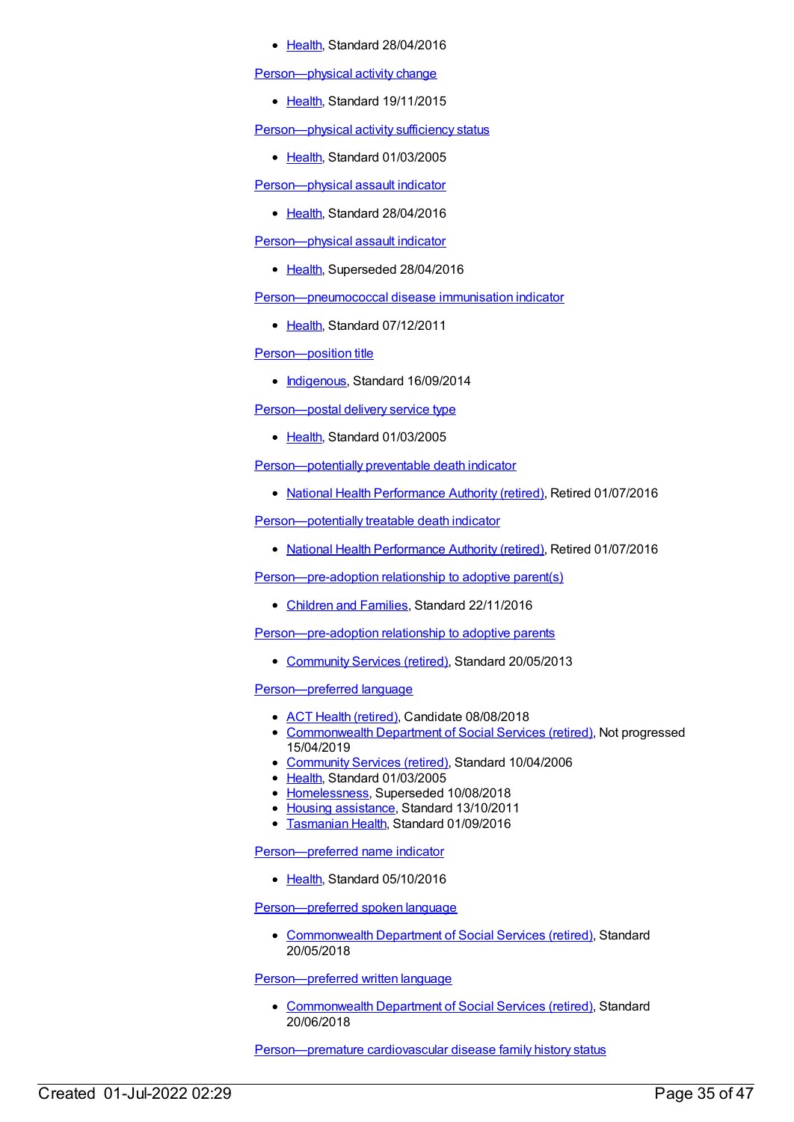[Health](https://meteor.aihw.gov.au/RegistrationAuthority/12), Standard 28/04/2016

[Person—physical](https://meteor.aihw.gov.au/content/482860) activity change

• [Health](https://meteor.aihw.gov.au/RegistrationAuthority/12), Standard 19/11/2015

Person-physical activity sufficiency status

• [Health](https://meteor.aihw.gov.au/RegistrationAuthority/12), Standard 01/03/2005

[Person—physical](https://meteor.aihw.gov.au/content/626058) assault indicator

• [Health](https://meteor.aihw.gov.au/RegistrationAuthority/12), Standard 28/04/2016

[Person—physical](https://meteor.aihw.gov.au/content/482801) assault indicator

• [Health](https://meteor.aihw.gov.au/RegistrationAuthority/12), Superseded 28/04/2016

[Person—pneumococcal](https://meteor.aihw.gov.au/content/460015) disease immunisation indicator

• [Health](https://meteor.aihw.gov.au/RegistrationAuthority/12), Standard 07/12/2011

Person-position title

• [Indigenous](https://meteor.aihw.gov.au/RegistrationAuthority/6), Standard 16/09/2014

[Person—postal](https://meteor.aihw.gov.au/content/269498) delivery service type

• [Health](https://meteor.aihw.gov.au/RegistrationAuthority/12), Standard 01/03/2005

[Person—potentially](https://meteor.aihw.gov.au/content/574084) preventable death indicator

• National Health [Performance](https://meteor.aihw.gov.au/RegistrationAuthority/8) Authority (retired), Retired 01/07/2016

[Person—potentially](https://meteor.aihw.gov.au/content/574788) treatable death indicator

National Health [Performance](https://meteor.aihw.gov.au/RegistrationAuthority/8) Authority (retired), Retired 01/07/2016

[Person—pre-adoption](https://meteor.aihw.gov.au/content/650273) relationship to adoptive parent(s)

[Children](https://meteor.aihw.gov.au/RegistrationAuthority/17) and Families, Standard 22/11/2016

[Person—pre-adoption](https://meteor.aihw.gov.au/content/468385) relationship to adoptive parents

• [Community](https://meteor.aihw.gov.au/RegistrationAuthority/1) Services (retired), Standard 20/05/2013

[Person—preferred](https://meteor.aihw.gov.au/content/269744) language

- ACT Health [\(retired\)](https://meteor.aihw.gov.au/RegistrationAuthority/9), Candidate 08/08/2018
- [Commonwealth](https://meteor.aihw.gov.au/RegistrationAuthority/7) Department of Social Services (retired), Not progressed 15/04/2019
- [Community](https://meteor.aihw.gov.au/RegistrationAuthority/1) Services (retired), Standard 10/04/2006
- [Health](https://meteor.aihw.gov.au/RegistrationAuthority/12), Standard 01/03/2005
- [Homelessness](https://meteor.aihw.gov.au/RegistrationAuthority/14), Superseded 10/08/2018
- Housing [assistance](https://meteor.aihw.gov.au/RegistrationAuthority/11), Standard 13/10/2011
- **[Tasmanian](https://meteor.aihw.gov.au/RegistrationAuthority/15) Health, Standard 01/09/2016**

[Person—preferred](https://meteor.aihw.gov.au/content/521131) name indicator

• [Health](https://meteor.aihw.gov.au/RegistrationAuthority/12), Standard 05/10/2016

[Person—preferred](https://meteor.aihw.gov.au/content/658062) spoken language

• [Commonwealth](https://meteor.aihw.gov.au/RegistrationAuthority/7) Department of Social Services (retired), Standard 20/05/2018

[Person—preferred](https://meteor.aihw.gov.au/content/648573) written language

[Commonwealth](https://meteor.aihw.gov.au/RegistrationAuthority/7) Department of Social Services (retired), Standard 20/06/2018

[Person—premature](https://meteor.aihw.gov.au/content/269723) cardiovascular disease family history status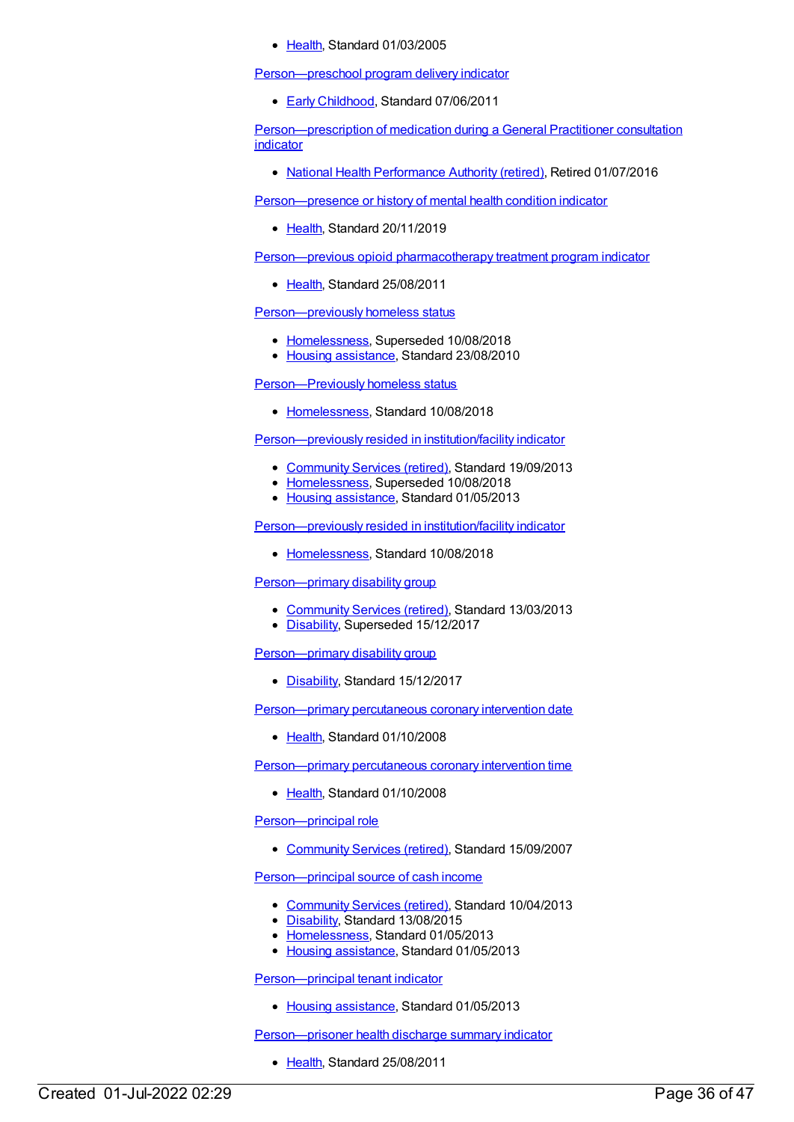• [Health](https://meteor.aihw.gov.au/RegistrationAuthority/12), Standard 01/03/2005

[Person—preschool](https://meteor.aihw.gov.au/content/441668) program delivery indicator

● Early [Childhood](https://meteor.aihw.gov.au/RegistrationAuthority/13), Standard 07/06/2011

[Person—prescription](https://meteor.aihw.gov.au/content/595647) of medication during a General Practitioner consultation indicator

National Health [Performance](https://meteor.aihw.gov.au/RegistrationAuthority/8) Authority (retired), Retired 01/07/2016

[Person—presence](https://meteor.aihw.gov.au/content/622384) or history of mental health condition indicator

• [Health](https://meteor.aihw.gov.au/RegistrationAuthority/12), Standard 20/11/2019

[Person—previous](https://meteor.aihw.gov.au/content/404737) opioid pharmacotherapy treatment program indicator

[Health](https://meteor.aihw.gov.au/RegistrationAuthority/12), Standard 25/08/2011

[Person—previously](https://meteor.aihw.gov.au/content/400342) homeless status

- [Homelessness](https://meteor.aihw.gov.au/RegistrationAuthority/14), Superseded 10/08/2018
- Housing [assistance](https://meteor.aihw.gov.au/RegistrationAuthority/11), Standard 23/08/2010

[Person—Previously](https://meteor.aihw.gov.au/content/690659) homeless status

• [Homelessness](https://meteor.aihw.gov.au/RegistrationAuthority/14), Standard 10/08/2018

[Person—previously](https://meteor.aihw.gov.au/content/403997) resided in institution/facility indicator

- [Community](https://meteor.aihw.gov.au/RegistrationAuthority/1) Services (retired), Standard 19/09/2013
- [Homelessness](https://meteor.aihw.gov.au/RegistrationAuthority/14), Superseded 10/08/2018
- Housing [assistance](https://meteor.aihw.gov.au/RegistrationAuthority/11), Standard 01/05/2013

[Person—previously](https://meteor.aihw.gov.au/content/692150) resided in institution/facility indicator

• [Homelessness](https://meteor.aihw.gov.au/RegistrationAuthority/14), Standard 10/08/2018

[Person—primary](https://meteor.aihw.gov.au/content/492319) disability group

- [Community](https://meteor.aihw.gov.au/RegistrationAuthority/1) Services (retired), Standard 13/03/2013
- [Disability](https://meteor.aihw.gov.au/RegistrationAuthority/16), Superseded 15/12/2017

[Person—primary](https://meteor.aihw.gov.au/content/680775) disability group

• [Disability](https://meteor.aihw.gov.au/RegistrationAuthority/16), Standard 15/12/2017

[Person—primary](https://meteor.aihw.gov.au/content/359177) percutaneous coronary intervention date

• [Health](https://meteor.aihw.gov.au/RegistrationAuthority/12), Standard 01/10/2008

[Person—primary](https://meteor.aihw.gov.au/content/359203) percutaneous coronary intervention time

● [Health](https://meteor.aihw.gov.au/RegistrationAuthority/12), Standard 01/10/2008

[Person—principal](https://meteor.aihw.gov.au/content/314846) role

• [Community](https://meteor.aihw.gov.au/RegistrationAuthority/1) Services (retired), Standard 15/09/2007

[Person—principal](https://meteor.aihw.gov.au/content/462231) source of cash income

- [Community](https://meteor.aihw.gov.au/RegistrationAuthority/1) Services (retired), Standard 10/04/2013
- [Disability](https://meteor.aihw.gov.au/RegistrationAuthority/16), Standard 13/08/2015
- [Homelessness](https://meteor.aihw.gov.au/RegistrationAuthority/14), Standard 01/05/2013
- Housing [assistance](https://meteor.aihw.gov.au/RegistrationAuthority/11), Standard 01/05/2013

[Person—principal](https://meteor.aihw.gov.au/content/463014) tenant indicator

• Housing [assistance](https://meteor.aihw.gov.au/RegistrationAuthority/11), Standard 01/05/2013

[Person—prisoner](https://meteor.aihw.gov.au/content/412260) health discharge summary indicator

• [Health](https://meteor.aihw.gov.au/RegistrationAuthority/12), Standard 25/08/2011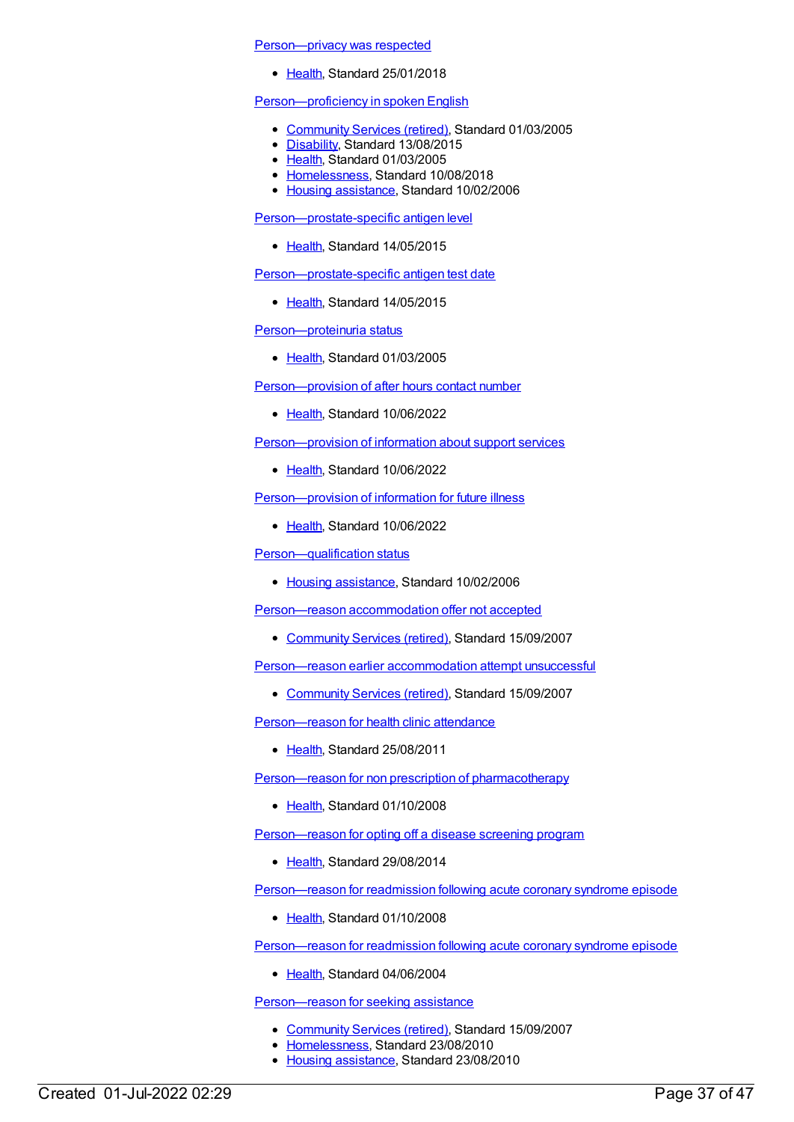#### [Person—privacy](https://meteor.aihw.gov.au/content/634705) was respected

• [Health](https://meteor.aihw.gov.au/RegistrationAuthority/12), Standard 25/01/2018

# [Person—proficiency](https://meteor.aihw.gov.au/content/269667) in spoken English

- [Community](https://meteor.aihw.gov.au/RegistrationAuthority/1) Services (retired), Standard 01/03/2005
- [Disability](https://meteor.aihw.gov.au/RegistrationAuthority/16), Standard 13/08/2015
- [Health](https://meteor.aihw.gov.au/RegistrationAuthority/12), Standard 01/03/2005
- [Homelessness](https://meteor.aihw.gov.au/RegistrationAuthority/14), Standard 10/08/2018
- Housing [assistance](https://meteor.aihw.gov.au/RegistrationAuthority/11), Standard 10/02/2006

[Person—prostate-specific](https://meteor.aihw.gov.au/content/481435) antigen level

• [Health](https://meteor.aihw.gov.au/RegistrationAuthority/12), Standard 14/05/2015

[Person—prostate-specific](https://meteor.aihw.gov.au/content/587685) antigen test date

• [Health](https://meteor.aihw.gov.au/RegistrationAuthority/12), Standard 14/05/2015

[Person—proteinuria](https://meteor.aihw.gov.au/content/269778) status

• [Health](https://meteor.aihw.gov.au/RegistrationAuthority/12), Standard 01/03/2005

[Person—provision](https://meteor.aihw.gov.au/content/751618) of after hours contact number

Elealth, Standard 10/06/2022

[Person—provision](https://meteor.aihw.gov.au/content/751605) of information about support services

• [Health](https://meteor.aihw.gov.au/RegistrationAuthority/12), Standard 10/06/2022

[Person—provision](https://meteor.aihw.gov.au/content/751432) of information for future illness

• [Health](https://meteor.aihw.gov.au/RegistrationAuthority/12), Standard 10/06/2022

[Person—qualification](https://meteor.aihw.gov.au/content/292352) status

• Housing [assistance](https://meteor.aihw.gov.au/RegistrationAuthority/11), Standard 10/02/2006

[Person—reason](https://meteor.aihw.gov.au/content/329720) accommodation offer not accepted

• [Community](https://meteor.aihw.gov.au/RegistrationAuthority/1) Services (retired), Standard 15/09/2007

Person-reason earlier accommodation attempt unsuccessful

• [Community](https://meteor.aihw.gov.au/RegistrationAuthority/1) Services (retired), Standard 15/09/2007

[Person—reason](https://meteor.aihw.gov.au/content/365289) for health clinic attendance

• [Health](https://meteor.aihw.gov.au/RegistrationAuthority/12), Standard 25/08/2011

Person—reason for non prescription of [pharmacotherapy](https://meteor.aihw.gov.au/content/347220)

• [Health](https://meteor.aihw.gov.au/RegistrationAuthority/12), Standard 01/10/2008

[Person—reason](https://meteor.aihw.gov.au/content/568084) for opting off a disease screening program

• [Health](https://meteor.aihw.gov.au/RegistrationAuthority/12), Standard 29/08/2014

[Person—reason](https://meteor.aihw.gov.au/content/359406) for readmission following acute coronary syndrome episode

• [Health](https://meteor.aihw.gov.au/RegistrationAuthority/12), Standard 01/10/2008

[Person—reason](https://meteor.aihw.gov.au/content/285163) for readmission following acute coronary syndrome episode

• [Health](https://meteor.aihw.gov.au/RegistrationAuthority/12), Standard 04/06/2004

[Person—reason](https://meteor.aihw.gov.au/content/337017) for seeking assistance

- [Community](https://meteor.aihw.gov.au/RegistrationAuthority/1) Services (retired), Standard 15/09/2007
- [Homelessness](https://meteor.aihw.gov.au/RegistrationAuthority/14), Standard 23/08/2010
- Housing [assistance](https://meteor.aihw.gov.au/RegistrationAuthority/11), Standard 23/08/2010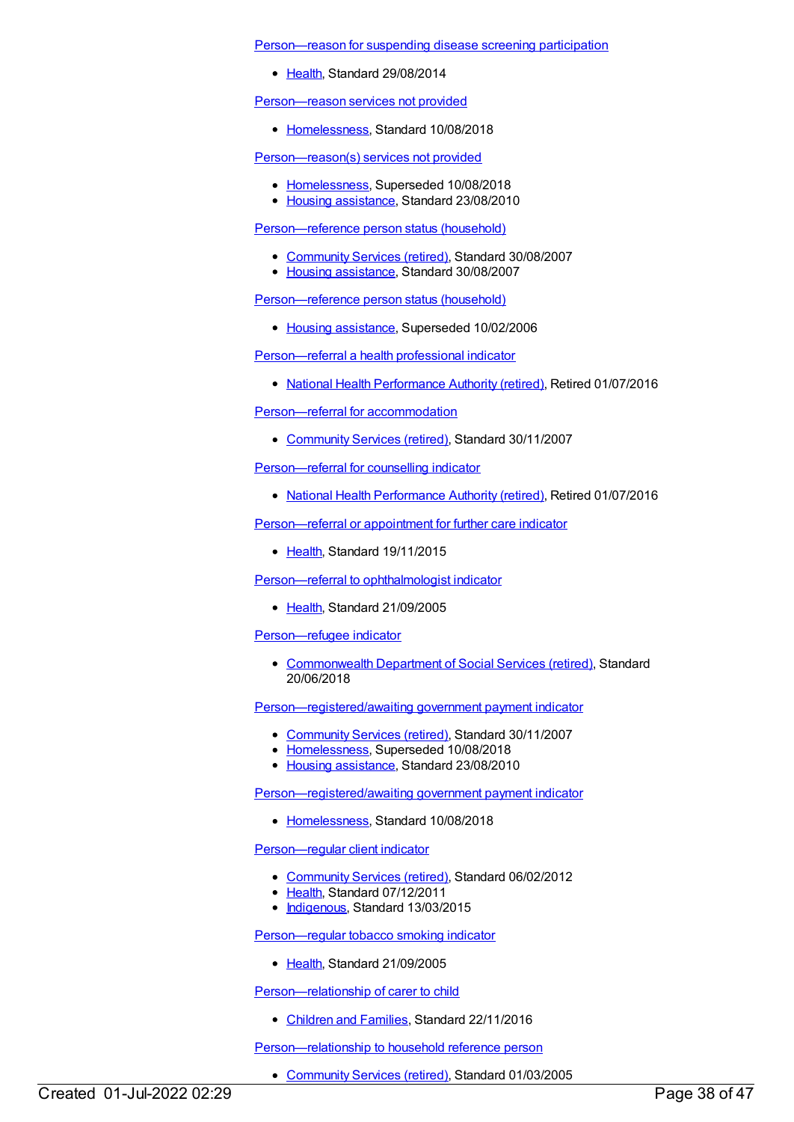#### [Person—reason](https://meteor.aihw.gov.au/content/568096) for suspending disease screening participation

• [Health](https://meteor.aihw.gov.au/RegistrationAuthority/12), Standard 29/08/2014

[Person—reason](https://meteor.aihw.gov.au/content/692291) services not provided

• [Homelessness](https://meteor.aihw.gov.au/RegistrationAuthority/14), Standard 10/08/2018

[Person—reason\(s\)](https://meteor.aihw.gov.au/content/400270) services not provided

- [Homelessness](https://meteor.aihw.gov.au/RegistrationAuthority/14), Superseded 10/08/2018
- Housing [assistance](https://meteor.aihw.gov.au/RegistrationAuthority/11), Standard 23/08/2010

[Person—reference](https://meteor.aihw.gov.au/content/406830) person status (household)

- [Community](https://meteor.aihw.gov.au/RegistrationAuthority/1) Services (retired), Standard 30/08/2007
- Housing [assistance](https://meteor.aihw.gov.au/RegistrationAuthority/11), Standard 30/08/2007

[Person—reference](https://meteor.aihw.gov.au/content/269697) person status (household)

• Housing [assistance](https://meteor.aihw.gov.au/RegistrationAuthority/11), Superseded 10/02/2006

[Person—referral](https://meteor.aihw.gov.au/content/595693) a health professional indicator

• National Health [Performance](https://meteor.aihw.gov.au/RegistrationAuthority/8) Authority (retired), Retired 01/07/2016

[Person—referral](https://meteor.aihw.gov.au/content/333662) for accommodation

• [Community](https://meteor.aihw.gov.au/RegistrationAuthority/1) Services (retired), Standard 30/11/2007

[Person—referral](https://meteor.aihw.gov.au/content/596070) for counselling indicator

• National Health [Performance](https://meteor.aihw.gov.au/RegistrationAuthority/8) Authority (retired), Retired 01/07/2016

[Person—referral](https://meteor.aihw.gov.au/content/483248) or appointment for further care indicator

• [Health](https://meteor.aihw.gov.au/RegistrationAuthority/12), Standard 19/11/2015

[Person—referral](https://meteor.aihw.gov.au/content/304008) to ophthalmologist indicator

• [Health](https://meteor.aihw.gov.au/RegistrationAuthority/12), Standard 21/09/2005

[Person—refugee](https://meteor.aihw.gov.au/content/645104) indicator

[Commonwealth](https://meteor.aihw.gov.au/RegistrationAuthority/7) Department of Social Services (retired), Standard 20/06/2018

[Person—registered/awaiting](https://meteor.aihw.gov.au/content/350299) government payment indicator

- [Community](https://meteor.aihw.gov.au/RegistrationAuthority/1) Services (retired), Standard 30/11/2007
- [Homelessness](https://meteor.aihw.gov.au/RegistrationAuthority/14), Superseded 10/08/2018
- Housing [assistance](https://meteor.aihw.gov.au/RegistrationAuthority/11), Standard 23/08/2010

[Person—registered/awaiting](https://meteor.aihw.gov.au/content/690718) government payment indicator

• [Homelessness](https://meteor.aihw.gov.au/RegistrationAuthority/14), Standard 10/08/2018

[Person—regular](https://meteor.aihw.gov.au/content/436653) client indicator

- [Community](https://meteor.aihw.gov.au/RegistrationAuthority/1) Services (retired), Standard 06/02/2012
- [Health](https://meteor.aihw.gov.au/RegistrationAuthority/12), Standard 07/12/2011
- [Indigenous](https://meteor.aihw.gov.au/RegistrationAuthority/6), Standard 13/03/2015

[Person—regular](https://meteor.aihw.gov.au/content/304516) tobacco smoking indicator

• [Health](https://meteor.aihw.gov.au/RegistrationAuthority/12), Standard 21/09/2005

Person-relationship of carer to child

• [Children](https://meteor.aihw.gov.au/RegistrationAuthority/17) and Families, Standard 22/11/2016

[Person—relationship](https://meteor.aihw.gov.au/content/269820) to household reference person

• [Community](https://meteor.aihw.gov.au/RegistrationAuthority/1) Services (retired), Standard 01/03/2005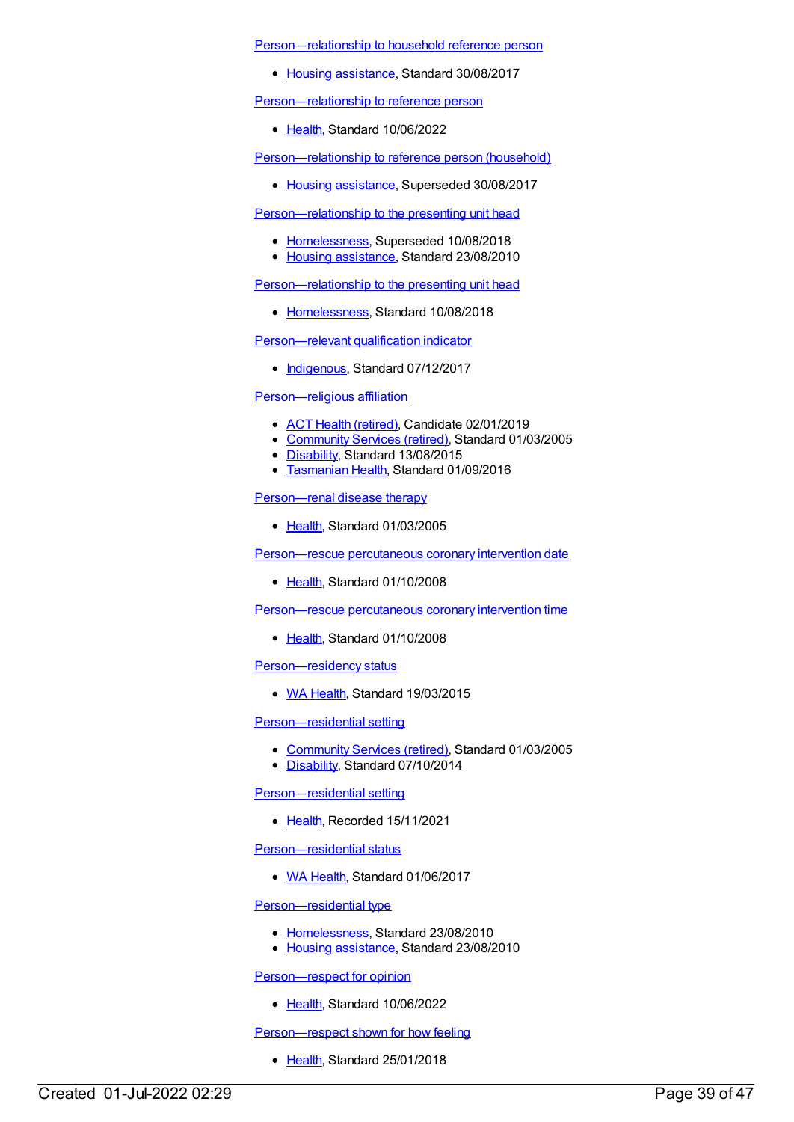[Person—relationship](https://meteor.aihw.gov.au/content/609149) to household reference person

• Housing [assistance](https://meteor.aihw.gov.au/RegistrationAuthority/11), Standard 30/08/2017

[Person—relationship](https://meteor.aihw.gov.au/content/745295) to reference person

• [Health](https://meteor.aihw.gov.au/RegistrationAuthority/12), Standard 10/06/2022

[Person—relationship](https://meteor.aihw.gov.au/content/269698) to reference person (household)

• Housing [assistance](https://meteor.aihw.gov.au/RegistrationAuthority/11), Superseded 30/08/2017

[Person—relationship](https://meteor.aihw.gov.au/content/401606) to the presenting unit head

- [Homelessness](https://meteor.aihw.gov.au/RegistrationAuthority/14), Superseded 10/08/2018
- Housing [assistance](https://meteor.aihw.gov.au/RegistrationAuthority/11), Standard 23/08/2010

[Person—relationship](https://meteor.aihw.gov.au/content/692300) to the presenting unit head

• [Homelessness](https://meteor.aihw.gov.au/RegistrationAuthority/14), Standard 10/08/2018

[Person—relevant](https://meteor.aihw.gov.au/content/613901) qualification indicator

• [Indigenous](https://meteor.aihw.gov.au/RegistrationAuthority/6), Standard 07/12/2017

# [Person—religious](https://meteor.aihw.gov.au/content/269421) affiliation

- ACT Health [\(retired\)](https://meteor.aihw.gov.au/RegistrationAuthority/9), Candidate 02/01/2019
- [Community](https://meteor.aihw.gov.au/RegistrationAuthority/1) Services (retired), Standard 01/03/2005
- [Disability](https://meteor.aihw.gov.au/RegistrationAuthority/16), Standard 13/08/2015
- **[Tasmanian](https://meteor.aihw.gov.au/RegistrationAuthority/15) Health, Standard 01/09/2016**

[Person—renal](https://meteor.aihw.gov.au/content/269848) disease therapy

• [Health](https://meteor.aihw.gov.au/RegistrationAuthority/12), Standard 01/03/2005

[Person—rescue](https://meteor.aihw.gov.au/content/359577) percutaneous coronary intervention date

• [Health](https://meteor.aihw.gov.au/RegistrationAuthority/12), Standard 01/10/2008

[Person—rescue](https://meteor.aihw.gov.au/content/359566) percutaneous coronary intervention time

• [Health](https://meteor.aihw.gov.au/RegistrationAuthority/12), Standard 01/10/2008

[Person—residency](https://meteor.aihw.gov.au/content/554642) status

• WA [Health](https://meteor.aihw.gov.au/RegistrationAuthority/2), Standard 19/03/2015

[Person—residential](https://meteor.aihw.gov.au/content/269419) setting

- [Community](https://meteor.aihw.gov.au/RegistrationAuthority/1) Services (retired), Standard 01/03/2005
- [Disability](https://meteor.aihw.gov.au/RegistrationAuthority/16), Standard 07/10/2014

[Person—residential](https://meteor.aihw.gov.au/content/745627) setting

• [Health](https://meteor.aihw.gov.au/RegistrationAuthority/12), Recorded 15/11/2021

[Person—residential](https://meteor.aihw.gov.au/content/664579) status

• WA [Health](https://meteor.aihw.gov.au/RegistrationAuthority/2), Standard 01/06/2017

[Person—residential](https://meteor.aihw.gov.au/content/398933) type

- [Homelessness](https://meteor.aihw.gov.au/RegistrationAuthority/14), Standard 23/08/2010
- Housing [assistance](https://meteor.aihw.gov.au/RegistrationAuthority/11), Standard 23/08/2010

[Person—respect](https://meteor.aihw.gov.au/content/751948) for opinion

• [Health](https://meteor.aihw.gov.au/RegistrationAuthority/12), Standard 10/06/2022

Person-respect shown for how feeling

• [Health](https://meteor.aihw.gov.au/RegistrationAuthority/12), Standard 25/01/2018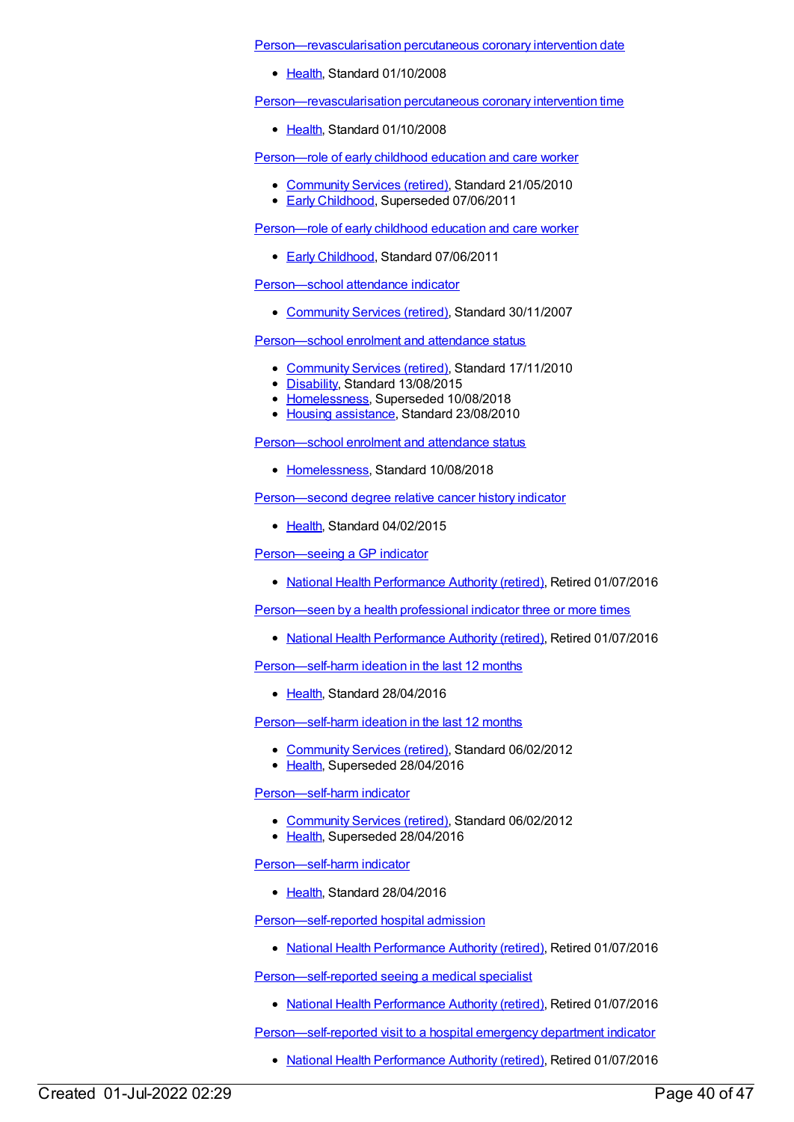[Person—revascularisation](https://meteor.aihw.gov.au/content/359588) percutaneous coronary intervention date

• [Health](https://meteor.aihw.gov.au/RegistrationAuthority/12), Standard 01/10/2008

[Person—revascularisation](https://meteor.aihw.gov.au/content/359735) percutaneous coronary intervention time

• [Health](https://meteor.aihw.gov.au/RegistrationAuthority/12), Standard 01/10/2008

[Person—role](https://meteor.aihw.gov.au/content/400954) of early childhood education and care worker

- [Community](https://meteor.aihw.gov.au/RegistrationAuthority/1) Services (retired), Standard 21/05/2010
- Early [Childhood](https://meteor.aihw.gov.au/RegistrationAuthority/13), Superseded 07/06/2011

[Person—role](https://meteor.aihw.gov.au/content/441581) of early childhood education and care worker

**Early [Childhood](https://meteor.aihw.gov.au/RegistrationAuthority/13), Standard 07/06/2011** 

[Person—school](https://meteor.aihw.gov.au/content/314947) attendance indicator

• [Community](https://meteor.aihw.gov.au/RegistrationAuthority/1) Services (retired), Standard 30/11/2007

[Person—school](https://meteor.aihw.gov.au/content/401803) enrolment and attendance status

- [Community](https://meteor.aihw.gov.au/RegistrationAuthority/1) Services (retired), Standard 17/11/2010
- [Disability](https://meteor.aihw.gov.au/RegistrationAuthority/16), Standard 13/08/2015
- [Homelessness](https://meteor.aihw.gov.au/RegistrationAuthority/14), Superseded 10/08/2018
- Housing [assistance](https://meteor.aihw.gov.au/RegistrationAuthority/11), Standard 23/08/2010

[Person—school](https://meteor.aihw.gov.au/content/690945) enrolment and attendance status

• [Homelessness](https://meteor.aihw.gov.au/RegistrationAuthority/14), Standard 10/08/2018

[Person—second](https://meteor.aihw.gov.au/content/574043) degree relative cancer history indicator

• [Health](https://meteor.aihw.gov.au/RegistrationAuthority/12), Standard 04/02/2015

[Person—seeing](https://meteor.aihw.gov.au/content/603504) a GP indicator

• National Health [Performance](https://meteor.aihw.gov.au/RegistrationAuthority/8) Authority (retired), Retired 01/07/2016

[Person—seen](https://meteor.aihw.gov.au/content/601768) by a health professional indicator three or more times

• National Health [Performance](https://meteor.aihw.gov.au/RegistrationAuthority/8) Authority (retired), Retired 01/07/2016

[Person—self-harm](https://meteor.aihw.gov.au/content/627154) ideation in the last 12 months

• [Health](https://meteor.aihw.gov.au/RegistrationAuthority/12), Standard 28/04/2016

[Person—self-harm](https://meteor.aihw.gov.au/content/358876) ideation in the last 12 months

- [Community](https://meteor.aihw.gov.au/RegistrationAuthority/1) Services (retired), Standard 06/02/2012
- [Health](https://meteor.aihw.gov.au/RegistrationAuthority/12), Superseded 28/04/2016

[Person—self-harm](https://meteor.aihw.gov.au/content/358873) indicator

- [Community](https://meteor.aihw.gov.au/RegistrationAuthority/1) Services (retired), Standard 06/02/2012
- [Health](https://meteor.aihw.gov.au/RegistrationAuthority/12), Superseded 28/04/2016

[Person—self-harm](https://meteor.aihw.gov.au/content/626901) indicator

• [Health](https://meteor.aihw.gov.au/RegistrationAuthority/12), Standard 28/04/2016

[Person—self-reported](https://meteor.aihw.gov.au/content/575379) hospital admission

• National Health [Performance](https://meteor.aihw.gov.au/RegistrationAuthority/8) Authority (retired), Retired 01/07/2016

[Person—self-reported](https://meteor.aihw.gov.au/content/594768) seeing a medical specialist

• National Health [Performance](https://meteor.aihw.gov.au/RegistrationAuthority/8) Authority (retired), Retired 01/07/2016

[Person—self-reported](https://meteor.aihw.gov.au/content/574054) visit to a hospital emergency department indicator

• National Health [Performance](https://meteor.aihw.gov.au/RegistrationAuthority/8) Authority (retired), Retired 01/07/2016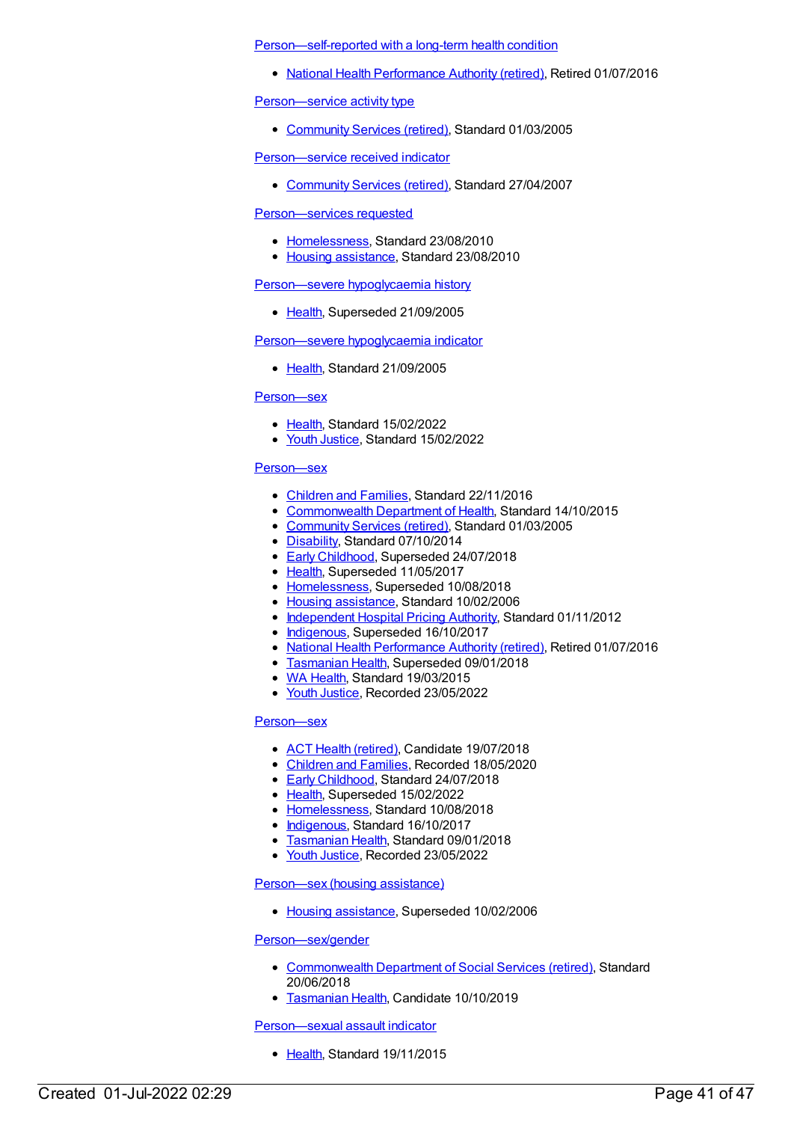[Person—self-reported](https://meteor.aihw.gov.au/content/594169) with a long-term health condition

• National Health [Performance](https://meteor.aihw.gov.au/RegistrationAuthority/8) Authority (retired), Retired 01/07/2016

[Person—service](https://meteor.aihw.gov.au/content/269821) activity type

• [Community](https://meteor.aihw.gov.au/RegistrationAuthority/1) Services (retired), Standard 01/03/2005

[Person—service](https://meteor.aihw.gov.au/content/323507) received indicator

[Community](https://meteor.aihw.gov.au/RegistrationAuthority/1) Services (retired), Standard 27/04/2007

### [Person—services](https://meteor.aihw.gov.au/content/400404) requested

- [Homelessness](https://meteor.aihw.gov.au/RegistrationAuthority/14), Standard 23/08/2010
- Housing [assistance](https://meteor.aihw.gov.au/RegistrationAuthority/11), Standard 23/08/2010

#### [Person—severe](https://meteor.aihw.gov.au/content/269797) hypoglycaemia history

• [Health](https://meteor.aihw.gov.au/RegistrationAuthority/12), Superseded 21/09/2005

#### [Person—severe](https://meteor.aihw.gov.au/content/304019) hypoglycaemia indicator

• [Health](https://meteor.aihw.gov.au/RegistrationAuthority/12), Standard 21/09/2005

#### [Person—sex](https://meteor.aihw.gov.au/content/741634)

- [Health](https://meteor.aihw.gov.au/RegistrationAuthority/12), Standard 15/02/2022
- Youth [Justice](https://meteor.aihw.gov.au/RegistrationAuthority/4), Standard 15/02/2022

#### [Person—sex](https://meteor.aihw.gov.au/content/269716)

- [Children](https://meteor.aihw.gov.au/RegistrationAuthority/17) and Families, Standard 22/11/2016
- [Commonwealth](https://meteor.aihw.gov.au/RegistrationAuthority/10) Department of Health, Standard 14/10/2015
- [Community](https://meteor.aihw.gov.au/RegistrationAuthority/1) Services (retired), Standard 01/03/2005
- [Disability](https://meteor.aihw.gov.au/RegistrationAuthority/16), Standard 07/10/2014
- **Early [Childhood](https://meteor.aihw.gov.au/RegistrationAuthority/13), Superseded 24/07/2018**
- [Health](https://meteor.aihw.gov.au/RegistrationAuthority/12), Superseded 11/05/2017
- [Homelessness](https://meteor.aihw.gov.au/RegistrationAuthority/14), Superseded 10/08/2018
- Housing [assistance](https://meteor.aihw.gov.au/RegistrationAuthority/11), Standard 10/02/2006
- [Independent](https://meteor.aihw.gov.au/RegistrationAuthority/3) Hospital Pricing Authority, Standard 01/11/2012
- [Indigenous](https://meteor.aihw.gov.au/RegistrationAuthority/6), Superseded 16/10/2017
- National Health [Performance](https://meteor.aihw.gov.au/RegistrationAuthority/8) Authority (retired), Retired 01/07/2016
- **[Tasmanian](https://meteor.aihw.gov.au/RegistrationAuthority/15) Health, Superseded 09/01/2018**
- WA [Health](https://meteor.aihw.gov.au/RegistrationAuthority/2), Standard 19/03/2015
- Youth [Justice](https://meteor.aihw.gov.au/RegistrationAuthority/4), Recorded 23/05/2022

# [Person—sex](https://meteor.aihw.gov.au/content/635233)

- ACT Health [\(retired\)](https://meteor.aihw.gov.au/RegistrationAuthority/9), Candidate 19/07/2018
- [Children](https://meteor.aihw.gov.au/RegistrationAuthority/17) and Families, Recorded 18/05/2020
- **Early [Childhood](https://meteor.aihw.gov.au/RegistrationAuthority/13), Standard 24/07/2018**
- [Health](https://meteor.aihw.gov.au/RegistrationAuthority/12), Superseded 15/02/2022
- [Homelessness](https://meteor.aihw.gov.au/RegistrationAuthority/14), Standard 10/08/2018
- [Indigenous](https://meteor.aihw.gov.au/RegistrationAuthority/6), Standard 16/10/2017
- **[Tasmanian](https://meteor.aihw.gov.au/RegistrationAuthority/15) Health, Standard 09/01/2018**
- Youth [Justice](https://meteor.aihw.gov.au/RegistrationAuthority/4), Recorded 23/05/2022

#### [Person—sex](https://meteor.aihw.gov.au/content/269795) (housing assistance)

• Housing [assistance](https://meteor.aihw.gov.au/RegistrationAuthority/11), Superseded 10/02/2006

### [Person—sex/gender](https://meteor.aihw.gov.au/content/671715)

- [Commonwealth](https://meteor.aihw.gov.au/RegistrationAuthority/7) Department of Social Services (retired), Standard 20/06/2018
- **[Tasmanian](https://meteor.aihw.gov.au/RegistrationAuthority/15) Health, Candidate 10/10/2019**

#### [Person—sexual](https://meteor.aihw.gov.au/content/482809) assault indicator

• [Health](https://meteor.aihw.gov.au/RegistrationAuthority/12), Standard 19/11/2015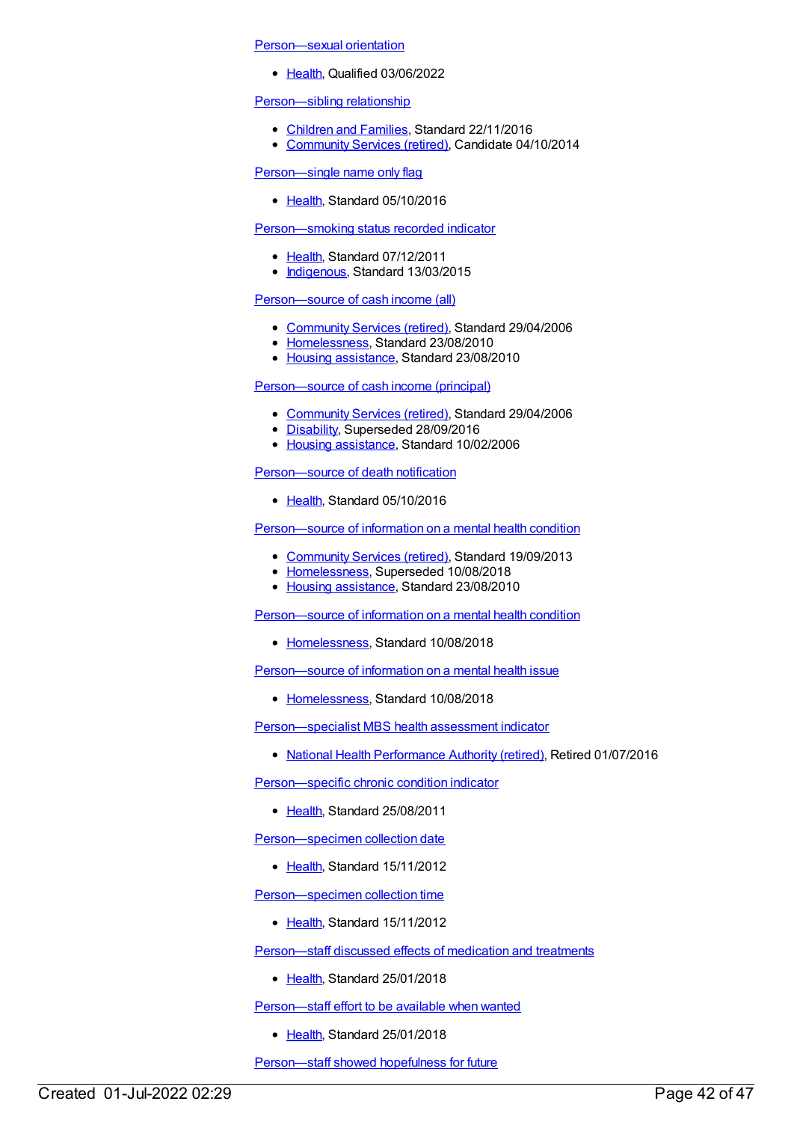[Person—sexual](https://meteor.aihw.gov.au/content/755718) orientation

• [Health](https://meteor.aihw.gov.au/RegistrationAuthority/12), Qualified 03/06/2022

# [Person—sibling](https://meteor.aihw.gov.au/content/529699) relationship

- [Children](https://meteor.aihw.gov.au/RegistrationAuthority/17) and Families, Standard 22/11/2016
- [Community](https://meteor.aihw.gov.au/RegistrationAuthority/1) Services (retired), Candidate 04/10/2014

[Person—single](https://meteor.aihw.gov.au/content/618584) name only flag

• [Health](https://meteor.aihw.gov.au/RegistrationAuthority/12), Standard 05/10/2016

# [Person—smoking](https://meteor.aihw.gov.au/content/441376) status recorded indicator

- [Health](https://meteor.aihw.gov.au/RegistrationAuthority/12), Standard 07/12/2011
- [Indigenous](https://meteor.aihw.gov.au/RegistrationAuthority/6), Standard 13/03/2015

# [Person—source](https://meteor.aihw.gov.au/content/321151) of cash income (all)

- [Community](https://meteor.aihw.gov.au/RegistrationAuthority/1) Services (retired), Standard 29/04/2006
- [Homelessness](https://meteor.aihw.gov.au/RegistrationAuthority/14), Standard 23/08/2010
- Housing [assistance](https://meteor.aihw.gov.au/RegistrationAuthority/11), Standard 23/08/2010

# [Person—source](https://meteor.aihw.gov.au/content/321061) of cash income (principal)

- [Community](https://meteor.aihw.gov.au/RegistrationAuthority/1) Services (retired), Standard 29/04/2006
- [Disability](https://meteor.aihw.gov.au/RegistrationAuthority/16), Superseded 28/09/2016
- Housing [assistance](https://meteor.aihw.gov.au/RegistrationAuthority/11), Standard 10/02/2006

[Person—source](https://meteor.aihw.gov.au/content/521241) of death notification

• [Health](https://meteor.aihw.gov.au/RegistrationAuthority/12), Standard 05/10/2016

[Person—source](https://meteor.aihw.gov.au/content/400469) of information on a mental health condition

- [Community](https://meteor.aihw.gov.au/RegistrationAuthority/1) Services (retired), Standard 19/09/2013
- [Homelessness](https://meteor.aihw.gov.au/RegistrationAuthority/14), Superseded 10/08/2018
- Housing [assistance](https://meteor.aihw.gov.au/RegistrationAuthority/11), Standard 23/08/2010

Person-source of information on a mental health condition

• [Homelessness](https://meteor.aihw.gov.au/RegistrationAuthority/14), Standard 10/08/2018

[Person—source](https://meteor.aihw.gov.au/content/690980) of information on a mental health issue

• [Homelessness](https://meteor.aihw.gov.au/RegistrationAuthority/14), Standard 10/08/2018

[Person—specialist](https://meteor.aihw.gov.au/content/504842) MBS health assessment indicator

National Health [Performance](https://meteor.aihw.gov.au/RegistrationAuthority/8) Authority (retired), Retired 01/07/2016

[Person—specific](https://meteor.aihw.gov.au/content/399223) chronic condition indicator

• [Health](https://meteor.aihw.gov.au/RegistrationAuthority/12), Standard 25/08/2011

[Person—specimen](https://meteor.aihw.gov.au/content/458766) collection date

• [Health](https://meteor.aihw.gov.au/RegistrationAuthority/12), Standard 15/11/2012

[Person—specimen](https://meteor.aihw.gov.au/content/438486) collection time

• [Health](https://meteor.aihw.gov.au/RegistrationAuthority/12), Standard 15/11/2012

[Person—staff](https://meteor.aihw.gov.au/content/634891) discussed effects of medication and treatments

• [Health](https://meteor.aihw.gov.au/RegistrationAuthority/12), Standard 25/01/2018

[Person—staff](https://meteor.aihw.gov.au/content/634809) effort to be available when wanted

• [Health](https://meteor.aihw.gov.au/RegistrationAuthority/12), Standard 25/01/2018

[Person—staff](https://meteor.aihw.gov.au/content/634736) showed hopefulness for future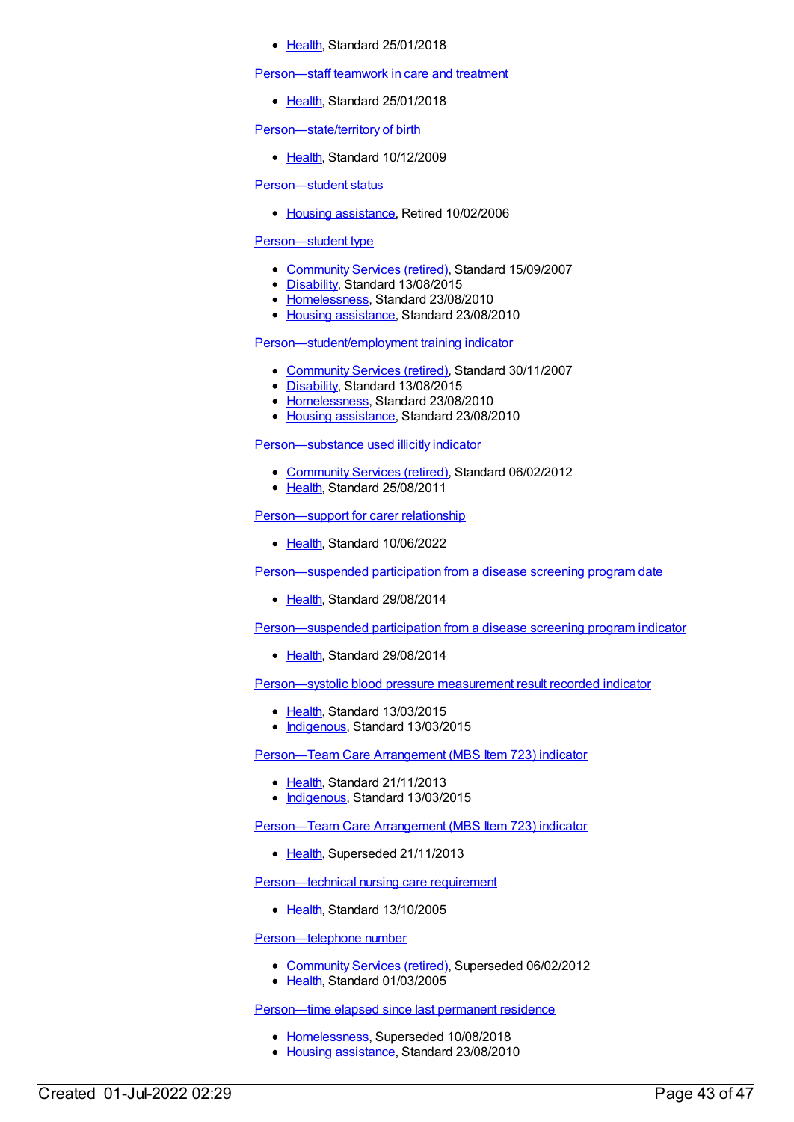#### [Health](https://meteor.aihw.gov.au/RegistrationAuthority/12), Standard 25/01/2018

#### [Person—staff](https://meteor.aihw.gov.au/content/634885) teamwork in care and treatment

• [Health](https://meteor.aihw.gov.au/RegistrationAuthority/12), Standard 25/01/2018

Person-state/territory of birth

• [Health](https://meteor.aihw.gov.au/RegistrationAuthority/12), Standard 10/12/2009

#### [Person—student](https://meteor.aihw.gov.au/content/269679) status

• Housing [assistance](https://meteor.aihw.gov.au/RegistrationAuthority/11), Retired 10/02/2006

# [Person—student](https://meteor.aihw.gov.au/content/337591) type

- [Community](https://meteor.aihw.gov.au/RegistrationAuthority/1) Services (retired), Standard 15/09/2007
- [Disability](https://meteor.aihw.gov.au/RegistrationAuthority/16), Standard 13/08/2015
- [Homelessness](https://meteor.aihw.gov.au/RegistrationAuthority/14), Standard 23/08/2010
- Housing [assistance](https://meteor.aihw.gov.au/RegistrationAuthority/11), Standard 23/08/2010

# [Person—student/employment](https://meteor.aihw.gov.au/content/349593) training indicator

- [Community](https://meteor.aihw.gov.au/RegistrationAuthority/1) Services (retired), Standard 30/11/2007
- [Disability](https://meteor.aihw.gov.au/RegistrationAuthority/16), Standard 13/08/2015
- [Homelessness](https://meteor.aihw.gov.au/RegistrationAuthority/14), Standard 23/08/2010
- Housing [assistance](https://meteor.aihw.gov.au/RegistrationAuthority/11), Standard 23/08/2010

#### [Person—substance](https://meteor.aihw.gov.au/content/365250) used illicitly indicator

- [Community](https://meteor.aihw.gov.au/RegistrationAuthority/1) Services (retired), Standard 06/02/2012
- [Health](https://meteor.aihw.gov.au/RegistrationAuthority/12), Standard 25/08/2011

# Person-support for carer relationship

• [Health](https://meteor.aihw.gov.au/RegistrationAuthority/12), Standard 10/06/2022

[Person—suspended](https://meteor.aihw.gov.au/content/576726) participation from a disease screening program date

• [Health](https://meteor.aihw.gov.au/RegistrationAuthority/12), Standard 29/08/2014

[Person—suspended](https://meteor.aihw.gov.au/content/568068) participation from a disease screening program indicator

• [Health](https://meteor.aihw.gov.au/RegistrationAuthority/12), Standard 29/08/2014

[Person—systolic](https://meteor.aihw.gov.au/content/594309) blood pressure measurement result recorded indicator

- [Health](https://meteor.aihw.gov.au/RegistrationAuthority/12), Standard 13/03/2015
- [Indigenous](https://meteor.aihw.gov.au/RegistrationAuthority/6), Standard 13/03/2015

Person-Team Care Arrangement (MBS Item 723) indicator

- [Health](https://meteor.aihw.gov.au/RegistrationAuthority/12), Standard 21/11/2013
- [Indigenous](https://meteor.aihw.gov.au/RegistrationAuthority/6), Standard 13/03/2015

[Person—Team](https://meteor.aihw.gov.au/content/441519) Care Arrangement (MBS Item 723) indicator

• [Health](https://meteor.aihw.gov.au/RegistrationAuthority/12), Superseded 21/11/2013

[Person—technical](https://meteor.aihw.gov.au/content/313230) nursing care requirement

• [Health](https://meteor.aihw.gov.au/RegistrationAuthority/12), Standard 13/10/2005

[Person—telephone](https://meteor.aihw.gov.au/content/269718) number

- [Community](https://meteor.aihw.gov.au/RegistrationAuthority/1) Services (retired), Superseded 06/02/2012
- [Health](https://meteor.aihw.gov.au/RegistrationAuthority/12), Standard 01/03/2005

[Person—time](https://meteor.aihw.gov.au/content/401736) elapsed since last permanent residence

- [Homelessness](https://meteor.aihw.gov.au/RegistrationAuthority/14), Superseded 10/08/2018
- Housing [assistance](https://meteor.aihw.gov.au/RegistrationAuthority/11), Standard 23/08/2010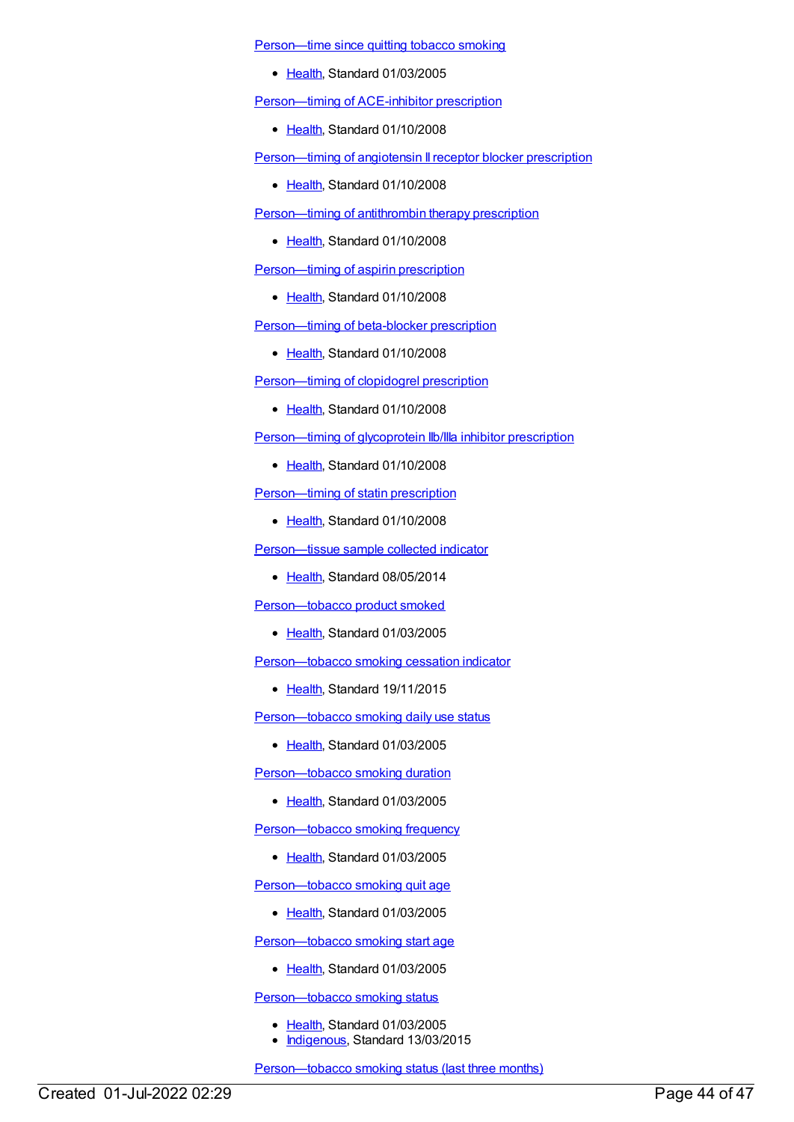[Person—time](https://meteor.aihw.gov.au/content/269749) since quitting tobacco smoking

• [Health](https://meteor.aihw.gov.au/RegistrationAuthority/12), Standard 01/03/2005

[Person—timing](https://meteor.aihw.gov.au/content/349379) of ACE-inhibitor prescription

• [Health](https://meteor.aihw.gov.au/RegistrationAuthority/12), Standard 01/10/2008

[Person—timing](https://meteor.aihw.gov.au/content/350416) of angiotensin II receptor blocker prescription

• [Health](https://meteor.aihw.gov.au/RegistrationAuthority/12), Standard 01/10/2008

[Person—timing](https://meteor.aihw.gov.au/content/350505) of antithrombin therapy prescription

• [Health](https://meteor.aihw.gov.au/RegistrationAuthority/12), Standard 01/10/2008

[Person—timing](https://meteor.aihw.gov.au/content/347826) of aspirin prescription

• [Health](https://meteor.aihw.gov.au/RegistrationAuthority/12), Standard 01/10/2008

[Person—timing](https://meteor.aihw.gov.au/content/349371) of beta-blocker prescription

• [Health](https://meteor.aihw.gov.au/RegistrationAuthority/12), Standard 01/10/2008

[Person—timing](https://meteor.aihw.gov.au/content/350429) of clopidogrel prescription

• [Health](https://meteor.aihw.gov.au/RegistrationAuthority/12), Standard 01/10/2008

[Person—timing](https://meteor.aihw.gov.au/content/349393) of glycoprotein IIb/IIIa inhibitor prescription

• [Health](https://meteor.aihw.gov.au/RegistrationAuthority/12), Standard 01/10/2008

[Person—timing](https://meteor.aihw.gov.au/content/350439) of statin prescription

• [Health](https://meteor.aihw.gov.au/RegistrationAuthority/12), Standard 01/10/2008

[Person—tissue](https://meteor.aihw.gov.au/content/446562) sample collected indicator

• [Health](https://meteor.aihw.gov.au/RegistrationAuthority/12), Standard 08/05/2014

[Person—tobacco](https://meteor.aihw.gov.au/content/269765) product smoked

• [Health](https://meteor.aihw.gov.au/RegistrationAuthority/12), Standard 01/03/2005

[Person—tobacco](https://meteor.aihw.gov.au/content/586214) smoking cessation indicator

• [Health](https://meteor.aihw.gov.au/RegistrationAuthority/12), Standard 19/11/2015

[Person—tobacco](https://meteor.aihw.gov.au/content/269768) smoking daily use status

• [Health](https://meteor.aihw.gov.au/RegistrationAuthority/12), Standard 01/03/2005

[Person—tobacco](https://meteor.aihw.gov.au/content/269769) smoking duration

● [Health](https://meteor.aihw.gov.au/RegistrationAuthority/12), Standard 01/03/2005

[Person—tobacco](https://meteor.aihw.gov.au/content/269766) smoking frequency

● [Health](https://meteor.aihw.gov.au/RegistrationAuthority/12), Standard 01/03/2005

[Person—tobacco](https://meteor.aihw.gov.au/content/269761) smoking quit age

• [Health](https://meteor.aihw.gov.au/RegistrationAuthority/12), Standard 01/03/2005

[Person—tobacco](https://meteor.aihw.gov.au/content/269762) smoking start age

• [Health](https://meteor.aihw.gov.au/RegistrationAuthority/12), Standard 01/03/2005

Person-tobacco smoking status

- [Health](https://meteor.aihw.gov.au/RegistrationAuthority/12), Standard 01/03/2005
- [Indigenous](https://meteor.aihw.gov.au/RegistrationAuthority/6), Standard 13/03/2015

[Person—tobacco](https://meteor.aihw.gov.au/content/269775) smoking status (last three months)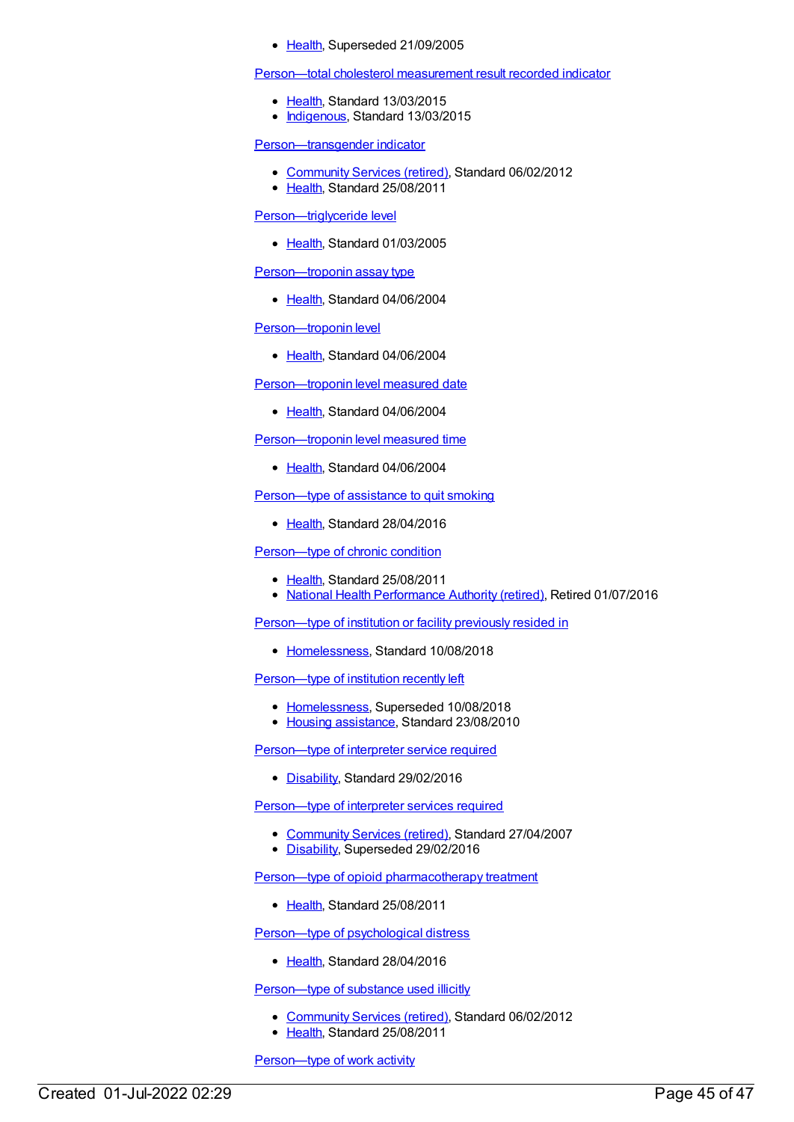#### • [Health](https://meteor.aihw.gov.au/RegistrationAuthority/12), Superseded 21/09/2005

[Person—total](https://meteor.aihw.gov.au/content/588779) cholesterol measurement result recorded indicator

- [Health](https://meteor.aihw.gov.au/RegistrationAuthority/12), Standard 13/03/2015
- [Indigenous](https://meteor.aihw.gov.au/RegistrationAuthority/6), Standard 13/03/2015

[Person—transgender](https://meteor.aihw.gov.au/content/375983) indicator

- [Community](https://meteor.aihw.gov.au/RegistrationAuthority/1) Services (retired), Standard 06/02/2012
- [Health](https://meteor.aihw.gov.au/RegistrationAuthority/12), Standard 25/08/2011

[Person—triglyceride](https://meteor.aihw.gov.au/content/269684) level

• [Health](https://meteor.aihw.gov.au/RegistrationAuthority/12), Standard 01/03/2005

[Person—troponin](https://meteor.aihw.gov.au/content/285219) assay type

• [Health](https://meteor.aihw.gov.au/RegistrationAuthority/12), Standard 04/06/2004

[Person—troponin](https://meteor.aihw.gov.au/content/285245) level

• [Health](https://meteor.aihw.gov.au/RegistrationAuthority/12), Standard 04/06/2004

[Person—troponin](https://meteor.aihw.gov.au/content/284991) level measured date

• [Health](https://meteor.aihw.gov.au/RegistrationAuthority/12), Standard 04/06/2004

Person-troponin level measured time

• [Health](https://meteor.aihw.gov.au/RegistrationAuthority/12), Standard 04/06/2004

[Person—type](https://meteor.aihw.gov.au/content/482574) of assistance to quit smoking

• [Health](https://meteor.aihw.gov.au/RegistrationAuthority/12), Standard 28/04/2016

[Person—type](https://meteor.aihw.gov.au/content/399213) of chronic condition

- [Health](https://meteor.aihw.gov.au/RegistrationAuthority/12), Standard 25/08/2011
- National Health [Performance](https://meteor.aihw.gov.au/RegistrationAuthority/8) Authority (retired), Retired 01/07/2016

[Person—type](https://meteor.aihw.gov.au/content/692334) of institution or facility previously resided in

[Homelessness](https://meteor.aihw.gov.au/RegistrationAuthority/14), Standard 10/08/2018

Person--- type of institution recently left

- [Homelessness](https://meteor.aihw.gov.au/RegistrationAuthority/14), Superseded 10/08/2018
- Housing [assistance](https://meteor.aihw.gov.au/RegistrationAuthority/11), Standard 23/08/2010

[Person—type](https://meteor.aihw.gov.au/content/623496) of interpreter service required

[Disability](https://meteor.aihw.gov.au/RegistrationAuthority/16), Standard 29/02/2016

[Person—type](https://meteor.aihw.gov.au/content/323181) of interpreter services required

- [Community](https://meteor.aihw.gov.au/RegistrationAuthority/1) Services (retired), Standard 27/04/2007
- [Disability](https://meteor.aihw.gov.au/RegistrationAuthority/16), Superseded 29/02/2016

Person—type of opioid [pharmacotherapy](https://meteor.aihw.gov.au/content/404785) treatment

• [Health](https://meteor.aihw.gov.au/RegistrationAuthority/12), Standard 25/08/2011

[Person—type](https://meteor.aihw.gov.au/content/634081) of psychological distress

• [Health](https://meteor.aihw.gov.au/RegistrationAuthority/12), Standard 28/04/2016

Person-type of substance used illicitly

- [Community](https://meteor.aihw.gov.au/RegistrationAuthority/1) Services (retired), Standard 06/02/2012
- [Health](https://meteor.aihw.gov.au/RegistrationAuthority/12), Standard 25/08/2011

[Person—type](https://meteor.aihw.gov.au/content/397308) of work activity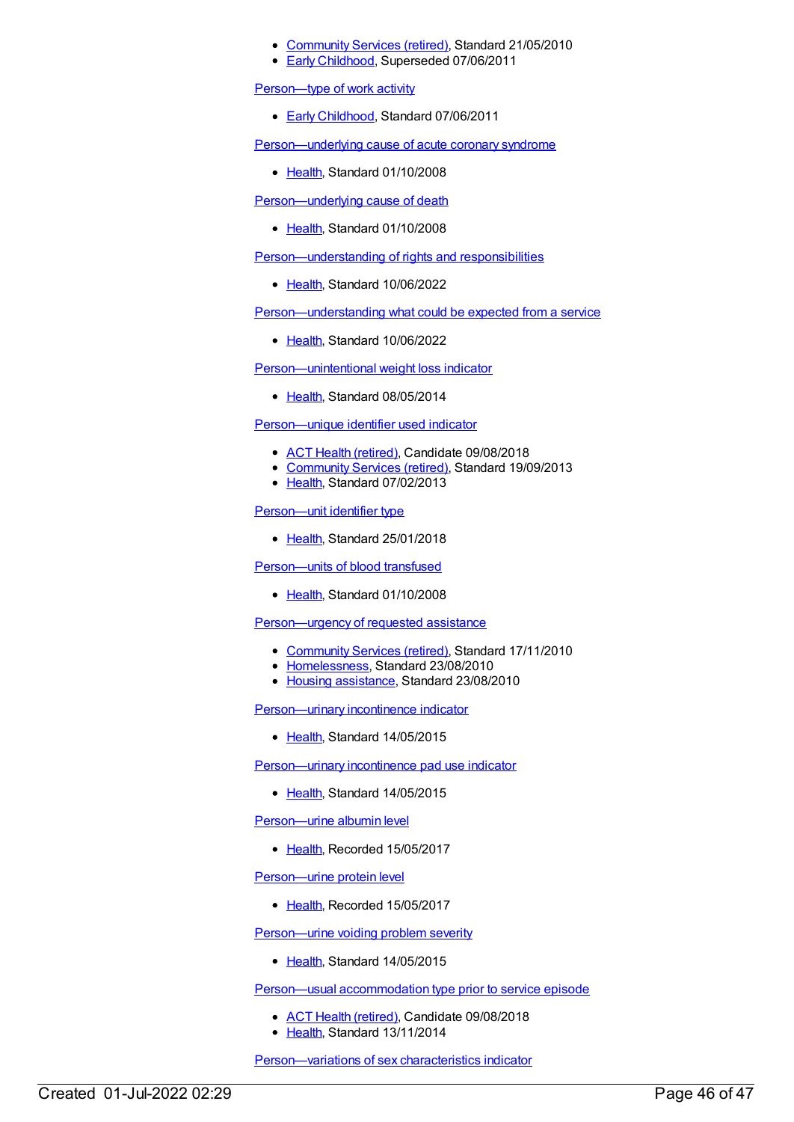- [Community](https://meteor.aihw.gov.au/RegistrationAuthority/1) Services (retired), Standard 21/05/2010
- Early [Childhood](https://meteor.aihw.gov.au/RegistrationAuthority/13), Superseded 07/06/2011

[Person—type](https://meteor.aihw.gov.au/content/441553) of work activity

● Early [Childhood](https://meteor.aihw.gov.au/RegistrationAuthority/13), Standard 07/06/2011

[Person—underlying](https://meteor.aihw.gov.au/content/338305) cause of acute coronary syndrome

• [Health](https://meteor.aihw.gov.au/RegistrationAuthority/12), Standard 01/10/2008

[Person—underlying](https://meteor.aihw.gov.au/content/307862) cause of death

• [Health](https://meteor.aihw.gov.au/RegistrationAuthority/12), Standard 01/10/2008

[Person—understanding](https://meteor.aihw.gov.au/content/751133) of rights and responsibilities

[Health](https://meteor.aihw.gov.au/RegistrationAuthority/12), Standard 10/06/2022

[Person—understanding](https://meteor.aihw.gov.au/content/751377) what could be expected from a service

• [Health](https://meteor.aihw.gov.au/RegistrationAuthority/12), Standard 10/06/2022

[Person—unintentional](https://meteor.aihw.gov.au/content/428838) weight loss indicator

• [Health](https://meteor.aihw.gov.au/RegistrationAuthority/12), Standard 08/05/2014

[Person—unique](https://meteor.aihw.gov.au/content/493275) identifier used indicator

- ACT Health [\(retired\)](https://meteor.aihw.gov.au/RegistrationAuthority/9), Candidate 09/08/2018
- [Community](https://meteor.aihw.gov.au/RegistrationAuthority/1) Services (retired), Standard 19/09/2013
- [Health](https://meteor.aihw.gov.au/RegistrationAuthority/12), Standard 07/02/2013

[Person—unit](https://meteor.aihw.gov.au/content/680991) identifier type

• [Health](https://meteor.aihw.gov.au/RegistrationAuthority/12), Standard 25/01/2018

[Person—units](https://meteor.aihw.gov.au/content/344794) of blood transfused

• [Health](https://meteor.aihw.gov.au/RegistrationAuthority/12), Standard 01/10/2008

[Person—urgency](https://meteor.aihw.gov.au/content/400413) of requested assistance

- [Community](https://meteor.aihw.gov.au/RegistrationAuthority/1) Services (retired), Standard 17/11/2010
- [Homelessness](https://meteor.aihw.gov.au/RegistrationAuthority/14), Standard 23/08/2010
- Housing [assistance](https://meteor.aihw.gov.au/RegistrationAuthority/11), Standard 23/08/2010

[Person—urinary](https://meteor.aihw.gov.au/content/487168) incontinence indicator

• [Health](https://meteor.aihw.gov.au/RegistrationAuthority/12), Standard 14/05/2015

[Person—urinary](https://meteor.aihw.gov.au/content/587645) incontinence pad use indicator

[Health](https://meteor.aihw.gov.au/RegistrationAuthority/12), Standard 14/05/2015

[Person—urine](https://meteor.aihw.gov.au/content/667058) albumin level

• [Health](https://meteor.aihw.gov.au/RegistrationAuthority/12), Recorded 15/05/2017

[Person—urine](https://meteor.aihw.gov.au/content/666200) protein level

• [Health](https://meteor.aihw.gov.au/RegistrationAuthority/12), Recorded 15/05/2017

[Person—urine](https://meteor.aihw.gov.au/content/495123) voiding problem severity

• [Health](https://meteor.aihw.gov.au/RegistrationAuthority/12), Standard 14/05/2015

Person—usual [accommodation](https://meteor.aihw.gov.au/content/564699) type prior to service episode

- ACT Health [\(retired\)](https://meteor.aihw.gov.au/RegistrationAuthority/9), Candidate 09/08/2018
- [Health](https://meteor.aihw.gov.au/RegistrationAuthority/12), Standard 13/11/2014

[Person—variations](https://meteor.aihw.gov.au/content/757688) of sex characteristics indicator